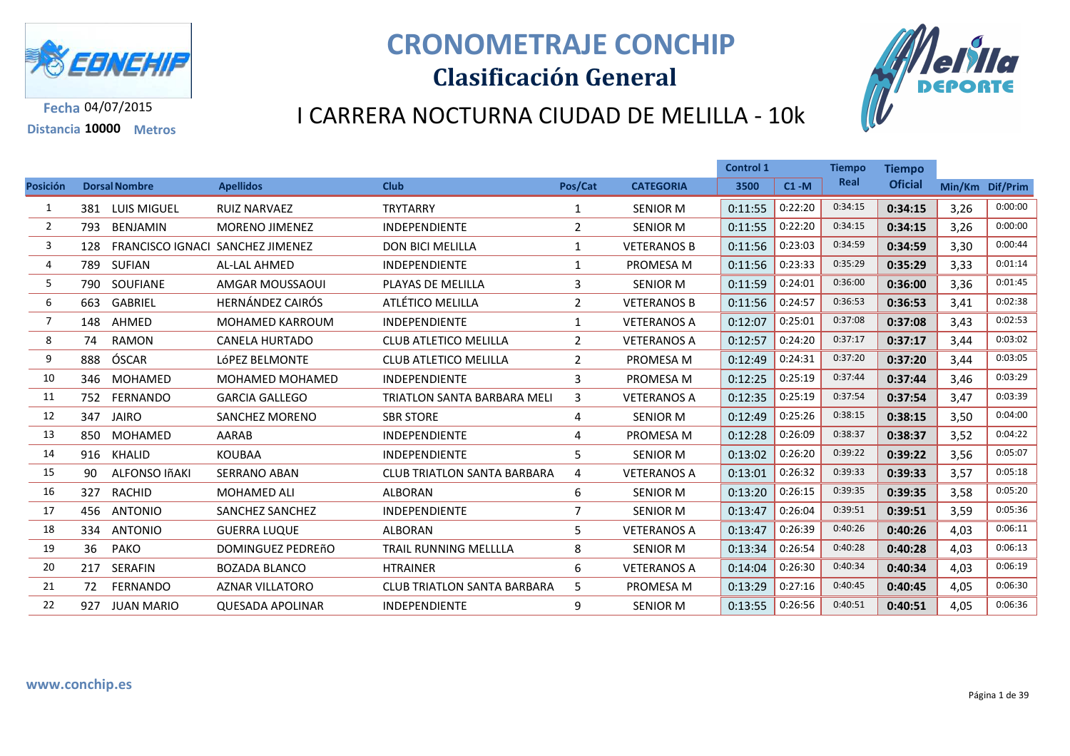

## **CRONOMETRAJE CONCHIP**

## **Clasificación General**



**Fecha** 04/07/2015 **Distancia <sup>10000</sup> Metros**

## I CARRERA NOCTURNA CIUDAD DE MELILLA - 10k

|                |     |                                         |                         |                                    |                |                    | <b>Control 1</b> |          | <b>Tiempo</b> | <b>Tiempo</b>  |                 |         |
|----------------|-----|-----------------------------------------|-------------------------|------------------------------------|----------------|--------------------|------------------|----------|---------------|----------------|-----------------|---------|
| Posición       |     | <b>Dorsal Nombre</b>                    | <b>Apellidos</b>        | <b>Club</b>                        | Pos/Cat        | <b>CATEGORIA</b>   | 3500             | $C1 - M$ | Real          | <b>Oficial</b> | Min/Km Dif/Prim |         |
|                |     | 381 LUIS MIGUEL                         | <b>RUIZ NARVAEZ</b>     | <b>TRYTARRY</b>                    | 1              | <b>SENIOR M</b>    | 0:11:55          | 0:22:20  | 0:34:15       | 0:34:15        | 3,26            | 0:00:00 |
| $\overline{2}$ | 793 | BENJAMIN                                | <b>MORENO JIMENEZ</b>   | <b>INDEPENDIENTE</b>               | $\overline{2}$ | <b>SENIOR M</b>    | 0:11:55          | 0:22:20  | 0:34:15       | 0:34:15        | 3,26            | 0:00:00 |
| 3              | 128 | <b>FRANCISCO IGNACI SANCHEZ JIMENEZ</b> |                         | <b>DON BICI MELILLA</b>            | $\mathbf{1}$   | <b>VETERANOS B</b> | 0:11:56          | 0:23:03  | 0:34:59       | 0:34:59        | 3,30            | 0:00:44 |
| 4              |     | 789 SUFIAN                              | AL-LAL AHMED            | <b>INDEPENDIENTE</b>               | $\mathbf{1}$   | PROMESA M          | 0:11:56          | 0:23:33  | 0:35:29       | 0:35:29        | 3,33            | 0:01:14 |
| 5              |     | 790 SOUFIANE                            | AMGAR MOUSSAOUI         | PLAYAS DE MELILLA                  | 3              | <b>SENIOR M</b>    | 0:11:59          | 0:24:01  | 0:36:00       | 0:36:00        | 3,36            | 0:01:45 |
| 6              |     | 663 GABRIEL                             | <b>HERNÁNDEZ CAIRÓS</b> | ATLÉTICO MELILLA                   | $\overline{2}$ | <b>VETERANOS B</b> | 0:11:56          | 0:24:57  | 0:36:53       | 0:36:53        | 3,41            | 0:02:38 |
| 7              |     | 148 AHMED                               | <b>MOHAMED KARROUM</b>  | <b>INDEPENDIENTE</b>               | $\mathbf{1}$   | <b>VETERANOS A</b> | 0:12:07          | 0:25:01  | 0:37:08       | 0:37:08        | 3,43            | 0:02:53 |
| 8              | 74  | RAMON                                   | <b>CANELA HURTADO</b>   | <b>CLUB ATLETICO MELILLA</b>       | $\mathbf{2}$   | <b>VETERANOS A</b> | 0:12:57          | 0:24:20  | 0:37:17       | 0:37:17        | 3,44            | 0:03:02 |
| 9              |     | 888 ÓSCAR                               | LÓPEZ BELMONTE          | <b>CLUB ATLETICO MELILLA</b>       | 2              | PROMESA M          | 0:12:49          | 0:24:31  | 0:37:20       | 0:37:20        | 3,44            | 0:03:05 |
| 10             |     | 346 MOHAMED                             | <b>MOHAMED MOHAMED</b>  | <b>INDEPENDIENTE</b>               | 3              | PROMESA M          | 0:12:25          | 0:25:19  | 0:37:44       | 0:37:44        | 3,46            | 0:03:29 |
| 11             |     | 752 FERNANDO                            | <b>GARCIA GALLEGO</b>   | <b>TRIATLON SANTA BARBARA MELI</b> | 3              | <b>VETERANOS A</b> | 0:12:35          | 0:25:19  | 0:37:54       | 0:37:54        | 3,47            | 0:03:39 |
| 12             |     | 347 JAIRO                               | <b>SANCHEZ MORENO</b>   | <b>SBR STORE</b>                   | 4              | <b>SENIOR M</b>    | 0:12:49          | 0:25:26  | 0:38:15       | 0:38:15        | 3,50            | 0:04:00 |
| 13             |     | 850 MOHAMED                             | <b>AARAB</b>            | <b>INDEPENDIENTE</b>               | 4              | PROMESA M          | 0:12:28          | 0:26:09  | 0:38:37       | 0:38:37        | 3,52            | 0:04:22 |
| 14             |     | 916 KHALID                              | <b>KOUBAA</b>           | <b>INDEPENDIENTE</b>               | 5.             | <b>SENIOR M</b>    | 0:13:02          | 0:26:20  | 0:39:22       | 0:39:22        | 3,56            | 0:05:07 |
| 15             | 90  | ALFONSO IñAKI                           | <b>SERRANO ABAN</b>     | <b>CLUB TRIATLON SANTA BARBARA</b> | 4              | <b>VETERANOS A</b> | 0:13:01          | 0:26:32  | 0:39:33       | 0:39:33        | 3,57            | 0:05:18 |
| 16             | 327 | RACHID                                  | <b>MOHAMED ALI</b>      | <b>ALBORAN</b>                     | 6              | <b>SENIOR M</b>    | 0:13:20          | 0:26:15  | 0:39:35       | 0:39:35        | 3,58            | 0:05:20 |
| 17             |     | 456 ANTONIO                             | <b>SANCHEZ SANCHEZ</b>  | <b>INDEPENDIENTE</b>               | $\overline{7}$ | <b>SENIOR M</b>    | 0:13:47          | 0:26:04  | 0:39:51       | 0:39:51        | 3,59            | 0:05:36 |
| 18             |     | 334 ANTONIO                             | <b>GUERRA LUQUE</b>     | <b>ALBORAN</b>                     | 5.             | <b>VETERANOS A</b> | 0:13:47          | 0:26:39  | 0:40:26       | 0:40:26        | 4,03            | 0:06:11 |
| 19             | 36  | PAKO                                    | DOMINGUEZ PEDREÑO       | <b>TRAIL RUNNING MELLLLA</b>       | 8              | <b>SENIOR M</b>    | 0:13:34          | 0:26:54  | 0:40:28       | 0:40:28        | 4,03            | 0:06:13 |
| 20             |     | 217 SERAFIN                             | <b>BOZADA BLANCO</b>    | <b>HTRAINER</b>                    | 6              | <b>VETERANOS A</b> | 0:14:04          | 0:26:30  | 0:40:34       | 0:40:34        | 4,03            | 0:06:19 |
| 21             |     | 72 FERNANDO                             | <b>AZNAR VILLATORO</b>  | <b>CLUB TRIATLON SANTA BARBARA</b> | 5.             | PROMESA M          | 0:13:29          | 0:27:16  | 0:40:45       | 0:40:45        | 4,05            | 0:06:30 |
| 22             |     | 927 JUAN MARIO                          | <b>QUESADA APOLINAR</b> | <b>INDEPENDIENTE</b>               | 9              | <b>SENIOR M</b>    | 0:13:55          | 0:26:56  | 0:40:51       | 0:40:51        | 4,05            | 0:06:36 |
|                |     |                                         |                         |                                    |                |                    |                  |          |               |                |                 |         |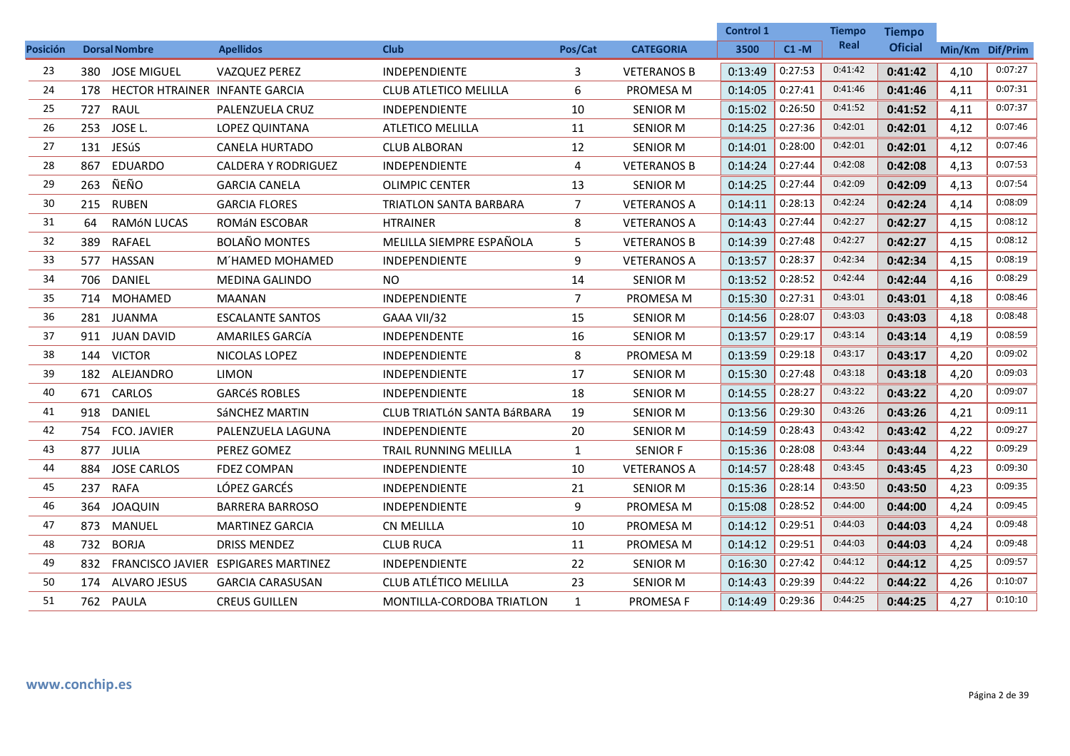|                 |     |                                    |                                     |                               |                |                    | <b>Control 1</b> |          | <b>Tiempo</b> | Tiempo         |                 |         |
|-----------------|-----|------------------------------------|-------------------------------------|-------------------------------|----------------|--------------------|------------------|----------|---------------|----------------|-----------------|---------|
| <b>Posición</b> |     | <b>Dorsal Nombre</b>               | <b>Apellidos</b>                    | <b>Club</b>                   | Pos/Cat        | <b>CATEGORIA</b>   | 3500             | $C1 - M$ | Real          | <b>Oficial</b> | Min/Km Dif/Prim |         |
| 23              |     | 380 JOSE MIGUEL                    | <b>VAZQUEZ PEREZ</b>                | <b>INDEPENDIENTE</b>          | 3              | <b>VETERANOS B</b> | 0:13:49          | 0:27:53  | 0:41:42       | 0:41:42        | 4,10            | 0:07:27 |
| 24              |     | 178 HECTOR HTRAINER INFANTE GARCIA |                                     | <b>CLUB ATLETICO MELILLA</b>  | 6              | PROMESA M          | 0:14:05          | 0:27:41  | 0:41:46       | 0:41:46        | 4,11            | 0:07:31 |
| 25              | 727 | <b>RAUL</b>                        | PALENZUELA CRUZ                     | <b>INDEPENDIENTE</b>          | 10             | <b>SENIOR M</b>    | 0:15:02          | 0:26:50  | 0:41:52       | 0:41:52        | 4,11            | 0:07:37 |
| 26              |     | 253 JOSE L.                        | LOPEZ QUINTANA                      | <b>ATLETICO MELILLA</b>       | 11             | <b>SENIOR M</b>    | 0:14:25          | 0:27:36  | 0:42:01       | 0:42:01        | 4,12            | 0:07:46 |
| 27              | 131 | JESúS                              | CANELA HURTADO                      | <b>CLUB ALBORAN</b>           | 12             | <b>SENIOR M</b>    | 0:14:01          | 0:28:00  | 0:42:01       | 0:42:01        | 4,12            | 0:07:46 |
| 28              | 867 | EDUARDO                            | <b>CALDERA Y RODRIGUEZ</b>          | <b>INDEPENDIENTE</b>          | 4              | <b>VETERANOS B</b> | 0:14:24          | 0:27:44  | 0:42:08       | 0:42:08        | 4,13            | 0:07:53 |
| 29              | 263 | ÑEÑO                               | <b>GARCIA CANELA</b>                | <b>OLIMPIC CENTER</b>         | 13             | <b>SENIOR M</b>    | 0:14:25          | 0:27:44  | 0:42:09       | 0:42:09        | 4,13            | 0:07:54 |
| 30              | 215 | <b>RUBEN</b>                       | <b>GARCIA FLORES</b>                | <b>TRIATLON SANTA BARBARA</b> | $\overline{7}$ | <b>VETERANOS A</b> | 0:14:11          | 0:28:13  | 0:42:24       | 0:42:24        | 4,14            | 0:08:09 |
| 31              | 64  | RAMÓN LUCAS                        | ROMÁN ESCOBAR                       | <b>HTRAINER</b>               | 8              | <b>VETERANOS A</b> | 0:14:43          | 0:27:44  | 0:42:27       | 0:42:27        | 4,15            | 0:08:12 |
| 32              | 389 | <b>RAFAEL</b>                      | <b>BOLAÑO MONTES</b>                | MELILLA SIEMPRE ESPAÑOLA      | 5              | <b>VETERANOS B</b> | 0:14:39          | 0:27:48  | 0:42:27       | 0:42:27        | 4,15            | 0:08:12 |
| 33              |     | 577 HASSAN                         | M'HAMED MOHAMED                     | <b>INDEPENDIENTE</b>          | 9              | <b>VETERANOS A</b> | 0:13:57          | 0:28:37  | 0:42:34       | 0:42:34        | 4,15            | 0:08:19 |
| 34              | 706 | DANIEL                             | <b>MEDINA GALINDO</b>               | NO.                           | 14             | <b>SENIOR M</b>    | 0:13:52          | 0:28:52  | 0:42:44       | 0:42:44        | 4,16            | 0:08:29 |
| 35              |     | 714 MOHAMED                        | <b>MAANAN</b>                       | INDEPENDIENTE                 | $\overline{7}$ | PROMESA M          | 0:15:30          | 0:27:31  | 0:43:01       | 0:43:01        | 4,18            | 0:08:46 |
| 36              |     | 281 JUANMA                         | <b>ESCALANTE SANTOS</b>             | GAAA VII/32                   | 15             | <b>SENIOR M</b>    | 0:14:56          | 0:28:07  | 0:43:03       | 0:43:03        | 4,18            | 0:08:48 |
| 37              | 911 | <b>JUAN DAVID</b>                  | <b>AMARILES GARCÍA</b>              | <b>INDEPENDENTE</b>           | 16             | <b>SENIOR M</b>    | 0:13:57          | 0:29:17  | 0:43:14       | 0:43:14        | 4,19            | 0:08:59 |
| 38              |     | 144 VICTOR                         | NICOLAS LOPEZ                       | <b>INDEPENDIENTE</b>          | 8              | PROMESA M          | 0:13:59          | 0:29:18  | 0:43:17       | 0:43:17        | 4,20            | 0:09:02 |
| 39              |     | 182 ALEJANDRO                      | <b>LIMON</b>                        | <b>INDEPENDIENTE</b>          | 17             | <b>SENIOR M</b>    | 0:15:30          | 0:27:48  | 0:43:18       | 0:43:18        | 4,20            | 0:09:03 |
| 40              |     | 671 CARLOS                         | <b>GARCÉS ROBLES</b>                | <b>INDEPENDIENTE</b>          | 18             | <b>SENIOR M</b>    | 0:14:55          | 0:28:27  | 0:43:22       | 0:43:22        | 4,20            | 0:09:07 |
| 41              |     | 918 DANIEL                         | SÁNCHEZ MARTIN                      | CLUB TRIATLÓN SANTA BÁRBARA   | 19             | <b>SENIOR M</b>    | 0:13:56          | 0:29:30  | 0:43:26       | 0:43:26        | 4,21            | 0:09:11 |
| 42              | 754 | FCO. JAVIER                        | PALENZUELA LAGUNA                   | INDEPENDIENTE                 | 20             | <b>SENIOR M</b>    | 0:14:59          | 0:28:43  | 0:43:42       | 0:43:42        | 4,22            | 0:09:27 |
| 43              | 877 | JULIA                              | PEREZ GOMEZ                         | <b>TRAIL RUNNING MELILLA</b>  | $\mathbf{1}$   | <b>SENIOR F</b>    | 0:15:36          | 0:28:08  | 0:43:44       | 0:43:44        | 4,22            | 0:09:29 |
| 44              |     | 884 JOSE CARLOS                    | <b>FDEZ COMPAN</b>                  | <b>INDEPENDIENTE</b>          | 10             | <b>VETERANOS A</b> | 0:14:57          | 0:28:48  | 0:43:45       | 0:43:45        | 4,23            | 0:09:30 |
| 45              | 237 | <b>RAFA</b>                        | LÓPEZ GARCÉS                        | <b>INDEPENDIENTE</b>          | 21             | <b>SENIOR M</b>    | 0:15:36          | 0:28:14  | 0:43:50       | 0:43:50        | 4,23            | 0:09:35 |
| 46              |     | 364 JOAQUIN                        | <b>BARRERA BARROSO</b>              | INDEPENDIENTE                 | 9              | PROMESA M          | 0:15:08          | 0:28:52  | 0:44:00       | 0:44:00        | 4,24            | 0:09:45 |
| 47              | 873 | MANUEL                             | <b>MARTINEZ GARCIA</b>              | <b>CN MELILLA</b>             | 10             | PROMESA M          | 0:14:12          | 0:29:51  | 0:44:03       | 0:44:03        | 4,24            | 0:09:48 |
| 48              | 732 | <b>BORJA</b>                       | <b>DRISS MENDEZ</b>                 | <b>CLUB RUCA</b>              | 11             | PROMESA M          | 0:14:12          | 0:29:51  | 0:44:03       | 0:44:03        | 4,24            | 0:09:48 |
| 49              | 832 |                                    | FRANCISCO JAVIER ESPIGARES MARTINEZ | <b>INDEPENDIENTE</b>          | 22             | <b>SENIOR M</b>    | 0:16:30          | 0:27:42  | 0:44:12       | 0:44:12        | 4,25            | 0:09:57 |
| 50              |     | 174 ALVARO JESUS                   | <b>GARCIA CARASUSAN</b>             | <b>CLUB ATLÉTICO MELILLA</b>  | 23             | <b>SENIOR M</b>    | 0:14:43          | 0:29:39  | 0:44:22       | 0:44:22        | 4,26            | 0:10:07 |
| 51              |     | 762 PAULA                          | <b>CREUS GUILLEN</b>                | MONTILLA-CORDOBA TRIATLON     | $\mathbf{1}$   | PROMESA F          | 0:14:49          | 0:29:36  | 0:44:25       | 0:44:25        | 4,27            | 0:10:10 |
|                 |     |                                    |                                     |                               |                |                    |                  |          |               |                |                 |         |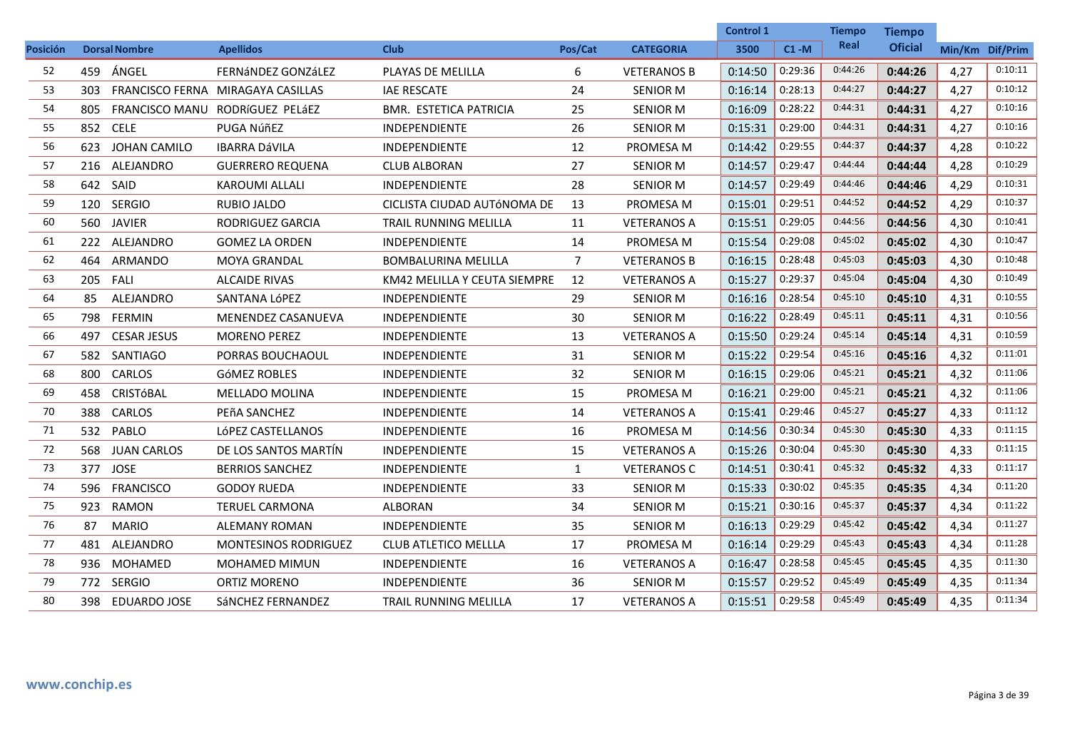|                 |          |                      |                                   |                               |                |                    | <b>Control 1</b> |          | <b>Tiempo</b> | <b>Tiempo</b>  |                 |         |
|-----------------|----------|----------------------|-----------------------------------|-------------------------------|----------------|--------------------|------------------|----------|---------------|----------------|-----------------|---------|
| <b>Posición</b> |          | <b>Dorsal Nombre</b> | <b>Apellidos</b>                  | <b>Club</b>                   | Pos/Cat        | <b>CATEGORIA</b>   | 3500             | $C1 - M$ | Real          | <b>Oficial</b> | Min/Km Dif/Prim |         |
| 52              |          | 459 ÁNGEL            | FERNÁNDEZ GONZÁLEZ                | PLAYAS DE MELILLA             | 6              | <b>VETERANOS B</b> | 0:14:50          | 0:29:36  | 0:44:26       | 0:44:26        | 4,27            | 0:10:11 |
| 53              | 303      |                      | FRANCISCO FERNA MIRAGAYA CASILLAS | <b>IAE RESCATE</b>            | 24             | <b>SENIOR M</b>    | 0:16:14          | 0:28:13  | 0:44:27       | 0:44:27        | 4,27            | 0:10:12 |
| 54              | 805      |                      | FRANCISCO MANU RODRÍGUEZ PELÁEZ   | <b>BMR. ESTETICA PATRICIA</b> | 25             | <b>SENIOR M</b>    | 0:16:09          | 0:28:22  | 0:44:31       | 0:44:31        | 4,27            | 0:10:16 |
| 55              | 852 CELE |                      | PUGA NúñEZ                        | <b>INDEPENDIENTE</b>          | 26             | <b>SENIOR M</b>    | 0:15:31          | 0:29:00  | 0:44:31       | 0:44:31        | 4,27            | 0:10:16 |
| 56              | 623      | JOHAN CAMILO         | <b>IBARRA DÁVILA</b>              | INDEPENDIENTE                 | 12             | PROMESA M          | 0:14:42          | 0:29:55  | 0:44:37       | 0:44:37        | 4,28            | 0:10:22 |
| 57              |          | 216 ALEJANDRO        | <b>GUERRERO REQUENA</b>           | <b>CLUB ALBORAN</b>           | 27             | <b>SENIOR M</b>    | 0:14:57          | 0:29:47  | 0:44:44       | 0:44:44        | 4,28            | 0:10:29 |
| 58              | 642 SAID |                      | <b>KAROUMI ALLALI</b>             | <b>INDEPENDIENTE</b>          | 28             | <b>SENIOR M</b>    | 0:14:57          | 0:29:49  | 0:44:46       | 0:44:46        | 4,29            | 0:10:31 |
| 59              | 120      | <b>SERGIO</b>        | RUBIO JALDO                       | CICLISTA CIUDAD AUTÓNOMA DE   | 13             | PROMESA M          | 0:15:01          | 0:29:51  | 0:44:52       | 0:44:52        | 4,29            | 0:10:37 |
| 60              |          | 560 JAVIER           | RODRIGUEZ GARCIA                  | <b>TRAIL RUNNING MELILLA</b>  | 11             | <b>VETERANOS A</b> | 0:15:51          | 0:29:05  | 0:44:56       | 0:44:56        | 4,30            | 0:10:41 |
| 61              | 222      | ALEJANDRO            | <b>GOMEZ LA ORDEN</b>             | <b>INDEPENDIENTE</b>          | 14             | PROMESA M          | 0:15:54          | 0:29:08  | 0:45:02       | 0:45:02        | 4,30            | 0:10:47 |
| 62              | 464      | ARMANDO              | <b>MOYA GRANDAL</b>               | <b>BOMBALURINA MELILLA</b>    | $\overline{7}$ | <b>VETERANOS B</b> | 0:16:15          | 0:28:48  | 0:45:03       | 0:45:03        | 4,30            | 0:10:48 |
| 63              | 205 FALI |                      | <b>ALCAIDE RIVAS</b>              | KM42 MELILLA Y CEUTA SIEMPRE  | 12             | <b>VETERANOS A</b> | 0:15:27          | 0:29:37  | 0:45:04       | 0:45:04        | 4,30            | 0:10:49 |
| 64              | 85       | ALEJANDRO            | SANTANA LÓPEZ                     | <b>INDEPENDIENTE</b>          | 29             | <b>SENIOR M</b>    | 0:16:16          | 0:28:54  | 0:45:10       | 0:45:10        | 4,31            | 0:10:55 |
| 65              |          | 798 FERMIN           | MENENDEZ CASANUEVA                | <b>INDEPENDIENTE</b>          | 30             | <b>SENIOR M</b>    | 0:16:22          | 0:28:49  | 0:45:11       | 0:45:11        | 4,31            | 0:10:56 |
| 66              | 497      | <b>CESAR JESUS</b>   | <b>MORENO PEREZ</b>               | <b>INDEPENDIENTE</b>          | 13             | <b>VETERANOS A</b> | 0:15:50          | 0:29:24  | 0:45:14       | 0:45:14        | 4,31            | 0:10:59 |
| 67              | 582      | SANTIAGO             | PORRAS BOUCHAOUL                  | <b>INDEPENDIENTE</b>          | 31             | <b>SENIOR M</b>    | 0:15:22          | 0:29:54  | 0:45:16       | 0:45:16        | 4,32            | 0:11:01 |
| 68              | 800      | CARLOS               | <b>GÓMEZ ROBLES</b>               | <b>INDEPENDIENTE</b>          | 32             | <b>SENIOR M</b>    | 0:16:15          | 0:29:06  | 0:45:21       | 0:45:21        | 4,32            | 0:11:06 |
| 69              |          | 458 CRISTÓBAL        | MELLADO MOLINA                    | <b>INDEPENDIENTE</b>          | 15             | PROMESA M          | 0:16:21          | 0:29:00  | 0:45:21       | 0:45:21        | 4,32            | 0:11:06 |
| 70              | 388      | CARLOS               | PEñA SANCHEZ                      | <b>INDEPENDIENTE</b>          | 14             | <b>VETERANOS A</b> | 0:15:41          | 0:29:46  | 0:45:27       | 0:45:27        | 4,33            | 0:11:12 |
| 71              | 532      | PABLO                | LÓPEZ CASTELLANOS                 | <b>INDEPENDIENTE</b>          | 16             | PROMESA M          | 0:14:56          | 0:30:34  | 0:45:30       | 0:45:30        | 4.33            | 0:11:15 |
| 72              | 568      | <b>JUAN CARLOS</b>   | DE LOS SANTOS MARTÍN              | <b>INDEPENDIENTE</b>          | 15             | <b>VETERANOS A</b> | 0:15:26          | 0:30:04  | 0:45:30       | 0:45:30        | 4,33            | 0:11:15 |
| 73              | 377      | <b>JOSE</b>          | <b>BERRIOS SANCHEZ</b>            | <b>INDEPENDIENTE</b>          | $\mathbf{1}$   | <b>VETERANOS C</b> | 0:14:51          | 0:30:41  | 0:45:32       | 0:45:32        | 4,33            | 0:11:17 |
| 74              |          | 596 FRANCISCO        | <b>GODOY RUEDA</b>                | <b>INDEPENDIENTE</b>          | 33             | <b>SENIOR M</b>    | 0:15:33          | 0:30:02  | 0:45:35       | 0:45:35        | 4,34            | 0:11:20 |
| 75              |          | 923 RAMON            | <b>TERUEL CARMONA</b>             | ALBORAN                       | 34             | <b>SENIOR M</b>    | 0:15:21          | 0:30:16  | 0:45:37       | 0:45:37        | 4,34            | 0:11:22 |
| 76              | 87       | <b>MARIO</b>         | <b>ALEMANY ROMAN</b>              | <b>INDEPENDIENTE</b>          | 35             | <b>SENIOR M</b>    | 0:16:13          | 0:29:29  | 0:45:42       | 0:45:42        | 4,34            | 0:11:27 |
| 77              |          | 481 ALEJANDRO        | <b>MONTESINOS RODRIGUEZ</b>       | CLUB ATLETICO MELLLA          | 17             | PROMESA M          | 0:16:14          | 0:29:29  | 0:45:43       | 0:45:43        | 4,34            | 0:11:28 |
| 78              | 936      | MOHAMED              | <b>MOHAMED MIMUN</b>              | INDEPENDIENTE                 | 16             | <b>VETERANOS A</b> | 0:16:47          | 0:28:58  | 0:45:45       | 0:45:45        | 4,35            | 0:11:30 |
| 79              |          | 772 SERGIO           | <b>ORTIZ MORENO</b>               | <b>INDEPENDIENTE</b>          | 36             | <b>SENIOR M</b>    | 0:15:57          | 0:29:52  | 0:45:49       | 0:45:49        | 4,35            | 0:11:34 |
| 80              |          | 398 EDUARDO JOSE     | SÁNCHEZ FERNANDEZ                 | TRAIL RUNNING MELILLA         | 17             | <b>VETERANOS A</b> | 0:15:51          | 0:29:58  | 0:45:49       | 0:45:49        | 4,35            | 0:11:34 |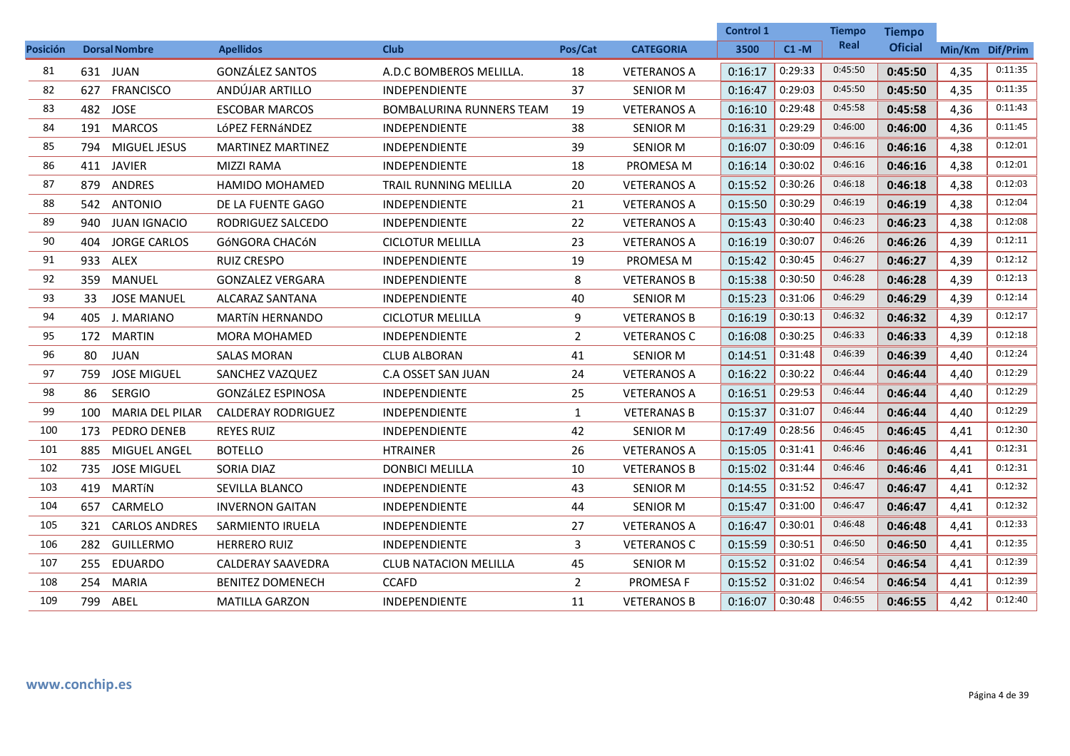|          |     |                      |                           |                                 |                |                    | <b>Control 1</b> |          | <b>Tiempo</b> | Tiempo         |                 |         |
|----------|-----|----------------------|---------------------------|---------------------------------|----------------|--------------------|------------------|----------|---------------|----------------|-----------------|---------|
| Posición |     | <b>Dorsal Nombre</b> | <b>Apellidos</b>          | <b>Club</b>                     | Pos/Cat        | <b>CATEGORIA</b>   | 3500             | $C1 - M$ | Real          | <b>Oficial</b> | Min/Km Dif/Prim |         |
| 81       |     | 631 JUAN             | <b>GONZÁLEZ SANTOS</b>    | A.D.C BOMBEROS MELILLA.         | 18             | <b>VETERANOS A</b> | 0:16:17          | 0:29:33  | 0:45:50       | 0:45:50        | 4,35            | 0:11:35 |
| 82       |     | 627 FRANCISCO        | ANDÚJAR ARTILLO           | <b>INDEPENDIENTE</b>            | 37             | <b>SENIOR M</b>    | 0:16:47          | 0:29:03  | 0:45:50       | 0:45:50        | 4,35            | 0:11:35 |
| 83       |     | 482 JOSE             | <b>ESCOBAR MARCOS</b>     | <b>BOMBALURINA RUNNERS TEAM</b> | 19             | <b>VETERANOS A</b> | 0:16:10          | 0:29:48  | 0:45:58       | 0:45:58        | 4,36            | 0:11:43 |
| 84       |     | 191 MARCOS           | LÓPEZ FERNÁNDEZ           | <b>INDEPENDIENTE</b>            | 38             | <b>SENIOR M</b>    | 0:16:31          | 0:29:29  | 0:46:00       | 0:46:00        | 4,36            | 0:11:45 |
| 85       | 794 | <b>MIGUEL JESUS</b>  | <b>MARTINEZ MARTINEZ</b>  | <b>INDEPENDIENTE</b>            | 39             | <b>SENIOR M</b>    | 0:16:07          | 0:30:09  | 0:46:16       | 0:46:16        | 4,38            | 0:12:01 |
| 86       |     | 411 JAVIER           | MIZZI RAMA                | <b>INDEPENDIENTE</b>            | 18             | PROMESA M          | 0:16:14          | 0:30:02  | 0:46:16       | 0:46:16        | 4,38            | 0:12:01 |
| 87       | 879 | ANDRES               | <b>HAMIDO MOHAMED</b>     | <b>TRAIL RUNNING MELILLA</b>    | 20             | <b>VETERANOS A</b> | 0:15:52          | 0:30:26  | 0:46:18       | 0:46:18        | 4,38            | 0:12:03 |
| 88       |     | 542 ANTONIO          | DE LA FUENTE GAGO         | <b>INDEPENDIENTE</b>            | 21             | <b>VETERANOS A</b> | 0:15:50          | 0:30:29  | 0:46:19       | 0:46:19        | 4,38            | 0:12:04 |
| 89       |     | 940 JUAN IGNACIO     | RODRIGUEZ SALCEDO         | <b>INDEPENDIENTE</b>            | 22             | <b>VETERANOS A</b> | 0:15:43          | 0:30:40  | 0:46:23       | 0:46:23        | 4,38            | 0:12:08 |
| 90       | 404 | <b>JORGE CARLOS</b>  | GÓNGORA CHACÓN            | <b>CICLOTUR MELILLA</b>         | 23             | <b>VETERANOS A</b> | 0:16:19          | 0:30:07  | 0:46:26       | 0:46:26        | 4,39            | 0:12:11 |
| 91       | 933 | <b>ALEX</b>          | <b>RUIZ CRESPO</b>        | INDEPENDIENTE                   | 19             | PROMESA M          | 0:15:42          | 0:30:45  | 0:46:27       | 0:46:27        | 4,39            | 0:12:12 |
| 92       | 359 | MANUEL               | <b>GONZALEZ VERGARA</b>   | <b>INDEPENDIENTE</b>            | 8              | <b>VETERANOS B</b> | 0:15:38          | 0:30:50  | 0:46:28       | 0:46:28        | 4,39            | 0:12:13 |
| 93       | 33  | <b>JOSE MANUEL</b>   | ALCARAZ SANTANA           | <b>INDEPENDIENTE</b>            | 40             | <b>SENIOR M</b>    | 0:15:23          | 0:31:06  | 0:46:29       | 0:46:29        | 4,39            | 0:12:14 |
| 94       | 405 | J. MARIANO           | <b>MARTÍN HERNANDO</b>    | <b>CICLOTUR MELILLA</b>         | 9              | <b>VETERANOS B</b> | 0:16:19          | 0:30:13  | 0:46:32       | 0:46:32        | 4,39            | 0:12:17 |
| 95       | 172 | <b>MARTIN</b>        | <b>MORA MOHAMED</b>       | INDEPENDIENTE                   | $\overline{2}$ | <b>VETERANOS C</b> | 0:16:08          | 0:30:25  | 0:46:33       | 0:46:33        | 4,39            | 0:12:18 |
| 96       | 80  | JUAN                 | <b>SALAS MORAN</b>        | <b>CLUB ALBORAN</b>             | 41             | <b>SENIOR M</b>    | 0:14:51          | 0:31:48  | 0:46:39       | 0:46:39        | 4,40            | 0:12:24 |
| 97       | 759 | <b>JOSE MIGUEL</b>   | SANCHEZ VAZQUEZ           | C.A OSSET SAN JUAN              | 24             | <b>VETERANOS A</b> | 0:16:22          | 0:30:22  | 0:46:44       | 0:46:44        | 4,40            | 0:12:29 |
| 98       | 86  | <b>SERGIO</b>        | GONZáLEZ ESPINOSA         | <b>INDEPENDIENTE</b>            | 25             | <b>VETERANOS A</b> | 0:16:51          | 0:29:53  | 0:46:44       | 0:46:44        | 4,40            | 0:12:29 |
| 99       | 100 | MARIA DEL PILAR      | <b>CALDERAY RODRIGUEZ</b> | <b>INDEPENDIENTE</b>            | 1              | <b>VETERANAS B</b> | 0:15:37          | 0:31:07  | 0:46:44       | 0:46:44        | 4,40            | 0:12:29 |
| 100      | 173 | PEDRO DENEB          | <b>REYES RUIZ</b>         | <b>INDEPENDIENTE</b>            | 42             | <b>SENIOR M</b>    | 0:17:49          | 0:28:56  | 0:46:45       | 0:46:45        | 4.41            | 0:12:30 |
| 101      | 885 | MIGUEL ANGEL         | <b>BOTELLO</b>            | <b>HTRAINER</b>                 | 26             | <b>VETERANOS A</b> | 0:15:05          | 0:31:41  | 0:46:46       | 0:46:46        | 4,41            | 0:12:31 |
| 102      | 735 | <b>JOSE MIGUEL</b>   | SORIA DIAZ                | <b>DONBICI MELILLA</b>          | 10             | <b>VETERANOS B</b> | 0:15:02          | 0:31:44  | 0:46:46       | 0:46:46        | 4,41            | 0:12:31 |
| 103      | 419 | MARTíN               | SEVILLA BLANCO            | <b>INDEPENDIENTE</b>            | 43             | <b>SENIOR M</b>    | 0:14:55          | 0:31:52  | 0:46:47       | 0:46:47        | 4,41            | 0:12:32 |
| 104      | 657 | CARMELO              | <b>INVERNON GAITAN</b>    | INDEPENDIENTE                   | 44             | <b>SENIOR M</b>    | 0:15:47          | 0:31:00  | 0:46:47       | 0:46:47        | 4,41            | 0:12:32 |
| 105      | 321 | <b>CARLOS ANDRES</b> | SARMIENTO IRUELA          | <b>INDEPENDIENTE</b>            | 27             | <b>VETERANOS A</b> | 0:16:47          | 0:30:01  | 0:46:48       | 0:46:48        | 4,41            | 0:12:33 |
| 106      |     | 282 GUILLERMO        | <b>HERRERO RUIZ</b>       | <b>INDEPENDIENTE</b>            | 3              | <b>VETERANOS C</b> | 0:15:59          | 0:30:51  | 0:46:50       | 0:46:50        | 4,41            | 0:12:35 |
| 107      |     | 255 EDUARDO          | <b>CALDERAY SAAVEDRA</b>  | <b>CLUB NATACION MELILLA</b>    | 45             | <b>SENIOR M</b>    | 0:15:52          | 0:31:02  | 0:46:54       | 0:46:54        | 4,41            | 0:12:39 |
| 108      |     | 254 MARIA            | <b>BENITEZ DOMENECH</b>   | <b>CCAFD</b>                    | $\overline{2}$ | <b>PROMESA F</b>   | 0:15:52          | 0:31:02  | 0:46:54       | 0:46:54        | 4,41            | 0:12:39 |
| 109      |     | 799 ABEL             | <b>MATILLA GARZON</b>     | INDEPENDIENTE                   | 11             | <b>VETERANOS B</b> | 0:16:07          | 0:30:48  | 0:46:55       | 0:46:55        | 4,42            | 0:12:40 |
|          |     |                      |                           |                                 |                |                    |                  |          |               |                |                 |         |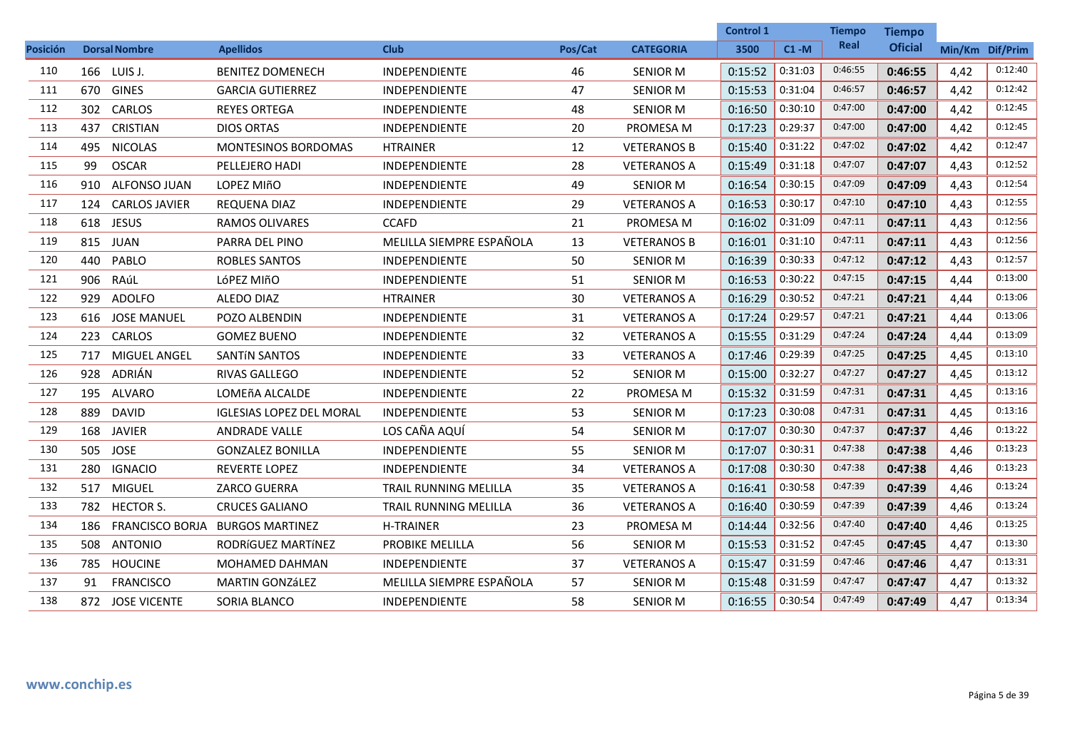|                 |     |                        |                                 |                              |         |                    | <b>Control 1</b> |          | <b>Tiempo</b> | <b>Tiempo</b>  |                 |         |
|-----------------|-----|------------------------|---------------------------------|------------------------------|---------|--------------------|------------------|----------|---------------|----------------|-----------------|---------|
| <b>Posición</b> |     | <b>Dorsal Nombre</b>   | <b>Apellidos</b>                | <b>Club</b>                  | Pos/Cat | <b>CATEGORIA</b>   | 3500             | $C1 - M$ | Real          | <b>Oficial</b> | Min/Km Dif/Prim |         |
| 110             |     | 166 LUIS J.            | <b>BENITEZ DOMENECH</b>         | INDEPENDIENTE                | 46      | <b>SENIOR M</b>    | 0:15:52          | 0:31:03  | 0:46:55       | 0:46:55        | 4,42            | 0:12:40 |
| 111             | 670 | <b>GINES</b>           | <b>GARCIA GUTIERREZ</b>         | <b>INDEPENDIENTE</b>         | 47      | <b>SENIOR M</b>    | 0:15:53          | 0:31:04  | 0:46:57       | 0:46:57        | 4,42            | 0:12:42 |
| 112             | 302 | CARLOS                 | <b>REYES ORTEGA</b>             | <b>INDEPENDIENTE</b>         | 48      | <b>SENIOR M</b>    | 0:16:50          | 0:30:10  | 0:47:00       | 0:47:00        | 4,42            | 0:12:45 |
| 113             | 437 | <b>CRISTIAN</b>        | <b>DIOS ORTAS</b>               | <b>INDEPENDIENTE</b>         | 20      | PROMESA M          | 0:17:23          | 0:29:37  | 0:47:00       | 0:47:00        | 4,42            | 0:12:45 |
| 114             | 495 | <b>NICOLAS</b>         | MONTESINOS BORDOMAS             | <b>HTRAINER</b>              | 12      | <b>VETERANOS B</b> | 0:15:40          | 0:31:22  | 0:47:02       | 0:47:02        | 4,42            | 0:12:47 |
| 115             | 99  | <b>OSCAR</b>           | PELLEJERO HADI                  | <b>INDEPENDIENTE</b>         | 28      | <b>VETERANOS A</b> | 0:15:49          | 0:31:18  | 0:47:07       | 0:47:07        | 4,43            | 0:12:52 |
| 116             |     | 910 ALFONSO JUAN       | LOPEZ MIñO                      | <b>INDEPENDIENTE</b>         | 49      | <b>SENIOR M</b>    | 0:16:54          | 0:30:15  | 0:47:09       | 0:47:09        | 4,43            | 0:12:54 |
| 117             | 124 | <b>CARLOS JAVIER</b>   | REQUENA DIAZ                    | <b>INDEPENDIENTE</b>         | 29      | <b>VETERANOS A</b> | 0:16:53          | 0:30:17  | 0:47:10       | 0:47:10        | 4,43            | 0:12:55 |
| 118             |     | 618 JESUS              | RAMOS OLIVARES                  | <b>CCAFD</b>                 | 21      | PROMESA M          | 0:16:02          | 0:31:09  | 0:47:11       | 0:47:11        | 4,43            | 0:12:56 |
| 119             |     | 815 JUAN               | PARRA DEL PINO                  | MELILLA SIEMPRE ESPAÑOLA     | 13      | <b>VETERANOS B</b> | 0:16:01          | 0:31:10  | 0:47:11       | 0:47:11        | 4,43            | 0:12:56 |
| 120             | 440 | PABLO                  | ROBLES SANTOS                   | <b>INDEPENDIENTE</b>         | 50      | <b>SENIOR M</b>    | 0:16:39          | 0:30:33  | 0:47:12       | 0:47:12        | 4,43            | 0:12:57 |
| 121             | 906 | RAúL                   | LóPEZ MIñO                      | INDEPENDIENTE                | 51      | <b>SENIOR M</b>    | 0:16:53          | 0:30:22  | 0:47:15       | 0:47:15        | 4,44            | 0:13:00 |
| 122             | 929 | ADOLFO                 | <b>ALEDO DIAZ</b>               | <b>HTRAINER</b>              | 30      | <b>VETERANOS A</b> | 0:16:29          | 0:30:52  | 0:47:21       | 0:47:21        | 4,44            | 0:13:06 |
| 123             |     | 616 JOSE MANUEL        | POZO ALBENDIN                   | INDEPENDIENTE                | 31      | <b>VETERANOS A</b> | 0:17:24          | 0:29:57  | 0:47:21       | 0:47:21        | 4,44            | 0:13:06 |
| 124             | 223 | CARLOS                 | <b>GOMEZ BUENO</b>              | <b>INDEPENDIENTE</b>         | 32      | <b>VETERANOS A</b> | 0:15:55          | 0:31:29  | 0:47:24       | 0:47:24        | 4,44            | 0:13:09 |
| 125             | 717 | MIGUEL ANGEL           | SANTÍN SANTOS                   | <b>INDEPENDIENTE</b>         | 33      | <b>VETERANOS A</b> | 0:17:46          | 0:29:39  | 0:47:25       | 0:47:25        | 4,45            | 0:13:10 |
| 126             |     | 928 ADRIÁN             | <b>RIVAS GALLEGO</b>            | <b>INDEPENDIENTE</b>         | 52      | <b>SENIOR M</b>    | 0:15:00          | 0:32:27  | 0:47:27       | 0:47:27        | 4,45            | 0:13:12 |
| 127             |     | 195 ALVARO             | LOMEñA ALCALDE                  | INDEPENDIENTE                | 22      | PROMESA M          | 0:15:32          | 0:31:59  | 0:47:31       | 0:47:31        | 4,45            | 0:13:16 |
| 128             | 889 | <b>DAVID</b>           | <b>IGLESIAS LOPEZ DEL MORAL</b> | <b>INDEPENDIENTE</b>         | 53      | <b>SENIOR M</b>    | 0:17:23          | 0:30:08  | 0:47:31       | 0:47:31        | 4,45            | 0:13:16 |
| 129             |     | 168 JAVIER             | <b>ANDRADE VALLE</b>            | LOS CAÑA AQUÍ                | 54      | <b>SENIOR M</b>    | 0:17:07          | 0:30:30  | 0:47:37       | 0:47:37        | 4,46            | 0:13:22 |
| 130             | 505 | <b>JOSE</b>            | <b>GONZALEZ BONILLA</b>         | <b>INDEPENDIENTE</b>         | 55      | <b>SENIOR M</b>    | 0:17:07          | 0:30:31  | 0:47:38       | 0:47:38        | 4,46            | 0:13:23 |
| 131             | 280 | <b>IGNACIO</b>         | <b>REVERTE LOPEZ</b>            | <b>INDEPENDIENTE</b>         | 34      | <b>VETERANOS A</b> | 0:17:08          | 0:30:30  | 0:47:38       | 0:47:38        | 4,46            | 0:13:23 |
| 132             | 517 | <b>MIGUEL</b>          | ZARCO GUERRA                    | <b>TRAIL RUNNING MELILLA</b> | 35      | <b>VETERANOS A</b> | 0:16:41          | 0:30:58  | 0:47:39       | 0:47:39        | 4,46            | 0:13:24 |
| 133             |     | 782 HECTOR S.          | <b>CRUCES GALIANO</b>           | <b>TRAIL RUNNING MELILLA</b> | 36      | <b>VETERANOS A</b> | 0:16:40          | 0:30:59  | 0:47:39       | 0:47:39        | 4,46            | 0:13:24 |
| 134             | 186 | <b>FRANCISCO BORJA</b> | <b>BURGOS MARTINEZ</b>          | <b>H-TRAINER</b>             | 23      | PROMESA M          | 0:14:44          | 0:32:56  | 0:47:40       | 0:47:40        | 4,46            | 0:13:25 |
| 135             | 508 | <b>ANTONIO</b>         | RODRÍGUEZ MARTÍNEZ              | <b>PROBIKE MELILLA</b>       | 56      | <b>SENIOR M</b>    | 0:15:53          | 0:31:52  | 0:47:45       | 0:47:45        | 4,47            | 0:13:30 |
| 136             |     | 785 HOUCINE            | <b>MOHAMED DAHMAN</b>           | <b>INDEPENDIENTE</b>         | 37      | <b>VETERANOS A</b> | 0:15:47          | 0:31:59  | 0:47:46       | 0:47:46        | 4,47            | 0:13:31 |
| 137             | 91  | <b>FRANCISCO</b>       | <b>MARTIN GONZÁLEZ</b>          | MELILLA SIEMPRE ESPAÑOLA     | 57      | <b>SENIOR M</b>    | 0:15:48          | 0:31:59  | 0:47:47       | 0:47:47        | 4,47            | 0:13:32 |
| 138             |     | 872 JOSE VICENTE       | SORIA BLANCO                    | INDEPENDIENTE                | 58      | <b>SENIOR M</b>    | 0:16:55          | 0:30:54  | 0:47:49       | 0:47:49        | 4,47            | 0:13:34 |
|                 |     |                        |                                 |                              |         |                    |                  |          |               |                |                 |         |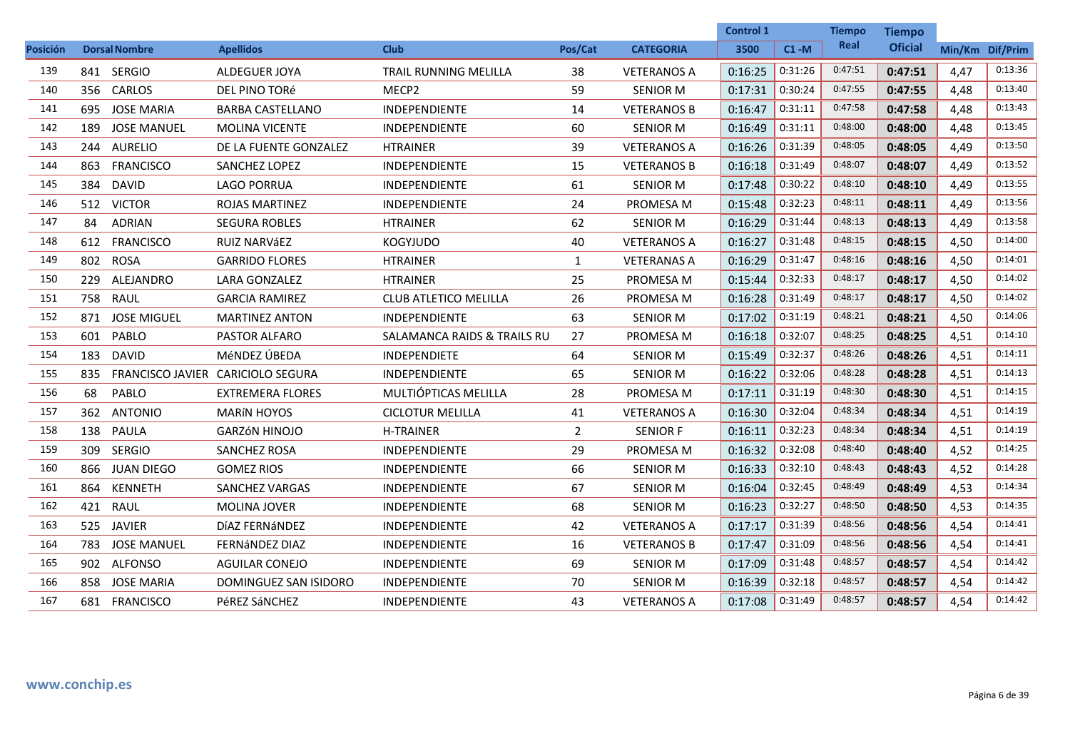|                 |     |                      |                                   |                              |                |                    | <b>Control 1</b> |          | <b>Tiempo</b> | <b>Tiempo</b>  |                 |         |
|-----------------|-----|----------------------|-----------------------------------|------------------------------|----------------|--------------------|------------------|----------|---------------|----------------|-----------------|---------|
| <b>Posición</b> |     | <b>Dorsal Nombre</b> | <b>Apellidos</b>                  | <b>Club</b>                  | Pos/Cat        | <b>CATEGORIA</b>   | 3500             | $C1 - M$ | Real          | <b>Oficial</b> | Min/Km Dif/Prim |         |
| 139             |     | 841 SERGIO           | <b>ALDEGUER JOYA</b>              | <b>TRAIL RUNNING MELILLA</b> | 38             | <b>VETERANOS A</b> | 0:16:25          | 0:31:26  | 0:47:51       | 0:47:51        | 4,47            | 0:13:36 |
| 140             |     | 356 CARLOS           | DEL PINO TORÉ                     | MECP <sub>2</sub>            | 59             | <b>SENIOR M</b>    | 0:17:31          | 0:30:24  | 0:47:55       | 0:47:55        | 4,48            | 0:13:40 |
| 141             | 695 | <b>JOSE MARIA</b>    | <b>BARBA CASTELLANO</b>           | <b>INDEPENDIENTE</b>         | 14             | <b>VETERANOS B</b> | 0:16:47          | 0:31:11  | 0:47:58       | 0:47:58        | 4,48            | 0:13:43 |
| 142             |     | 189 JOSE MANUEL      | <b>MOLINA VICENTE</b>             | <b>INDEPENDIENTE</b>         | 60             | <b>SENIOR M</b>    | 0:16:49          | 0:31:11  | 0:48:00       | 0:48:00        | 4,48            | 0:13:45 |
| 143             |     | 244 AURELIO          | DE LA FUENTE GONZALEZ             | <b>HTRAINER</b>              | 39             | <b>VETERANOS A</b> | 0:16:26          | 0:31:39  | 0:48:05       | 0:48:05        | 4,49            | 0:13:50 |
| 144             | 863 | <b>FRANCISCO</b>     | SANCHEZ LOPEZ                     | INDEPENDIENTE                | 15             | <b>VETERANOS B</b> | 0:16:18          | 0:31:49  | 0:48:07       | 0:48:07        | 4,49            | 0:13:52 |
| 145             | 384 | <b>DAVID</b>         | <b>LAGO PORRUA</b>                | <b>INDEPENDIENTE</b>         | 61             | <b>SENIOR M</b>    | 0:17:48          | 0:30:22  | 0:48:10       | 0:48:10        | 4,49            | 0:13:55 |
| 146             |     | 512 VICTOR           | ROJAS MARTINEZ                    | <b>INDEPENDIENTE</b>         | 24             | PROMESA M          | 0:15:48          | 0:32:23  | 0:48:11       | 0:48:11        | 4,49            | 0:13:56 |
| 147             | 84  | <b>ADRIAN</b>        | <b>SEGURA ROBLES</b>              | <b>HTRAINER</b>              | 62             | <b>SENIOR M</b>    | 0:16:29          | 0:31:44  | 0:48:13       | 0:48:13        | 4,49            | 0:13:58 |
| 148             | 612 | <b>FRANCISCO</b>     | RUIZ NARVÁEZ                      | <b>KOGYJUDO</b>              | 40             | <b>VETERANOS A</b> | 0:16:27          | 0:31:48  | 0:48:15       | 0:48:15        | 4,50            | 0:14:00 |
| 149             | 802 | ROSA                 | <b>GARRIDO FLORES</b>             | <b>HTRAINER</b>              | 1              | <b>VETERANAS A</b> | 0:16:29          | 0:31:47  | 0:48:16       | 0:48:16        | 4,50            | 0:14:01 |
| 150             | 229 | ALEJANDRO            | LARA GONZALEZ                     | <b>HTRAINER</b>              | 25             | PROMESA M          | 0:15:44          | 0:32:33  | 0:48:17       | 0:48:17        | 4,50            | 0:14:02 |
| 151             | 758 | RAUL                 | <b>GARCIA RAMIREZ</b>             | <b>CLUB ATLETICO MELILLA</b> | 26             | PROMESA M          | 0:16:28          | 0:31:49  | 0:48:17       | 0:48:17        | 4,50            | 0:14:02 |
| 152             |     | 871 JOSE MIGUEL      | <b>MARTINEZ ANTON</b>             | <b>INDEPENDIENTE</b>         | 63             | <b>SENIOR M</b>    | 0:17:02          | 0:31:19  | 0:48:21       | 0:48:21        | 4,50            | 0:14:06 |
| 153             | 601 | PABLO                | PASTOR ALFARO                     | SALAMANCA RAIDS & TRAILS RU  | 27             | PROMESA M          | 0:16:18          | 0:32:07  | 0:48:25       | 0:48:25        | 4,51            | 0:14:10 |
| 154             | 183 | DAVID                | MéNDEZ ÚBEDA                      | INDEPENDIETE                 | 64             | <b>SENIOR M</b>    | 0:15:49          | 0:32:37  | 0:48:26       | 0:48:26        | 4,51            | 0:14:11 |
| 155             | 835 |                      | FRANCISCO JAVIER CARICIOLO SEGURA | <b>INDEPENDIENTE</b>         | 65             | <b>SENIOR M</b>    | 0:16:22          | 0:32:06  | 0:48:28       | 0:48:28        | 4,51            | 0:14:13 |
| 156             | 68  | PABLO                | <b>EXTREMERA FLORES</b>           | MULTIÓPTICAS MELILLA         | 28             | PROMESA M          | 0:17:11          | 0:31:19  | 0:48:30       | 0:48:30        | 4,51            | 0:14:15 |
| 157             |     | 362 ANTONIO          | <b>MARÍN HOYOS</b>                | <b>CICLOTUR MELILLA</b>      | 41             | <b>VETERANOS A</b> | 0:16:30          | 0:32:04  | 0:48:34       | 0:48:34        | 4,51            | 0:14:19 |
| 158             | 138 | PAULA                | <b>GARZÓN HINOJO</b>              | <b>H-TRAINER</b>             | $\overline{2}$ | <b>SENIOR F</b>    | 0:16:11          | 0:32:23  | 0:48:34       | 0:48:34        | 4,51            | 0:14:19 |
| 159             | 309 | <b>SERGIO</b>        | <b>SANCHEZ ROSA</b>               | <b>INDEPENDIENTE</b>         | 29             | PROMESA M          | 0:16:32          | 0:32:08  | 0:48:40       | 0:48:40        | 4,52            | 0:14:25 |
| 160             | 866 | JUAN DIEGO           | <b>GOMEZ RIOS</b>                 | INDEPENDIENTE                | 66             | <b>SENIOR M</b>    | 0:16:33          | 0:32:10  | 0:48:43       | 0:48:43        | 4,52            | 0:14:28 |
| 161             | 864 | KENNETH              | SANCHEZ VARGAS                    | <b>INDEPENDIENTE</b>         | 67             | <b>SENIOR M</b>    | 0:16:04          | 0:32:45  | 0:48:49       | 0:48:49        | 4,53            | 0:14:34 |
| 162             |     | 421 RAUL             | <b>MOLINA JOVER</b>               | <b>INDEPENDIENTE</b>         | 68             | <b>SENIOR M</b>    | 0:16:23          | 0:32:27  | 0:48:50       | 0:48:50        | 4,53            | 0:14:35 |
| 163             | 525 | <b>JAVIER</b>        | DÍAZ FERNÁNDEZ                    | <b>INDEPENDIENTE</b>         | 42             | <b>VETERANOS A</b> | 0:17:17          | 0:31:39  | 0:48:56       | 0:48:56        | 4,54            | 0:14:41 |
| 164             | 783 | <b>JOSE MANUEL</b>   | FERNÁNDEZ DIAZ                    | INDEPENDIENTE                | 16             | <b>VETERANOS B</b> | 0:17:47          | 0:31:09  | 0:48:56       | 0:48:56        | 4,54            | 0:14:41 |
| 165             |     | 902 ALFONSO          | <b>AGUILAR CONEJO</b>             | <b>INDEPENDIENTE</b>         | 69             | <b>SENIOR M</b>    | 0:17:09          | 0:31:48  | 0:48:57       | 0:48:57        | 4,54            | 0:14:42 |
| 166             |     | 858 JOSE MARIA       | DOMINGUEZ SAN ISIDORO             | <b>INDEPENDIENTE</b>         | 70             | <b>SENIOR M</b>    | 0:16:39          | 0:32:18  | 0:48:57       | 0:48:57        | 4,54            | 0:14:42 |
| 167             |     | 681 FRANCISCO        | PéREZ SáNCHEZ                     | INDEPENDIENTE                | 43             | <b>VETERANOS A</b> | 0:17:08          | 0:31:49  | 0:48:57       | 0:48:57        | 4,54            | 0:14:42 |
|                 |     |                      |                                   |                              |                |                    |                  |          |               |                |                 |         |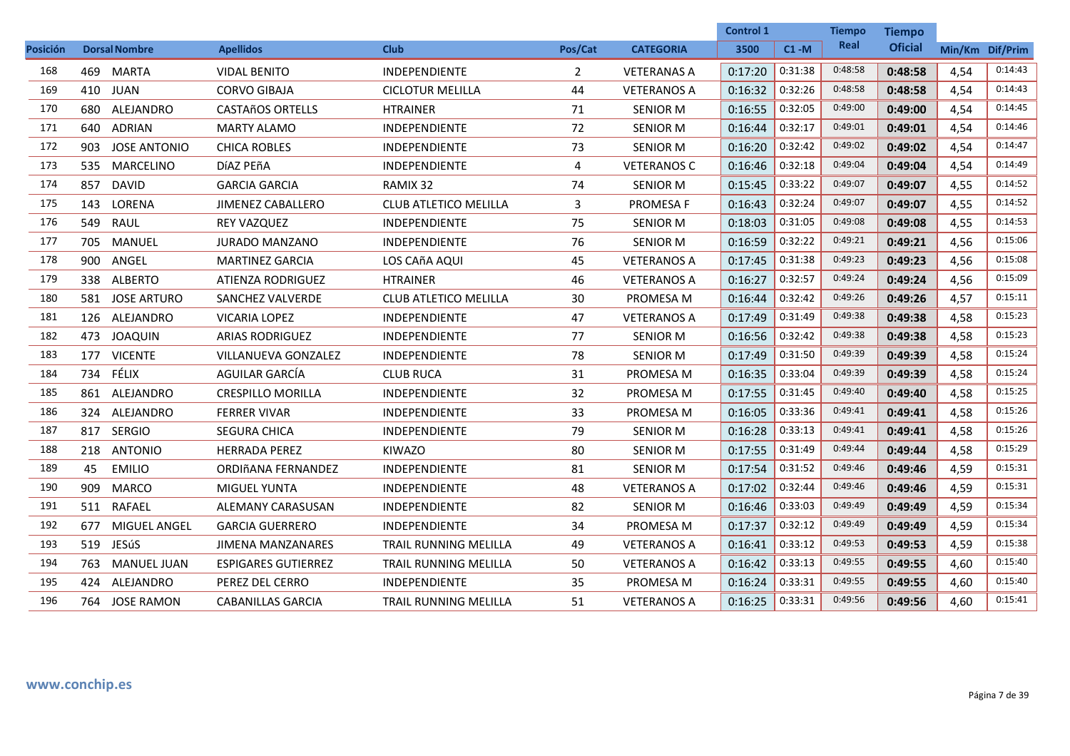|                 |                      |                     |                            |                              |                |                    | <b>Control 1</b> |          | <b>Tiempo</b> | Tiempo         |                 |         |
|-----------------|----------------------|---------------------|----------------------------|------------------------------|----------------|--------------------|------------------|----------|---------------|----------------|-----------------|---------|
| <b>Posición</b> | <b>Dorsal Nombre</b> |                     | <b>Apellidos</b>           | <b>Club</b>                  | Pos/Cat        | <b>CATEGORIA</b>   | 3500             | $C1 - M$ | Real          | <b>Oficial</b> | Min/Km Dif/Prim |         |
| 168             | 469 MARTA            |                     | <b>VIDAL BENITO</b>        | INDEPENDIENTE                | $\overline{2}$ | <b>VETERANAS A</b> | 0:17:20          | 0:31:38  | 0:48:58       | 0:48:58        | 4,54            | 0:14:43 |
| 169             | 410 JUAN             |                     | <b>CORVO GIBAJA</b>        | <b>CICLOTUR MELILLA</b>      | 44             | <b>VETERANOS A</b> | 0:16:32          | 0:32:26  | 0:48:58       | 0:48:58        | 4,54            | 0:14:43 |
| 170             | 680                  | ALEJANDRO           | <b>CASTAñOS ORTELLS</b>    | <b>HTRAINER</b>              | 71             | <b>SENIOR M</b>    | 0:16:55          | 0:32:05  | 0:49:00       | 0:49:00        | 4,54            | 0:14:45 |
| 171             | 640 ADRIAN           |                     | <b>MARTY ALAMO</b>         | <b>INDEPENDIENTE</b>         | 72             | <b>SENIOR M</b>    | 0:16:44          | 0:32:17  | 0:49:01       | 0:49:01        | 4,54            | 0:14:46 |
| 172             | 903                  | <b>JOSE ANTONIO</b> | <b>CHICA ROBLES</b>        | <b>INDEPENDIENTE</b>         | 73             | <b>SENIOR M</b>    | 0:16:20          | 0:32:42  | 0:49:02       | 0:49:02        | 4,54            | 0:14:47 |
| 173             | 535                  | MARCELINO           | DÍAZ PEñA                  | INDEPENDIENTE                | 4              | <b>VETERANOS C</b> | 0:16:46          | 0:32:18  | 0:49:04       | 0:49:04        | 4,54            | 0:14:49 |
| 174             | 857                  | <b>DAVID</b>        | <b>GARCIA GARCIA</b>       | RAMIX 32                     | 74             | <b>SENIOR M</b>    | 0:15:45          | 0:33:22  | 0:49:07       | 0:49:07        | 4,55            | 0:14:52 |
| 175             | 143                  | LORENA              | <b>JIMENEZ CABALLERO</b>   | <b>CLUB ATLETICO MELILLA</b> | 3              | <b>PROMESA F</b>   | 0:16:43          | 0:32:24  | 0:49:07       | 0:49:07        | 4,55            | 0:14:52 |
| 176             | 549                  | RAUL                | <b>REY VAZQUEZ</b>         | <b>INDEPENDIENTE</b>         | 75             | <b>SENIOR M</b>    | 0:18:03          | 0:31:05  | 0:49:08       | 0:49:08        | 4,55            | 0:14:53 |
| 177             | 705                  | MANUEL              | <b>JURADO MANZANO</b>      | INDEPENDIENTE                | 76             | <b>SENIOR M</b>    | 0:16:59          | 0:32:22  | 0:49:21       | 0:49:21        | 4,56            | 0:15:06 |
| 178             | 900                  | ANGEL               | <b>MARTINEZ GARCIA</b>     | LOS CAñA AQUI                | 45             | <b>VETERANOS A</b> | 0:17:45          | 0:31:38  | 0:49:23       | 0:49:23        | 4,56            | 0:15:08 |
| 179             | 338 ALBERTO          |                     | ATIENZA RODRIGUEZ          | <b>HTRAINER</b>              | 46             | <b>VETERANOS A</b> | 0:16:27          | 0:32:57  | 0:49:24       | 0:49:24        | 4,56            | 0:15:09 |
| 180             |                      | 581 JOSE ARTURO     | <b>SANCHEZ VALVERDE</b>    | <b>CLUB ATLETICO MELILLA</b> | 30             | PROMESA M          | 0:16:44          | 0:32:42  | 0:49:26       | 0:49:26        | 4,57            | 0:15:11 |
| 181             |                      | 126 ALEJANDRO       | <b>VICARIA LOPEZ</b>       | <b>INDEPENDIENTE</b>         | 47             | <b>VETERANOS A</b> | 0:17:49          | 0:31:49  | 0:49:38       | 0:49:38        | 4,58            | 0:15:23 |
| 182             | 473                  | <b>JOAQUIN</b>      | <b>ARIAS RODRIGUEZ</b>     | INDEPENDIENTE                | 77             | <b>SENIOR M</b>    | 0:16:56          | 0:32:42  | 0:49:38       | 0:49:38        | 4,58            | 0:15:23 |
| 183             | 177 VICENTE          |                     | VILLANUEVA GONZALEZ        | INDEPENDIENTE                | 78             | <b>SENIOR M</b>    | 0:17:49          | 0:31:50  | 0:49:39       | 0:49:39        | 4,58            | 0:15:24 |
| 184             | 734                  | FÉLIX               | AGUILAR GARCÍA             | <b>CLUB RUCA</b>             | 31             | PROMESA M          | 0:16:35          | 0:33:04  | 0:49:39       | 0:49:39        | 4,58            | 0:15:24 |
| 185             |                      | 861 ALEJANDRO       | <b>CRESPILLO MORILLA</b>   | <b>INDEPENDIENTE</b>         | 32             | PROMESA M          | 0:17:55          | 0:31:45  | 0:49:40       | 0:49:40        | 4,58            | 0:15:25 |
| 186             |                      | 324 ALEJANDRO       | <b>FERRER VIVAR</b>        | <b>INDEPENDIENTE</b>         | 33             | PROMESA M          | 0:16:05          | 0:33:36  | 0:49:41       | 0:49:41        | 4,58            | 0:15:26 |
| 187             | 817                  | <b>SERGIO</b>       | SEGURA CHICA               | INDEPENDIENTE                | 79             | <b>SENIOR M</b>    | 0:16:28          | 0:33:13  | 0:49:41       | 0:49:41        | 4,58            | 0:15:26 |
| 188             | 218 ANTONIO          |                     | <b>HERRADA PEREZ</b>       | <b>KIWAZO</b>                | 80             | <b>SENIOR M</b>    | 0:17:55          | 0:31:49  | 0:49:44       | 0:49:44        | 4,58            | 0:15:29 |
| 189             | 45                   | <b>EMILIO</b>       | ORDIñANA FERNANDEZ         | <b>INDEPENDIENTE</b>         | 81             | <b>SENIOR M</b>    | 0:17:54          | 0:31:52  | 0:49:46       | 0:49:46        | 4,59            | 0:15:31 |
| 190             | 909                  | MARCO               | <b>MIGUEL YUNTA</b>        | INDEPENDIENTE                | 48             | <b>VETERANOS A</b> | 0:17:02          | 0:32:44  | 0:49:46       | 0:49:46        | 4,59            | 0:15:31 |
| 191             | 511 RAFAEL           |                     | ALEMANY CARASUSAN          | <b>INDEPENDIENTE</b>         | 82             | <b>SENIOR M</b>    | 0:16:46          | 0:33:03  | 0:49:49       | 0:49:49        | 4,59            | 0:15:34 |
| 192             | 677                  | MIGUEL ANGEL        | <b>GARCIA GUERRERO</b>     | <b>INDEPENDIENTE</b>         | 34             | PROMESA M          | 0:17:37          | 0:32:12  | 0:49:49       | 0:49:49        | 4,59            | 0:15:34 |
| 193             | 519 JESúS            |                     | <b>JIMENA MANZANARES</b>   | <b>TRAIL RUNNING MELILLA</b> | 49             | <b>VETERANOS A</b> | 0:16:41          | 0:33:12  | 0:49:53       | 0:49:53        | 4,59            | 0:15:38 |
| 194             | 763                  | MANUEL JUAN         | <b>ESPIGARES GUTIERREZ</b> | <b>TRAIL RUNNING MELILLA</b> | 50             | <b>VETERANOS A</b> | 0:16:42          | 0:33:13  | 0:49:55       | 0:49:55        | 4,60            | 0:15:40 |
| 195             |                      | 424 ALEJANDRO       | PEREZ DEL CERRO            | <b>INDEPENDIENTE</b>         | 35             | PROMESA M          | 0:16:24          | 0:33:31  | 0:49:55       | 0:49:55        | 4,60            | 0:15:40 |
| 196             |                      | 764 JOSE RAMON      | <b>CABANILLAS GARCIA</b>   | TRAIL RUNNING MELILLA        | 51             | <b>VETERANOS A</b> | 0:16:25          | 0:33:31  | 0:49:56       | 0:49:56        | 4,60            | 0:15:41 |
|                 |                      |                     |                            |                              |                |                    |                  |          |               |                |                 |         |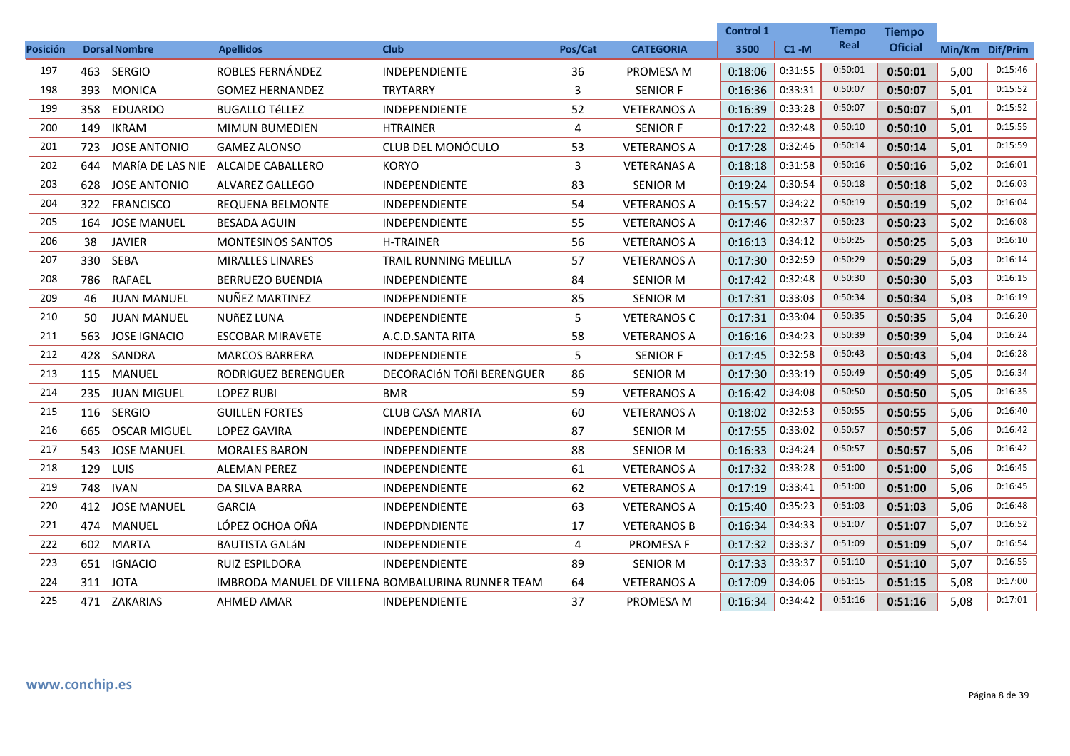|                 |     |                      |                          |                                                   |         |                    | <b>Control 1</b> |          | <b>Tiempo</b> | <b>Tiempo</b>  |                 |         |
|-----------------|-----|----------------------|--------------------------|---------------------------------------------------|---------|--------------------|------------------|----------|---------------|----------------|-----------------|---------|
| <b>Posición</b> |     | <b>Dorsal Nombre</b> | <b>Apellidos</b>         | <b>Club</b>                                       | Pos/Cat | <b>CATEGORIA</b>   | 3500             | $C1 - M$ | Real          | <b>Oficial</b> | Min/Km Dif/Prim |         |
| 197             |     | 463 SERGIO           | ROBLES FERNÁNDEZ         | <b>INDEPENDIENTE</b>                              | 36      | PROMESA M          | 0:18:06          | 0:31:55  | 0:50:01       | 0:50:01        | 5,00            | 0:15:46 |
| 198             |     | 393 MONICA           | <b>GOMEZ HERNANDEZ</b>   | <b>TRYTARRY</b>                                   | 3       | <b>SENIOR F</b>    | 0:16:36          | 0:33:31  | 0:50:07       | 0:50:07        | 5,01            | 0:15:52 |
| 199             |     | 358 EDUARDO          | <b>BUGALLO TéLLEZ</b>    | <b>INDEPENDIENTE</b>                              | 52      | <b>VETERANOS A</b> | 0:16:39          | 0:33:28  | 0:50:07       | 0:50:07        | 5,01            | 0:15:52 |
| 200             | 149 | <b>IKRAM</b>         | <b>MIMUN BUMEDIEN</b>    | <b>HTRAINER</b>                                   | 4       | <b>SENIOR F</b>    | 0:17:22          | 0:32:48  | 0:50:10       | 0:50:10        | 5,01            | 0:15:55 |
| 201             | 723 | <b>JOSE ANTONIO</b>  | <b>GAMEZ ALONSO</b>      | CLUB DEL MONÓCULO                                 | 53      | <b>VETERANOS A</b> | 0:17:28          | 0:32:46  | 0:50:14       | 0:50:14        | 5,01            | 0:15:59 |
| 202             | 644 | MARÍA DE LAS NIE     | ALCAIDE CABALLERO        | <b>KORYO</b>                                      | 3       | <b>VETERANAS A</b> | 0:18:18          | 0:31:58  | 0:50:16       | 0:50:16        | 5,02            | 0:16:01 |
| 203             |     | 628 JOSE ANTONIO     | <b>ALVAREZ GALLEGO</b>   | <b>INDEPENDIENTE</b>                              | 83      | <b>SENIOR M</b>    | 0:19:24          | 0:30:54  | 0:50:18       | 0:50:18        | 5.02            | 0:16:03 |
| 204             |     | 322 FRANCISCO        | REQUENA BELMONTE         | <b>INDEPENDIENTE</b>                              | 54      | <b>VETERANOS A</b> | 0:15:57          | 0:34:22  | 0:50:19       | 0:50:19        | 5,02            | 0:16:04 |
| 205             | 164 | <b>JOSE MANUEL</b>   | <b>BESADA AGUIN</b>      | <b>INDEPENDIENTE</b>                              | 55      | <b>VETERANOS A</b> | 0:17:46          | 0:32:37  | 0:50:23       | 0:50:23        | 5,02            | 0:16:08 |
| 206             | 38  | <b>JAVIER</b>        | <b>MONTESINOS SANTOS</b> | <b>H-TRAINER</b>                                  | 56      | <b>VETERANOS A</b> | 0:16:13          | 0:34:12  | 0:50:25       | 0:50:25        | 5,03            | 0:16:10 |
| 207             |     | 330 SEBA             | <b>MIRALLES LINARES</b>  | <b>TRAIL RUNNING MELILLA</b>                      | 57      | <b>VETERANOS A</b> | 0:17:30          | 0:32:59  | 0:50:29       | 0:50:29        | 5,03            | 0:16:14 |
| 208             | 786 | RAFAEL               | <b>BERRUEZO BUENDIA</b>  | INDEPENDIENTE                                     | 84      | <b>SENIOR M</b>    | 0:17:42          | 0:32:48  | 0:50:30       | 0:50:30        | 5,03            | 0:16:15 |
| 209             | 46  | <b>JUAN MANUEL</b>   | NUÑEZ MARTINEZ           | <b>INDEPENDIENTE</b>                              | 85      | <b>SENIOR M</b>    | 0:17:31          | 0:33:03  | 0:50:34       | 0:50:34        | 5,03            | 0:16:19 |
| 210             | 50  | <b>JUAN MANUEL</b>   | <b>NUÑEZ LUNA</b>        | INDEPENDIENTE                                     | 5       | <b>VETERANOS C</b> | 0:17:31          | 0:33:04  | 0:50:35       | 0:50:35        | 5,04            | 0:16:20 |
| 211             |     | 563 JOSE IGNACIO     | <b>ESCOBAR MIRAVETE</b>  | A.C.D.SANTA RITA                                  | 58      | <b>VETERANOS A</b> | 0:16:16          | 0:34:23  | 0:50:39       | 0:50:39        | 5,04            | 0:16:24 |
| 212             |     | 428 SANDRA           | <b>MARCOS BARRERA</b>    | <b>INDEPENDIENTE</b>                              | 5       | <b>SENIOR F</b>    | 0:17:45          | 0:32:58  | 0:50:43       | 0:50:43        | 5,04            | 0:16:28 |
| 213             |     | 115 MANUEL           | RODRIGUEZ BERENGUER      | DECORACIÓN TOÑI BERENGUER                         | 86      | <b>SENIOR M</b>    | 0:17:30          | 0:33:19  | 0:50:49       | 0:50:49        | 5,05            | 0:16:34 |
| 214             |     | 235 JUAN MIGUEL      | <b>LOPEZ RUBI</b>        | <b>BMR</b>                                        | 59      | <b>VETERANOS A</b> | 0:16:42          | 0:34:08  | 0:50:50       | 0:50:50        | 5,05            | 0:16:35 |
| 215             |     | 116 SERGIO           | <b>GUILLEN FORTES</b>    | <b>CLUB CASA MARTA</b>                            | 60      | <b>VETERANOS A</b> | 0:18:02          | 0:32:53  | 0:50:55       | 0:50:55        | 5,06            | 0:16:40 |
| 216             | 665 | <b>OSCAR MIGUEL</b>  | <b>LOPEZ GAVIRA</b>      | <b>INDEPENDIENTE</b>                              | 87      | <b>SENIOR M</b>    | 0:17:55          | 0:33:02  | 0:50:57       | 0:50:57        | 5,06            | 0:16:42 |
| 217             | 543 | <b>JOSE MANUEL</b>   | <b>MORALES BARON</b>     | INDEPENDIENTE                                     | 88      | <b>SENIOR M</b>    | 0:16:33          | 0:34:24  | 0:50:57       | 0:50:57        | 5,06            | 0:16:42 |
| 218             |     | 129 LUIS             | ALEMAN PEREZ             | <b>INDEPENDIENTE</b>                              | 61      | <b>VETERANOS A</b> | 0:17:32          | 0:33:28  | 0:51:00       | 0:51:00        | 5.06            | 0:16:45 |
| 219             | 748 | <b>IVAN</b>          | DA SILVA BARRA           | <b>INDEPENDIENTE</b>                              | 62      | <b>VETERANOS A</b> | 0:17:19          | 0:33:41  | 0:51:00       | 0:51:00        | 5,06            | 0:16:45 |
| 220             |     | 412 JOSE MANUEL      | <b>GARCIA</b>            | <b>INDEPENDIENTE</b>                              | 63      | <b>VETERANOS A</b> | 0:15:40          | 0:35:23  | 0:51:03       | 0:51:03        | 5,06            | 0:16:48 |
| 221             |     | 474 MANUEL           | LÓPEZ OCHOA OÑA          | <b>INDEPDNDIENTE</b>                              | 17      | <b>VETERANOS B</b> | 0:16:34          | 0:34:33  | 0:51:07       | 0:51:07        | 5,07            | 0:16:52 |
| 222             |     | 602 MARTA            | <b>BAUTISTA GALÁN</b>    | <b>INDEPENDIENTE</b>                              | 4       | <b>PROMESA F</b>   | 0:17:32          | 0:33:37  | 0:51:09       | 0:51:09        | 5.07            | 0:16:54 |
| 223             |     | 651 IGNACIO          | RUIZ ESPILDORA           | <b>INDEPENDIENTE</b>                              | 89      | <b>SENIOR M</b>    | 0:17:33          | 0:33:37  | 0:51:10       | 0:51:10        | 5,07            | 0:16:55 |
| 224             |     | 311 JOTA             |                          | IMBRODA MANUEL DE VILLENA BOMBALURINA RUNNER TEAM | 64      | <b>VETERANOS A</b> | 0:17:09          | 0:34:06  | 0:51:15       | 0:51:15        | 5,08            | 0:17:00 |
| 225             |     | 471 ZAKARIAS         | AHMED AMAR               | <b>INDEPENDIENTE</b>                              | 37      | PROMESA M          | 0:16:34          | 0:34:42  | 0:51:16       | 0:51:16        | 5,08            | 0:17:01 |
|                 |     |                      |                          |                                                   |         |                    |                  |          |               |                |                 |         |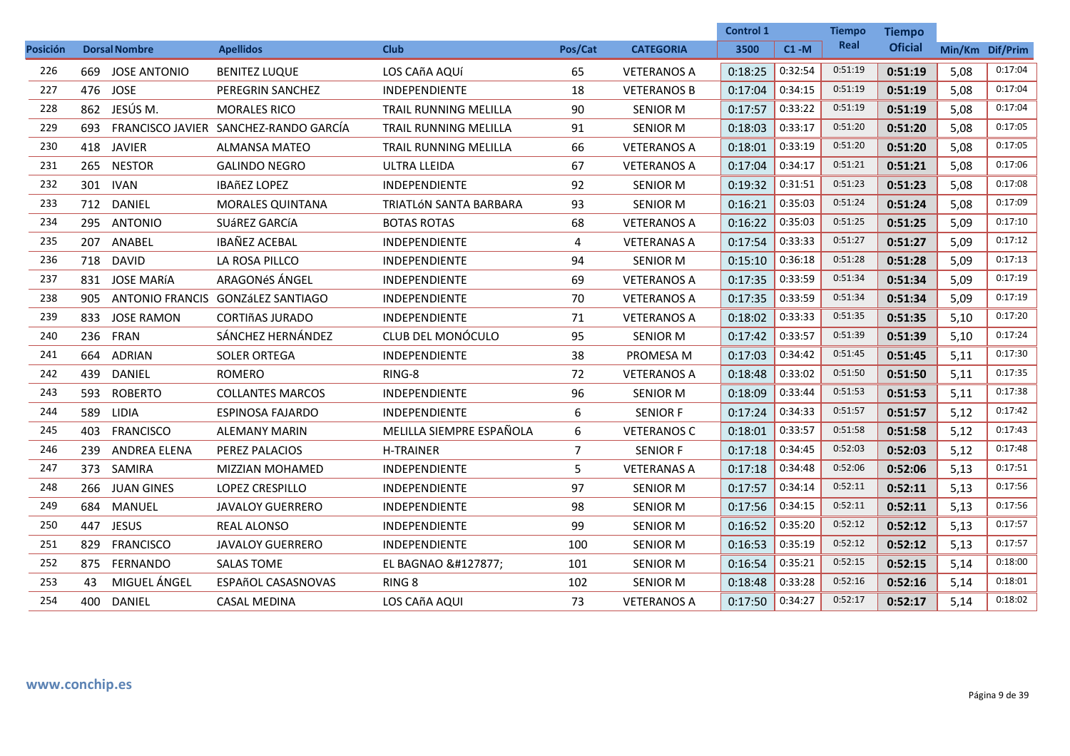|                 |     |                      |                                       |                              |                |                    | Control 1 |          | <b>Tiempo</b> | Tiempo         |                 |         |
|-----------------|-----|----------------------|---------------------------------------|------------------------------|----------------|--------------------|-----------|----------|---------------|----------------|-----------------|---------|
| <b>Posición</b> |     | <b>Dorsal Nombre</b> | <b>Apellidos</b>                      | <b>Club</b>                  | Pos/Cat        | <b>CATEGORIA</b>   | 3500      | $C1 - M$ | Real          | <b>Oficial</b> | Min/Km Dif/Prim |         |
| 226             |     | 669 JOSE ANTONIO     | <b>BENITEZ LUQUE</b>                  | LOS CAñA AQUÍ                | 65             | <b>VETERANOS A</b> | 0:18:25   | 0:32:54  | 0:51:19       | 0:51:19        | 5,08            | 0:17:04 |
| 227             |     | 476 JOSE             | PEREGRIN SANCHEZ                      | <b>INDEPENDIENTE</b>         | 18             | <b>VETERANOS B</b> | 0:17:04   | 0:34:15  | 0:51:19       | 0:51:19        | 5,08            | 0:17:04 |
| 228             |     | 862 JESÚS M.         | <b>MORALES RICO</b>                   | TRAIL RUNNING MELILLA        | 90             | <b>SENIOR M</b>    | 0:17:57   | 0:33:22  | 0:51:19       | 0:51:19        | 5,08            | 0:17:04 |
| 229             | 693 |                      | FRANCISCO JAVIER SANCHEZ-RANDO GARCÍA | <b>TRAIL RUNNING MELILLA</b> | 91             | <b>SENIOR M</b>    | 0:18:03   | 0:33:17  | 0:51:20       | 0:51:20        | 5,08            | 0:17:05 |
| 230             | 418 | <b>JAVIER</b>        | <b>ALMANSA MATEO</b>                  | TRAIL RUNNING MELILLA        | 66             | <b>VETERANOS A</b> | 0:18:01   | 0:33:19  | 0:51:20       | 0:51:20        | 5,08            | 0:17:05 |
| 231             | 265 | <b>NESTOR</b>        | <b>GALINDO NEGRO</b>                  | <b>ULTRA LLEIDA</b>          | 67             | <b>VETERANOS A</b> | 0:17:04   | 0:34:17  | 0:51:21       | 0:51:21        | 5,08            | 0:17:06 |
| 232             |     | 301 IVAN             | <b>IBAñEZ LOPEZ</b>                   | <b>INDEPENDIENTE</b>         | 92             | <b>SENIOR M</b>    | 0:19:32   | 0:31:51  | 0:51:23       | 0:51:23        | 5,08            | 0:17:08 |
| 233             | 712 | DANIEL               | <b>MORALES QUINTANA</b>               | TRIATLÓN SANTA BARBARA       | 93             | <b>SENIOR M</b>    | 0:16:21   | 0:35:03  | 0:51:24       | 0:51:24        | 5.08            | 0:17:09 |
| 234             |     | 295 ANTONIO          | SUÁREZ GARCÍA                         | <b>BOTAS ROTAS</b>           | 68             | <b>VETERANOS A</b> | 0:16:22   | 0:35:03  | 0:51:25       | 0:51:25        | 5,09            | 0:17:10 |
| 235             | 207 | ANABEL               | <b>IBAÑEZ ACEBAL</b>                  | INDEPENDIENTE                | 4              | <b>VETERANAS A</b> | 0:17:54   | 0:33:33  | 0:51:27       | 0:51:27        | 5,09            | 0:17:12 |
| 236             | 718 | <b>DAVID</b>         | LA ROSA PILLCO                        | <b>INDEPENDIENTE</b>         | 94             | <b>SENIOR M</b>    | 0:15:10   | 0:36:18  | 0:51:28       | 0:51:28        | 5,09            | 0:17:13 |
| 237             |     | 831 JOSE MARÍA       | ARAGONéS ÁNGEL                        | INDEPENDIENTE                | 69             | <b>VETERANOS A</b> | 0:17:35   | 0:33:59  | 0:51:34       | 0:51:34        | 5,09            | 0:17:19 |
| 238             | 905 |                      | ANTONIO FRANCIS GONZÁLEZ SANTIAGO     | <b>INDEPENDIENTE</b>         | 70             | <b>VETERANOS A</b> | 0:17:35   | 0:33:59  | 0:51:34       | 0:51:34        | 5,09            | 0:17:19 |
| 239             | 833 | <b>JOSE RAMON</b>    | <b>CORTIÑAS JURADO</b>                | <b>INDEPENDIENTE</b>         | 71             | <b>VETERANOS A</b> | 0:18:02   | 0:33:33  | 0:51:35       | 0:51:35        | 5,10            | 0:17:20 |
| 240             | 236 | FRAN                 | SÁNCHEZ HERNÁNDEZ                     | CLUB DEL MONÓCULO            | 95             | <b>SENIOR M</b>    | 0:17:42   | 0:33:57  | 0:51:39       | 0:51:39        | 5,10            | 0:17:24 |
| 241             | 664 | <b>ADRIAN</b>        | <b>SOLER ORTEGA</b>                   | INDEPENDIENTE                | 38             | PROMESA M          | 0:17:03   | 0:34:42  | 0:51:45       | 0:51:45        | 5,11            | 0:17:30 |
| 242             | 439 | <b>DANIEL</b>        | <b>ROMERO</b>                         | RING-8                       | 72             | <b>VETERANOS A</b> | 0:18:48   | 0:33:02  | 0:51:50       | 0:51:50        | 5,11            | 0:17:35 |
| 243             | 593 | <b>ROBERTO</b>       | <b>COLLANTES MARCOS</b>               | INDEPENDIENTE                | 96             | <b>SENIOR M</b>    | 0:18:09   | 0:33:44  | 0:51:53       | 0:51:53        | 5,11            | 0:17:38 |
| 244             | 589 | LIDIA                | <b>ESPINOSA FAJARDO</b>               | <b>INDEPENDIENTE</b>         | 6              | <b>SENIOR F</b>    | 0:17:24   | 0:34:33  | 0:51:57       | 0:51:57        | 5,12            | 0:17:42 |
| 245             | 403 | <b>FRANCISCO</b>     | <b>ALEMANY MARIN</b>                  | MELILLA SIEMPRE ESPAÑOLA     | 6              | <b>VETERANOS C</b> | 0:18:01   | 0:33:57  | 0:51:58       | 0:51:58        | 5,12            | 0:17:43 |
| 246             | 239 | <b>ANDREA ELENA</b>  | PEREZ PALACIOS                        | <b>H-TRAINER</b>             | $\overline{7}$ | <b>SENIOR F</b>    | 0:17:18   | 0:34:45  | 0:52:03       | 0:52:03        | 5,12            | 0:17:48 |
| 247             | 373 | SAMIRA               | <b>MIZZIAN MOHAMED</b>                | <b>INDEPENDIENTE</b>         | 5              | <b>VETERANAS A</b> | 0:17:18   | 0:34:48  | 0:52:06       | 0:52:06        | 5,13            | 0:17:51 |
| 248             | 266 | <b>JUAN GINES</b>    | LOPEZ CRESPILLO                       | <b>INDEPENDIENTE</b>         | 97             | <b>SENIOR M</b>    | 0:17:57   | 0:34:14  | 0:52:11       | 0:52:11        | 5,13            | 0:17:56 |
| 249             |     | 684 MANUEL           | <b>JAVALOY GUERRERO</b>               | <b>INDEPENDIENTE</b>         | 98             | <b>SENIOR M</b>    | 0:17:56   | 0:34:15  | 0:52:11       | 0:52:11        | 5,13            | 0:17:56 |
| 250             | 447 | <b>JESUS</b>         | <b>REAL ALONSO</b>                    | <b>INDEPENDIENTE</b>         | 99             | <b>SENIOR M</b>    | 0:16:52   | 0:35:20  | 0:52:12       | 0:52:12        | 5,13            | 0:17:57 |
| 251             | 829 | <b>FRANCISCO</b>     | <b>JAVALOY GUERRERO</b>               | <b>INDEPENDIENTE</b>         | 100            | <b>SENIOR M</b>    | 0:16:53   | 0:35:19  | 0:52:12       | 0:52:12        | 5,13            | 0:17:57 |
| 252             | 875 | FERNANDO             | <b>SALAS TOME</b>                     | EL BAGNAO 🎅                  | 101            | <b>SENIOR M</b>    | 0:16:54   | 0:35:21  | 0:52:15       | 0:52:15        | 5,14            | 0:18:00 |
| 253             | 43  | MIGUEL ÁNGEL         | <b>ESPAñOL CASASNOVAS</b>             | RING 8                       | 102            | <b>SENIOR M</b>    | 0:18:48   | 0:33:28  | 0:52:16       | 0:52:16        | 5,14            | 0:18:01 |
| 254             |     | 400 DANIEL           | <b>CASAL MEDINA</b>                   | LOS CAñA AQUI                | 73             | <b>VETERANOS A</b> | 0:17:50   | 0:34:27  | 0:52:17       | 0:52:17        | 5,14            | 0:18:02 |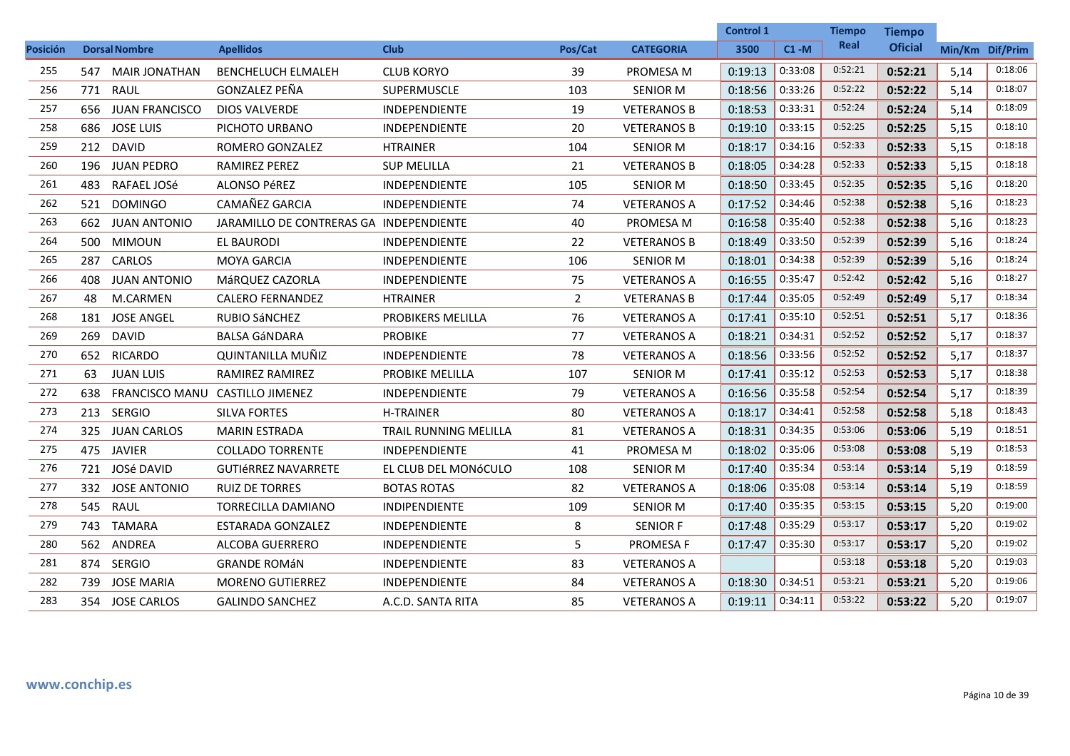|                 |                        |                                         |                              |                |                    | <b>Control 1</b> |          | <b>Tiempo</b> | <b>Tiempo</b>  |                 |         |
|-----------------|------------------------|-----------------------------------------|------------------------------|----------------|--------------------|------------------|----------|---------------|----------------|-----------------|---------|
| <b>Posición</b> | <b>Dorsal Nombre</b>   | <b>Apellidos</b>                        | <b>Club</b>                  | Pos/Cat        | <b>CATEGORIA</b>   | 3500             | $C1 - M$ | Real          | <b>Oficial</b> | Min/Km Dif/Prim |         |
| 255             | 547 MAIR JONATHAN      | <b>BENCHELUCH ELMALEH</b>               | <b>CLUB KORYO</b>            | 39             | PROMESA M          | 0:19:13          | 0:33:08  | 0:52:21       | 0:52:21        | 5,14            | 0:18:06 |
| 256             | 771 RAUL               | <b>GONZALEZ PEÑA</b>                    | <b>SUPERMUSCLE</b>           | 103            | <b>SENIOR M</b>    | 0:18:56          | 0:33:26  | 0:52:22       | 0:52:22        | 5,14            | 0:18:07 |
| 257             | 656 JUAN FRANCISCO     | <b>DIOS VALVERDE</b>                    | <b>INDEPENDIENTE</b>         | 19             | <b>VETERANOS B</b> | 0:18:53          | 0:33:31  | 0:52:24       | 0:52:24        | 5,14            | 0:18:09 |
| 258             | 686 JOSE LUIS          | PICHOTO URBANO                          | <b>INDEPENDIENTE</b>         | 20             | <b>VETERANOS B</b> | 0:19:10          | 0:33:15  | 0:52:25       | 0:52:25        | 5,15            | 0:18:10 |
| 259             | <b>DAVID</b><br>212    | ROMERO GONZALEZ                         | <b>HTRAINER</b>              | 104            | <b>SENIOR M</b>    | 0:18:17          | 0:34:16  | 0:52:33       | 0:52:33        | 5,15            | 0:18:18 |
| 260             | 196 JUAN PEDRO         | RAMIREZ PEREZ                           | <b>SUP MELILLA</b>           | 21             | <b>VETERANOS B</b> | 0:18:05          | 0:34:28  | 0:52:33       | 0:52:33        | 5,15            | 0:18:18 |
| 261             | 483<br>RAFAEL JOSé     | ALONSO PéREZ                            | <b>INDEPENDIENTE</b>         | 105            | <b>SENIOR M</b>    | 0:18:50          | 0:33:45  | 0:52:35       | 0:52:35        | 5,16            | 0:18:20 |
| 262             | 521 DOMINGO            | CAMAÑEZ GARCIA                          | <b>INDEPENDIENTE</b>         | 74             | <b>VETERANOS A</b> | 0:17:52          | 0:34:46  | 0:52:38       | 0:52:38        | 5,16            | 0:18:23 |
| 263             | 662 JUAN ANTONIO       | JARAMILLO DE CONTRERAS GA INDEPENDIENTE |                              | 40             | PROMESA M          | 0:16:58          | 0:35:40  | 0:52:38       | 0:52:38        | 5,16            | 0:18:23 |
| 264             | <b>MIMOUN</b><br>500   | EL BAURODI                              | <b>INDEPENDIENTE</b>         | 22             | <b>VETERANOS B</b> | 0:18:49          | 0:33:50  | 0:52:39       | 0:52:39        | 5,16            | 0:18:24 |
| 265             | CARLOS<br>287          | MOYA GARCIA                             | INDEPENDIENTE                | 106            | <b>SENIOR M</b>    | 0:18:01          | 0:34:38  | 0:52:39       | 0:52:39        | 5,16            | 0:18:24 |
| 266             | 408 JUAN ANTONIO       | MáRQUEZ CAZORLA                         | <b>INDEPENDIENTE</b>         | 75             | <b>VETERANOS A</b> | 0:16:55          | 0:35:47  | 0:52:42       | 0:52:42        | 5,16            | 0:18:27 |
| 267             | M.CARMEN<br>48         | <b>CALERO FERNANDEZ</b>                 | <b>HTRAINER</b>              | $\overline{2}$ | <b>VETERANAS B</b> | 0:17:44          | 0:35:05  | 0:52:49       | 0:52:49        | 5,17            | 0:18:34 |
| 268             | 181 JOSE ANGEL         | RUBIO SÁNCHEZ                           | PROBIKERS MELILLA            | 76             | <b>VETERANOS A</b> | 0:17:41          | 0:35:10  | 0:52:51       | 0:52:51        | 5,17            | 0:18:36 |
| 269             | 269<br><b>DAVID</b>    | <b>BALSA GáNDARA</b>                    | <b>PROBIKE</b>               | 77             | <b>VETERANOS A</b> | 0:18:21          | 0:34:31  | 0:52:52       | 0:52:52        | 5,17            | 0:18:37 |
| 270             | 652 RICARDO            | QUINTANILLA MUÑIZ                       | <b>INDEPENDIENTE</b>         | 78             | <b>VETERANOS A</b> | 0:18:56          | 0:33:56  | 0:52:52       | 0:52:52        | 5,17            | 0:18:37 |
| 271             | <b>JUAN LUIS</b><br>63 | RAMIREZ RAMIREZ                         | <b>PROBIKE MELILLA</b>       | 107            | <b>SENIOR M</b>    | 0:17:41          | 0:35:12  | 0:52:53       | 0:52:53        | 5,17            | 0:18:38 |
| 272             | 638                    | FRANCISCO MANU CASTILLO JIMENEZ         | <b>INDEPENDIENTE</b>         | 79             | <b>VETERANOS A</b> | 0:16:56          | 0:35:58  | 0:52:54       | 0:52:54        | 5,17            | 0:18:39 |
| 273             | 213 SERGIO             | <b>SILVA FORTES</b>                     | <b>H-TRAINER</b>             | 80             | <b>VETERANOS A</b> | 0:18:17          | 0:34:41  | 0:52:58       | 0:52:58        | 5,18            | 0:18:43 |
| 274             | 325 JUAN CARLOS        | <b>MARIN ESTRADA</b>                    | <b>TRAIL RUNNING MELILLA</b> | 81             | <b>VETERANOS A</b> | 0:18:31          | 0:34:35  | 0:53:06       | 0:53:06        | 5,19            | 0:18:51 |
| 275             | 475 JAVIER             | <b>COLLADO TORRENTE</b>                 | <b>INDEPENDIENTE</b>         | 41             | PROMESA M          | 0:18:02          | 0:35:06  | 0:53:08       | 0:53:08        | 5,19            | 0:18:53 |
| 276             | 721 JOSé DAVID         | <b>GUTIÉRREZ NAVARRETE</b>              | EL CLUB DEL MONÓCULO         | 108            | <b>SENIOR M</b>    | 0:17:40          | 0:35:34  | 0:53:14       | 0:53:14        | 5,19            | 0:18:59 |
| 277             | 332 JOSE ANTONIO       | RUIZ DE TORRES                          | <b>BOTAS ROTAS</b>           | 82             | <b>VETERANOS A</b> | 0:18:06          | 0:35:08  | 0:53:14       | 0:53:14        | 5,19            | 0:18:59 |
| 278             | 545 RAUL               | <b>TORRECILLA DAMIANO</b>               | INDIPENDIENTE                | 109            | <b>SENIOR M</b>    | 0:17:40          | 0:35:35  | 0:53:15       | 0:53:15        | 5,20            | 0:19:00 |
| 279             | <b>TAMARA</b><br>743   | ESTARADA GONZALEZ                       | <b>INDEPENDIENTE</b>         | 8              | <b>SENIOR F</b>    | 0:17:48          | 0:35:29  | 0:53:17       | 0:53:17        | 5,20            | 0:19:02 |
| 280             | 562 ANDREA             | <b>ALCOBA GUERRERO</b>                  | <b>INDEPENDIENTE</b>         | 5              | <b>PROMESA F</b>   | 0:17:47          | 0:35:30  | 0:53:17       | 0:53:17        | 5,20            | 0:19:02 |
| 281             | 874 SERGIO             | <b>GRANDE ROMÁN</b>                     | INDEPENDIENTE                | 83             | <b>VETERANOS A</b> |                  |          | 0:53:18       | 0:53:18        | 5,20            | 0:19:03 |
| 282             | 739 JOSE MARIA         | <b>MORENO GUTIERREZ</b>                 | <b>INDEPENDIENTE</b>         | 84             | <b>VETERANOS A</b> | 0:18:30          | 0:34:51  | 0:53:21       | 0:53:21        | 5,20            | 0:19:06 |
| 283             | 354 JOSE CARLOS        | <b>GALINDO SANCHEZ</b>                  | A.C.D. SANTA RITA            | 85             | <b>VETERANOS A</b> | 0:19:11          | 0:34:11  | 0:53:22       | 0:53:22        | 5,20            | 0:19:07 |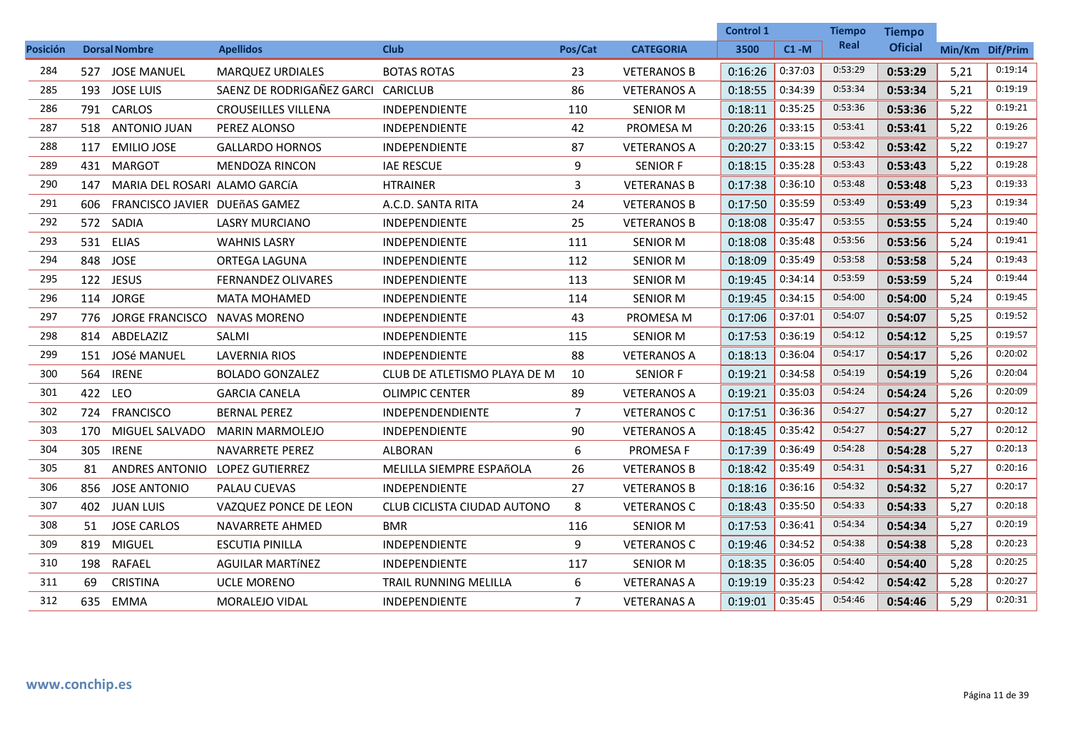|                 |         |                                  |                                    |                              |                |                    | <b>Control 1</b> |          | <b>Tiempo</b> | <b>Tiempo</b>  |                 |         |
|-----------------|---------|----------------------------------|------------------------------------|------------------------------|----------------|--------------------|------------------|----------|---------------|----------------|-----------------|---------|
| <b>Posición</b> |         | <b>Dorsal Nombre</b>             | <b>Apellidos</b>                   | <b>Club</b>                  | Pos/Cat        | <b>CATEGORIA</b>   | 3500             | $C1 - M$ | Real          | <b>Oficial</b> | Min/Km Dif/Prim |         |
| 284             |         | 527 JOSE MANUEL                  | <b>MARQUEZ URDIALES</b>            | <b>BOTAS ROTAS</b>           | 23             | <b>VETERANOS B</b> | 0:16:26          | 0:37:03  | 0:53:29       | 0:53:29        | 5,21            | 0:19:14 |
| 285             |         | 193 JOSE LUIS                    | SAENZ DE RODRIGAÑEZ GARCI CARICLUB |                              | 86             | <b>VETERANOS A</b> | 0:18:55          | 0:34:39  | 0:53:34       | 0:53:34        | 5,21            | 0:19:19 |
| 286             |         | 791 CARLOS                       | <b>CROUSEILLES VILLENA</b>         | <b>INDEPENDIENTE</b>         | 110            | <b>SENIOR M</b>    | 0:18:11          | 0:35:25  | 0:53:36       | 0:53:36        | 5,22            | 0:19:21 |
| 287             |         | 518 ANTONIO JUAN                 | PEREZ ALONSO                       | <b>INDEPENDIENTE</b>         | 42             | PROMESA M          | 0:20:26          | 0:33:15  | 0:53:41       | 0:53:41        | 5,22            | 0:19:26 |
| 288             | 117     | <b>EMILIO JOSE</b>               | <b>GALLARDO HORNOS</b>             | <b>INDEPENDIENTE</b>         | 87             | <b>VETERANOS A</b> | 0:20:27          | 0:33:15  | 0:53:42       | 0:53:42        | 5,22            | 0:19:27 |
| 289             |         | 431 MARGOT                       | MENDOZA RINCON                     | <b>IAE RESCUE</b>            | 9              | <b>SENIOR F</b>    | 0:18:15          | 0:35:28  | 0:53:43       | 0:53:43        | 5,22            | 0:19:28 |
| 290             | 147     | MARIA DEL ROSARI ALAMO GARCÍA    |                                    | <b>HTRAINER</b>              | 3              | <b>VETERANAS B</b> | 0:17:38          | 0:36:10  | 0:53:48       | 0:53:48        | 5,23            | 0:19:33 |
| 291             | 606     | FRANCISCO JAVIER DUEñAS GAMEZ    |                                    | A.C.D. SANTA RITA            | 24             | <b>VETERANOS B</b> | 0:17:50          | 0:35:59  | 0:53:49       | 0:53:49        | 5,23            | 0:19:34 |
| 292             |         | 572 SADIA                        | <b>LASRY MURCIANO</b>              | <b>INDEPENDIENTE</b>         | 25             | <b>VETERANOS B</b> | 0:18:08          | 0:35:47  | 0:53:55       | 0:53:55        | 5,24            | 0:19:40 |
| 293             |         | 531 ELIAS                        | <b>WAHNIS LASRY</b>                | <b>INDEPENDIENTE</b>         | 111            | <b>SENIOR M</b>    | 0:18:08          | 0:35:48  | 0:53:56       | 0:53:56        | 5,24            | 0:19:41 |
| 294             |         | 848 JOSE                         | ORTEGA LAGUNA                      | <b>INDEPENDIENTE</b>         | 112            | <b>SENIOR M</b>    | 0:18:09          | 0:35:49  | 0:53:58       | 0:53:58        | 5,24            | 0:19:43 |
| 295             |         | 122 JESUS                        | <b>FERNANDEZ OLIVARES</b>          | <b>INDEPENDIENTE</b>         | 113            | <b>SENIOR M</b>    | 0:19:45          | 0:34:14  | 0:53:59       | 0:53:59        | 5,24            | 0:19:44 |
| 296             |         | 114 JORGE                        | <b>MATA MOHAMED</b>                | <b>INDEPENDIENTE</b>         | 114            | <b>SENIOR M</b>    | 0:19:45          | 0:34:15  | 0:54:00       | 0:54:00        | 5,24            | 0:19:45 |
| 297             |         | 776 JORGE FRANCISCO NAVAS MORENO |                                    | <b>INDEPENDIENTE</b>         | 43             | PROMESA M          | 0:17:06          | 0:37:01  | 0:54:07       | 0:54:07        | 5.25            | 0:19:52 |
| 298             |         | 814 ABDELAZIZ                    | SALMI                              | <b>INDEPENDIENTE</b>         | 115            | <b>SENIOR M</b>    | 0:17:53          | 0:36:19  | 0:54:12       | 0:54:12        | 5,25            | 0:19:57 |
| 299             |         | 151 JOSé MANUEL                  | <b>LAVERNIA RIOS</b>               | <b>INDEPENDIENTE</b>         | 88             | <b>VETERANOS A</b> | 0:18:13          | 0:36:04  | 0:54:17       | 0:54:17        | 5,26            | 0:20:02 |
| 300             | 564     | <b>IRENE</b>                     | <b>BOLADO GONZALEZ</b>             | CLUB DE ATLETISMO PLAYA DE M | 10             | <b>SENIOR F</b>    | 0:19:21          | 0:34:58  | 0:54:19       | 0:54:19        | 5,26            | 0:20:04 |
| 301             | 422 LEO |                                  | <b>GARCIA CANELA</b>               | <b>OLIMPIC CENTER</b>        | 89             | <b>VETERANOS A</b> | 0:19:21          | 0:35:03  | 0:54:24       | 0:54:24        | 5,26            | 0:20:09 |
| 302             |         | 724 FRANCISCO                    | <b>BERNAL PEREZ</b>                | <b>INDEPENDENDIENTE</b>      | 7              | <b>VETERANOS C</b> | 0:17:51          | 0:36:36  | 0:54:27       | 0:54:27        | 5,27            | 0:20:12 |
| 303             | 170     | MIGUEL SALVADO                   | <b>MARIN MARMOLEJO</b>             | <b>INDEPENDIENTE</b>         | 90             | <b>VETERANOS A</b> | 0:18:45          | 0:35:42  | 0:54:27       | 0:54:27        | 5,27            | 0:20:12 |
| 304             | 305     | <b>IRENE</b>                     | NAVARRETE PEREZ                    | <b>ALBORAN</b>               | 6              | <b>PROMESA F</b>   | 0:17:39          | 0:36:49  | 0:54:28       | 0:54:28        | 5,27            | 0:20:13 |
| 305             | 81      | <b>ANDRES ANTONIO</b>            | <b>LOPEZ GUTIERREZ</b>             | MELILLA SIEMPRE ESPAñOLA     | 26             | <b>VETERANOS B</b> | 0:18:42          | 0:35:49  | 0:54:31       | 0:54:31        | 5,27            | 0:20:16 |
| 306             |         | 856 JOSE ANTONIO                 | PALAU CUEVAS                       | <b>INDEPENDIENTE</b>         | 27             | <b>VETERANOS B</b> | 0:18:16          | 0:36:16  | 0:54:32       | 0:54:32        | 5,27            | 0:20:17 |
| 307             |         | 402 JUAN LUIS                    | VAZQUEZ PONCE DE LEON              | CLUB CICLISTA CIUDAD AUTONO  | 8              | <b>VETERANOS C</b> | 0:18:43          | 0:35:50  | 0:54:33       | 0:54:33        | 5,27            | 0:20:18 |
| 308             | 51      | <b>JOSE CARLOS</b>               | NAVARRETE AHMED                    | <b>BMR</b>                   | 116            | <b>SENIOR M</b>    | 0:17:53          | 0:36:41  | 0:54:34       | 0:54:34        | 5,27            | 0:20:19 |
| 309             | 819     | MIGUEL                           | ESCUTIA PINILLA                    | <b>INDEPENDIENTE</b>         | 9              | VETERANOS C        | 0:19:46          | 0:34:52  | 0:54:38       | 0:54:38        | 5,28            | 0:20:23 |
| 310             | 198     | RAFAEL                           | <b>AGUILAR MARTÍNEZ</b>            | <b>INDEPENDIENTE</b>         | 117            | <b>SENIOR M</b>    | 0:18:35          | 0:36:05  | 0:54:40       | 0:54:40        | 5,28            | 0:20:25 |
| 311             | 69      | <b>CRISTINA</b>                  | <b>UCLE MORENO</b>                 | <b>TRAIL RUNNING MELILLA</b> | 6              | <b>VETERANAS A</b> | 0:19:19          | 0:35:23  | 0:54:42       | 0:54:42        | 5,28            | 0:20:27 |
| 312             |         | 635 EMMA                         | MORALEJO VIDAL                     | INDEPENDIENTE                | $\overline{7}$ | <b>VETERANAS A</b> | 0:19:01          | 0:35:45  | 0:54:46       | 0:54:46        | 5,29            | 0:20:31 |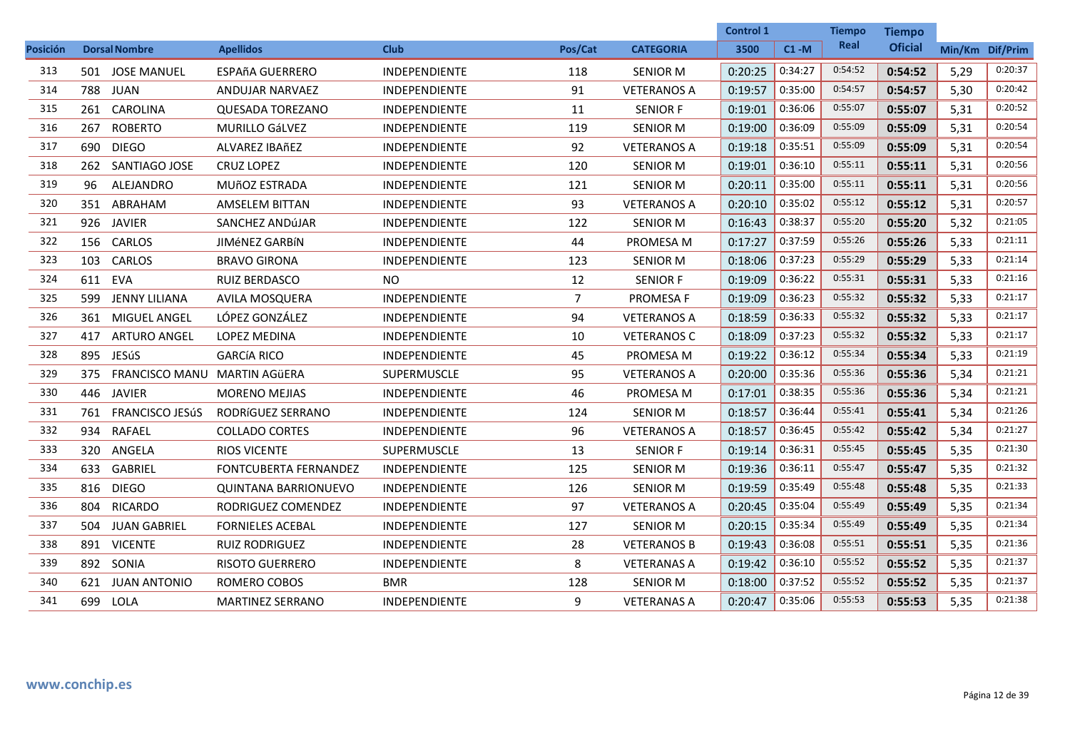|                 |     |                              |                              |                      |                |                    | Control 1 |          | <b>Tiempo</b> | Tiempo         |                 |         |
|-----------------|-----|------------------------------|------------------------------|----------------------|----------------|--------------------|-----------|----------|---------------|----------------|-----------------|---------|
| <b>Posición</b> |     | <b>Dorsal Nombre</b>         | <b>Apellidos</b>             | <b>Club</b>          | Pos/Cat        | <b>CATEGORIA</b>   | 3500      | $C1 - M$ | Real          | <b>Oficial</b> | Min/Km Dif/Prim |         |
| 313             |     | 501 JOSE MANUEL              | <b>ESPAñA GUERRERO</b>       | INDEPENDIENTE        | 118            | <b>SENIOR M</b>    | 0:20:25   | 0:34:27  | 0:54:52       | 0:54:52        | 5,29            | 0:20:37 |
| 314             |     | 788 JUAN                     | ANDUJAR NARVAEZ              | INDEPENDIENTE        | 91             | <b>VETERANOS A</b> | 0:19:57   | 0:35:00  | 0:54:57       | 0:54:57        | 5,30            | 0:20:42 |
| 315             |     | 261 CAROLINA                 | <b>QUESADA TOREZANO</b>      | <b>INDEPENDIENTE</b> | 11             | <b>SENIOR F</b>    | 0:19:01   | 0:36:06  | 0:55:07       | 0:55:07        | 5,31            | 0:20:52 |
| 316             |     | 267 ROBERTO                  | <b>MURILLO GÁLVEZ</b>        | <b>INDEPENDIENTE</b> | 119            | <b>SENIOR M</b>    | 0:19:00   | 0:36:09  | 0:55:09       | 0:55:09        | 5,31            | 0:20:54 |
| 317             | 690 | <b>DIEGO</b>                 | <b>ALVAREZ IBAñEZ</b>        | <b>INDEPENDIENTE</b> | 92             | <b>VETERANOS A</b> | 0:19:18   | 0:35:51  | 0:55:09       | 0:55:09        | 5,31            | 0:20:54 |
| 318             |     | 262 SANTIAGO JOSE            | <b>CRUZ LOPEZ</b>            | <b>INDEPENDIENTE</b> | 120            | <b>SENIOR M</b>    | 0:19:01   | 0:36:10  | 0:55:11       | 0:55:11        | 5,31            | 0:20:56 |
| 319             | 96  | ALEJANDRO                    | <b>MUÑOZ ESTRADA</b>         | <b>INDEPENDIENTE</b> | 121            | <b>SENIOR M</b>    | 0:20:11   | 0:35:00  | 0:55:11       | 0:55:11        | 5,31            | 0:20:56 |
| 320             |     | 351 ABRAHAM                  | AMSELEM BITTAN               | <b>INDEPENDIENTE</b> | 93             | <b>VETERANOS A</b> | 0:20:10   | 0:35:02  | 0:55:12       | 0:55:12        | 5,31            | 0:20:57 |
| 321             |     | 926 JAVIER                   | SANCHEZ ANDÚJAR              | <b>INDEPENDIENTE</b> | 122            | <b>SENIOR M</b>    | 0:16:43   | 0:38:37  | 0:55:20       | 0:55:20        | 5,32            | 0:21:05 |
| 322             | 156 | CARLOS                       | JIMéNEZ GARBÍN               | INDEPENDIENTE        | 44             | PROMESA M          | 0:17:27   | 0:37:59  | 0:55:26       | 0:55:26        | 5,33            | 0:21:11 |
| 323             | 103 | CARLOS                       | <b>BRAVO GIRONA</b>          | <b>INDEPENDIENTE</b> | 123            | <b>SENIOR M</b>    | 0:18:06   | 0:37:23  | 0:55:29       | 0:55:29        | 5,33            | 0:21:14 |
| 324             |     | 611 EVA                      | <b>RUIZ BERDASCO</b>         | NO.                  | 12             | <b>SENIOR F</b>    | 0:19:09   | 0:36:22  | 0:55:31       | 0:55:31        | 5,33            | 0:21:16 |
| 325             | 599 | JENNY LILIANA                | <b>AVILA MOSQUERA</b>        | <b>INDEPENDIENTE</b> | $\overline{7}$ | <b>PROMESA F</b>   | 0:19:09   | 0:36:23  | 0:55:32       | 0:55:32        | 5,33            | 0:21:17 |
| 326             |     | 361 MIGUEL ANGEL             | LÓPEZ GONZÁLEZ               | <b>INDEPENDIENTE</b> | 94             | <b>VETERANOS A</b> | 0:18:59   | 0:36:33  | 0:55:32       | 0:55:32        | 5,33            | 0:21:17 |
| 327             | 417 | <b>ARTURO ANGEL</b>          | <b>LOPEZ MEDINA</b>          | INDEPENDIENTE        | 10             | <b>VETERANOS C</b> | 0:18:09   | 0:37:23  | 0:55:32       | 0:55:32        | 5,33            | 0:21:17 |
| 328             |     | 895 JESúS                    | <b>GARCÍA RICO</b>           | <b>INDEPENDIENTE</b> | 45             | PROMESA M          | 0:19:22   | 0:36:12  | 0:55:34       | 0:55:34        | 5,33            | 0:21:19 |
| 329             | 375 | FRANCISCO MANU MARTIN AGÜERA |                              | SUPERMUSCLE          | 95             | <b>VETERANOS A</b> | 0:20:00   | 0:35:36  | 0:55:36       | 0:55:36        | 5,34            | 0:21:21 |
| 330             | 446 | <b>JAVIER</b>                | <b>MORENO MEJIAS</b>         | <b>INDEPENDIENTE</b> | 46             | PROMESA M          | 0:17:01   | 0:38:35  | 0:55:36       | 0:55:36        | 5,34            | 0:21:21 |
| 331             |     | 761 FRANCISCO JESÚS          | RODRÍGUEZ SERRANO            | <b>INDEPENDIENTE</b> | 124            | <b>SENIOR M</b>    | 0:18:57   | 0:36:44  | 0:55:41       | 0:55:41        | 5,34            | 0:21:26 |
| 332             | 934 | RAFAEL                       | <b>COLLADO CORTES</b>        | <b>INDEPENDIENTE</b> | 96             | <b>VETERANOS A</b> | 0:18:57   | 0:36:45  | 0:55:42       | 0:55:42        | 5,34            | 0:21:27 |
| 333             | 320 | ANGELA                       | <b>RIOS VICENTE</b>          | SUPERMUSCLE          | 13             | <b>SENIOR F</b>    | 0:19:14   | 0:36:31  | 0:55:45       | 0:55:45        | 5,35            | 0:21:30 |
| 334             | 633 | <b>GABRIEL</b>               | <b>FONTCUBERTA FERNANDEZ</b> | <b>INDEPENDIENTE</b> | 125            | <b>SENIOR M</b>    | 0:19:36   | 0:36:11  | 0:55:47       | 0:55:47        | 5,35            | 0:21:32 |
| 335             | 816 | DIEGO                        | QUINTANA BARRIONUEVO         | <b>INDEPENDIENTE</b> | 126            | <b>SENIOR M</b>    | 0:19:59   | 0:35:49  | 0:55:48       | 0:55:48        | 5,35            | 0:21:33 |
| 336             | 804 | RICARDO                      | RODRIGUEZ COMENDEZ           | <b>INDEPENDIENTE</b> | 97             | <b>VETERANOS A</b> | 0:20:45   | 0:35:04  | 0:55:49       | 0:55:49        | 5,35            | 0:21:34 |
| 337             | 504 | <b>JUAN GABRIEL</b>          | <b>FORNIELES ACEBAL</b>      | <b>INDEPENDIENTE</b> | 127            | <b>SENIOR M</b>    | 0:20:15   | 0:35:34  | 0:55:49       | 0:55:49        | 5,35            | 0:21:34 |
| 338             | 891 | <b>VICENTE</b>               | <b>RUIZ RODRIGUEZ</b>        | <b>INDEPENDIENTE</b> | 28             | <b>VETERANOS B</b> | 0:19:43   | 0:36:08  | 0:55:51       | 0:55:51        | 5,35            | 0:21:36 |
| 339             |     | 892 SONIA                    | <b>RISOTO GUERRERO</b>       | <b>INDEPENDIENTE</b> | 8              | <b>VETERANAS A</b> | 0:19:42   | 0:36:10  | 0:55:52       | 0:55:52        | 5,35            | 0:21:37 |
| 340             |     | 621 JUAN ANTONIO             | ROMERO COBOS                 | <b>BMR</b>           | 128            | <b>SENIOR M</b>    | 0:18:00   | 0:37:52  | 0:55:52       | 0:55:52        | 5,35            | 0:21:37 |
| 341             |     | 699 LOLA                     | <b>MARTINEZ SERRANO</b>      | INDEPENDIENTE        | 9              | <b>VETERANAS A</b> | 0:20:47   | 0:35:06  | 0:55:53       | 0:55:53        | 5,35            | 0:21:38 |
|                 |     |                              |                              |                      |                |                    |           |          |               |                |                 |         |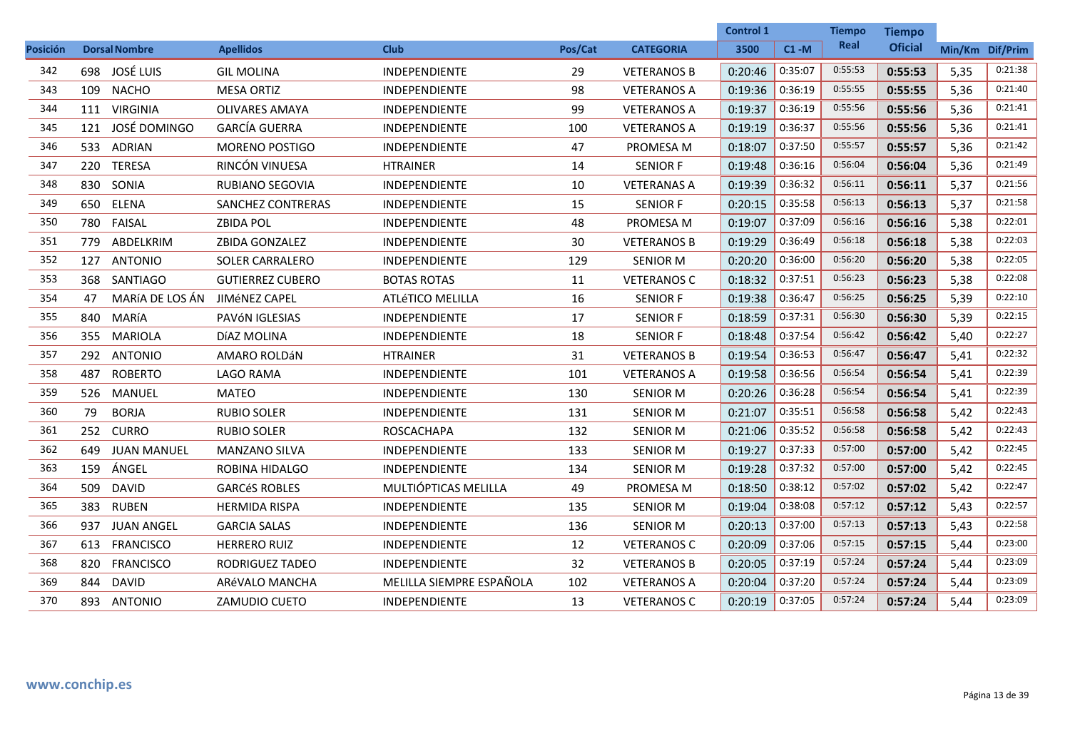|          |     |                      |                         |                          |         |                    | <b>Control 1</b> |          | <b>Tiempo</b> | Tiempo         |                 |         |
|----------|-----|----------------------|-------------------------|--------------------------|---------|--------------------|------------------|----------|---------------|----------------|-----------------|---------|
| Posición |     | <b>Dorsal Nombre</b> | <b>Apellidos</b>        | <b>Club</b>              | Pos/Cat | <b>CATEGORIA</b>   | 3500             | $C1 - M$ | Real          | <b>Oficial</b> | Min/Km Dif/Prim |         |
| 342      |     | 698 JOSÉ LUIS        | <b>GIL MOLINA</b>       | INDEPENDIENTE            | 29      | <b>VETERANOS B</b> | 0:20:46          | 0:35:07  | 0:55:53       | 0:55:53        | 5,35            | 0:21:38 |
| 343      |     | 109 NACHO            | <b>MESA ORTIZ</b>       | <b>INDEPENDIENTE</b>     | 98      | <b>VETERANOS A</b> | 0:19:36          | 0:36:19  | 0:55:55       | 0:55:55        | 5,36            | 0:21:40 |
| 344      |     | 111 VIRGINIA         | <b>OLIVARES AMAYA</b>   | <b>INDEPENDIENTE</b>     | 99      | <b>VETERANOS A</b> | 0:19:37          | 0:36:19  | 0:55:56       | 0:55:56        | 5,36            | 0:21:41 |
| 345      | 121 | JOSÉ DOMINGO         | <b>GARCÍA GUERRA</b>    | <b>INDEPENDIENTE</b>     | 100     | <b>VETERANOS A</b> | 0:19:19          | 0:36:37  | 0:55:56       | 0:55:56        | 5,36            | 0:21:41 |
| 346      | 533 | <b>ADRIAN</b>        | <b>MORENO POSTIGO</b>   | <b>INDEPENDIENTE</b>     | 47      | PROMESA M          | 0:18:07          | 0:37:50  | 0:55:57       | 0:55:57        | 5,36            | 0:21:42 |
| 347      | 220 | <b>TERESA</b>        | RINCÓN VINUESA          | <b>HTRAINER</b>          | 14      | <b>SENIOR F</b>    | 0:19:48          | 0:36:16  | 0:56:04       | 0:56:04        | 5,36            | 0:21:49 |
| 348      | 830 | SONIA                | <b>RUBIANO SEGOVIA</b>  | <b>INDEPENDIENTE</b>     | 10      | <b>VETERANAS A</b> | 0:19:39          | 0:36:32  | 0:56:11       | 0:56:11        | 5,37            | 0:21:56 |
| 349      | 650 | ELENA                | SANCHEZ CONTRERAS       | <b>INDEPENDIENTE</b>     | 15      | <b>SENIOR F</b>    | 0:20:15          | 0:35:58  | 0:56:13       | 0:56:13        | 5,37            | 0:21:58 |
| 350      |     | 780 FAISAL           | <b>ZBIDA POL</b>        | <b>INDEPENDIENTE</b>     | 48      | PROMESA M          | 0:19:07          | 0:37:09  | 0:56:16       | 0:56:16        | 5,38            | 0:22:01 |
| 351      | 779 | ABDELKRIM            | ZBIDA GONZALEZ          | INDEPENDIENTE            | 30      | <b>VETERANOS B</b> | 0:19:29          | 0:36:49  | 0:56:18       | 0:56:18        | 5,38            | 0:22:03 |
| 352      | 127 | <b>ANTONIO</b>       | <b>SOLER CARRALERO</b>  | <b>INDEPENDIENTE</b>     | 129     | <b>SENIOR M</b>    | 0:20:20          | 0:36:00  | 0:56:20       | 0:56:20        | 5,38            | 0:22:05 |
| 353      |     | 368 SANTIAGO         | <b>GUTIERREZ CUBERO</b> | <b>BOTAS ROTAS</b>       | 11      | <b>VETERANOS C</b> | 0:18:32          | 0:37:51  | 0:56:23       | 0:56:23        | 5,38            | 0:22:08 |
| 354      | 47  | MARÍA DE LOS ÁN      | JIMÉNEZ CAPEL           | ATLÉTICO MELILLA         | 16      | <b>SENIOR F</b>    | 0:19:38          | 0:36:47  | 0:56:25       | 0:56:25        | 5,39            | 0:22:10 |
| 355      | 840 | MARíA                | PAVÓN IGLESIAS          | <b>INDEPENDIENTE</b>     | 17      | <b>SENIOR F</b>    | 0:18:59          | 0:37:31  | 0:56:30       | 0:56:30        | 5,39            | 0:22:15 |
| 356      | 355 | MARIOLA              | DÍAZ MOLINA             | INDEPENDIENTE            | 18      | <b>SENIOR F</b>    | 0:18:48          | 0:37:54  | 0:56:42       | 0:56:42        | 5,40            | 0:22:27 |
| 357      | 292 | ANTONIO              | AMARO ROLDÁN            | <b>HTRAINER</b>          | 31      | <b>VETERANOS B</b> | 0:19:54          | 0:36:53  | 0:56:47       | 0:56:47        | 5,41            | 0:22:32 |
| 358      | 487 | <b>ROBERTO</b>       | <b>LAGO RAMA</b>        | <b>INDEPENDIENTE</b>     | 101     | <b>VETERANOS A</b> | 0:19:58          | 0:36:56  | 0:56:54       | 0:56:54        | 5,41            | 0:22:39 |
| 359      | 526 | MANUEL               | <b>MATEO</b>            | <b>INDEPENDIENTE</b>     | 130     | <b>SENIOR M</b>    | 0:20:26          | 0:36:28  | 0:56:54       | 0:56:54        | 5,41            | 0:22:39 |
| 360      | 79  | <b>BORJA</b>         | RUBIO SOLER             | <b>INDEPENDIENTE</b>     | 131     | <b>SENIOR M</b>    | 0:21:07          | 0:35:51  | 0:56:58       | 0:56:58        | 5,42            | 0:22:43 |
| 361      | 252 | <b>CURRO</b>         | <b>RUBIO SOLER</b>      | <b>ROSCACHAPA</b>        | 132     | <b>SENIOR M</b>    | 0:21:06          | 0:35:52  | 0:56:58       | 0:56:58        | 5,42            | 0:22:43 |
| 362      | 649 | <b>JUAN MANUEL</b>   | MANZANO SILVA           | INDEPENDIENTE            | 133     | <b>SENIOR M</b>    | 0:19:27          | 0:37:33  | 0:57:00       | 0:57:00        | 5,42            | 0:22:45 |
| 363      | 159 | ÁNGEL                | <b>ROBINA HIDALGO</b>   | <b>INDEPENDIENTE</b>     | 134     | <b>SENIOR M</b>    | 0:19:28          | 0:37:32  | 0:57:00       | 0:57:00        | 5,42            | 0:22:45 |
| 364      | 509 | <b>DAVID</b>         | <b>GARCÉS ROBLES</b>    | MULTIÓPTICAS MELILLA     | 49      | PROMESA M          | 0:18:50          | 0:38:12  | 0:57:02       | 0:57:02        | 5,42            | 0:22:47 |
| 365      | 383 | <b>RUBEN</b>         | <b>HERMIDA RISPA</b>    | <b>INDEPENDIENTE</b>     | 135     | <b>SENIOR M</b>    | 0:19:04          | 0:38:08  | 0:57:12       | 0:57:12        | 5,43            | 0:22:57 |
| 366      | 937 | <b>JUAN ANGEL</b>    | <b>GARCIA SALAS</b>     | INDEPENDIENTE            | 136     | <b>SENIOR M</b>    | 0:20:13          | 0:37:00  | 0:57:13       | 0:57:13        | 5,43            | 0:22:58 |
| 367      | 613 | <b>FRANCISCO</b>     | <b>HERRERO RUIZ</b>     | <b>INDEPENDIENTE</b>     | 12      | <b>VETERANOS C</b> | 0:20:09          | 0:37:06  | 0:57:15       | 0:57:15        | 5,44            | 0:23:00 |
| 368      | 820 | <b>FRANCISCO</b>     | RODRIGUEZ TADEO         | INDEPENDIENTE            | 32      | <b>VETERANOS B</b> | 0:20:05          | 0:37:19  | 0:57:24       | 0:57:24        | 5,44            | 0:23:09 |
| 369      | 844 | DAVID                | ARéVALO MANCHA          | MELILLA SIEMPRE ESPAÑOLA | 102     | <b>VETERANOS A</b> | 0:20:04          | 0:37:20  | 0:57:24       | 0:57:24        | 5,44            | 0:23:09 |
| 370      |     | 893 ANTONIO          | ZAMUDIO CUETO           | INDEPENDIENTE            | 13      | <b>VETERANOS C</b> | 0:20:19          | 0:37:05  | 0:57:24       | 0:57:24        | 5,44            | 0:23:09 |
|          |     |                      |                         |                          |         |                    |                  |          |               |                |                 |         |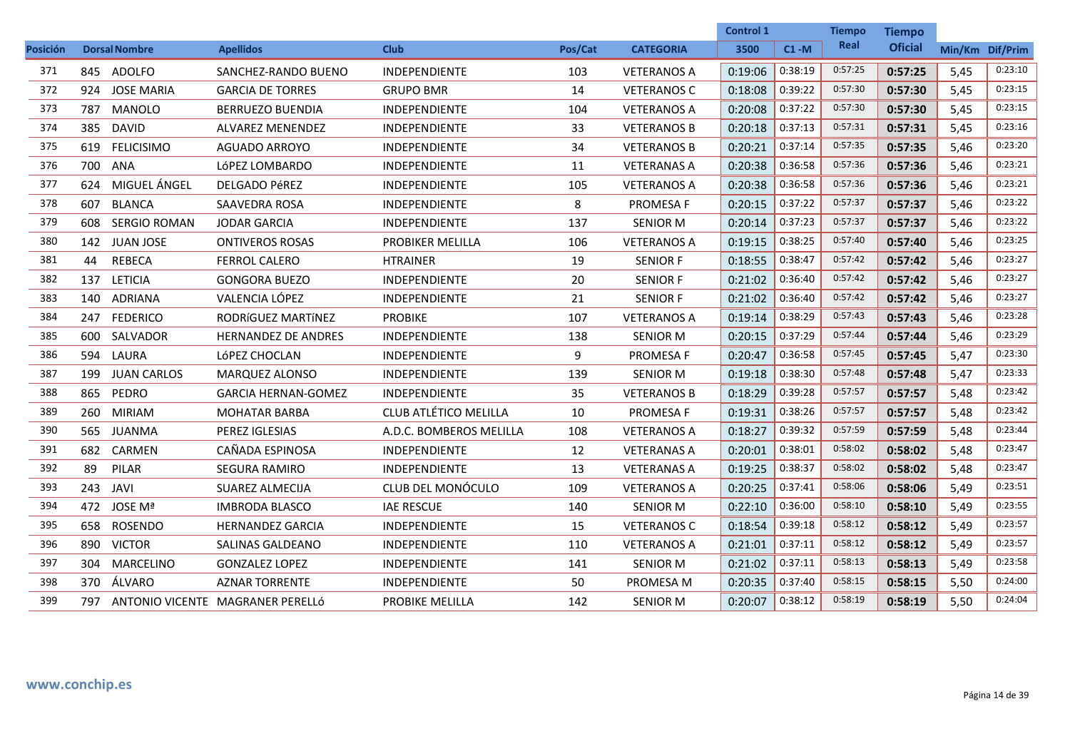|                 |                          |                     |                                      |                         |         |                    | <b>Control 1</b> |          | <b>Tiempo</b> | Tiempo         |                 |         |
|-----------------|--------------------------|---------------------|--------------------------------------|-------------------------|---------|--------------------|------------------|----------|---------------|----------------|-----------------|---------|
| <b>Posición</b> | <b>Dorsal Nombre</b>     |                     | <b>Apellidos</b>                     | <b>Club</b>             | Pos/Cat | <b>CATEGORIA</b>   | 3500             | $C1 - M$ | Real          | <b>Oficial</b> | Min/Km Dif/Prim |         |
| 371             | 845 ADOLFO               |                     | SANCHEZ-RANDO BUENO                  | INDEPENDIENTE           | 103     | <b>VETERANOS A</b> | 0:19:06          | 0:38:19  | 0:57:25       | 0:57:25        | 5,45            | 0:23:10 |
| 372             | <b>JOSE MARIA</b><br>924 |                     | <b>GARCIA DE TORRES</b>              | <b>GRUPO BMR</b>        | 14      | <b>VETERANOS C</b> | 0:18:08          | 0:39:22  | 0:57:30       | 0:57:30        | 5,45            | 0:23:15 |
| 373             | MANOLO<br>787            |                     | <b>BERRUEZO BUENDIA</b>              | <b>INDEPENDIENTE</b>    | 104     | <b>VETERANOS A</b> | 0:20:08          | 0:37:22  | 0:57:30       | 0:57:30        | 5,45            | 0:23:15 |
| 374             | 385 DAVID                |                     | <b>ALVAREZ MENENDEZ</b>              | <b>INDEPENDIENTE</b>    | 33      | <b>VETERANOS B</b> | 0:20:18          | 0:37:13  | 0:57:31       | 0:57:31        | 5,45            | 0:23:16 |
| 375             | 619<br><b>FELICISIMO</b> |                     | <b>AGUADO ARROYO</b>                 | INDEPENDIENTE           | 34      | <b>VETERANOS B</b> | 0:20:21          | 0:37:14  | 0:57:35       | 0:57:35        | 5,46            | 0:23:20 |
| 376             | 700 ANA                  |                     | LÓPEZ LOMBARDO                       | <b>INDEPENDIENTE</b>    | 11      | <b>VETERANAS A</b> | 0:20:38          | 0:36:58  | 0:57:36       | 0:57:36        | 5,46            | 0:23:21 |
| 377             | 624                      | MIGUEL ÁNGEL        | <b>DELGADO PÉREZ</b>                 | INDEPENDIENTE           | 105     | <b>VETERANOS A</b> | 0:20:38          | 0:36:58  | 0:57:36       | 0:57:36        | 5,46            | 0:23:21 |
| 378             | <b>BLANCA</b><br>607     |                     | SAAVEDRA ROSA                        | <b>INDEPENDIENTE</b>    | 8       | <b>PROMESA F</b>   | 0:20:15          | 0:37:22  | 0:57:37       | 0:57:37        | 5,46            | 0:23:22 |
| 379             | 608                      | <b>SERGIO ROMAN</b> | <b>JODAR GARCIA</b>                  | <b>INDEPENDIENTE</b>    | 137     | <b>SENIOR M</b>    | 0:20:14          | 0:37:23  | 0:57:37       | 0:57:37        | 5,46            | 0:23:22 |
| 380             | 142 JUAN JOSE            |                     | <b>ONTIVEROS ROSAS</b>               | PROBIKER MELILLA        | 106     | <b>VETERANOS A</b> | 0:19:15          | 0:38:25  | 0:57:40       | 0:57:40        | 5,46            | 0:23:25 |
| 381             | <b>REBECA</b><br>44      |                     | <b>FERROL CALERO</b>                 | <b>HTRAINER</b>         | 19      | <b>SENIOR F</b>    | 0:18:55          | 0:38:47  | 0:57:42       | 0:57:42        | 5.46            | 0:23:27 |
| 382             | 137<br><b>LETICIA</b>    |                     | <b>GONGORA BUEZO</b>                 | <b>INDEPENDIENTE</b>    | 20      | <b>SENIOR F</b>    | 0:21:02          | 0:36:40  | 0:57:42       | 0:57:42        | 5,46            | 0:23:27 |
| 383             | 140<br>ADRIANA           |                     | VALENCIA LÓPEZ                       | <b>INDEPENDIENTE</b>    | 21      | <b>SENIOR F</b>    | 0:21:02          | 0:36:40  | 0:57:42       | 0:57:42        | 5,46            | 0:23:27 |
| 384             | 247 FEDERICO             |                     | RODRÍGUEZ MARTÍNEZ                   | <b>PROBIKE</b>          | 107     | <b>VETERANOS A</b> | 0:19:14          | 0:38:29  | 0:57:43       | 0:57:43        | 5,46            | 0:23:28 |
| 385             | 600 SALVADOR             |                     | <b>HERNANDEZ DE ANDRES</b>           | INDEPENDIENTE           | 138     | <b>SENIOR M</b>    | 0:20:15          | 0:37:29  | 0:57:44       | 0:57:44        | 5,46            | 0:23:29 |
| 386             | 594<br>LAURA             |                     | LÓPEZ CHOCLAN                        | <b>INDEPENDIENTE</b>    | 9       | <b>PROMESA F</b>   | 0:20:47          | 0:36:58  | 0:57:45       | 0:57:45        | 5,47            | 0:23:30 |
| 387             | 199                      | <b>JUAN CARLOS</b>  | <b>MARQUEZ ALONSO</b>                | <b>INDEPENDIENTE</b>    | 139     | <b>SENIOR M</b>    | 0:19:18          | 0:38:30  | 0:57:48       | 0:57:48        | 5,47            | 0:23:33 |
| 388             | PEDRO<br>865             |                     | <b>GARCIA HERNAN-GOMEZ</b>           | <b>INDEPENDIENTE</b>    | 35      | <b>VETERANOS B</b> | 0:18:29          | 0:39:28  | 0:57:57       | 0:57:57        | 5,48            | 0:23:42 |
| 389             | <b>MIRIAM</b><br>260     |                     | <b>MOHATAR BARBA</b>                 | CLUB ATLÉTICO MELILLA   | 10      | PROMESA F          | 0:19:31          | 0:38:26  | 0:57:57       | 0:57:57        | 5,48            | 0:23:42 |
| 390             | 565 JUANMA               |                     | PEREZ IGLESIAS                       | A.D.C. BOMBEROS MELILLA | 108     | <b>VETERANOS A</b> | 0:18:27          | 0:39:32  | 0:57:59       | 0:57:59        | 5,48            | 0:23:44 |
| 391             | CARMEN<br>682            |                     | CAÑADA ESPINOSA                      | <b>INDEPENDIENTE</b>    | 12      | <b>VETERANAS A</b> | 0:20:01          | 0:38:01  | 0:58:02       | 0:58:02        | 5,48            | 0:23:47 |
| 392             | PILAR<br>89              |                     | SEGURA RAMIRO                        | <b>INDEPENDIENTE</b>    | 13      | <b>VETERANAS A</b> | 0:19:25          | 0:38:37  | 0:58:02       | 0:58:02        | 5.48            | 0:23:47 |
| 393             | <b>JAVI</b><br>243       |                     | <b>SUAREZ ALMECIJA</b>               | CLUB DEL MONÓCULO       | 109     | <b>VETERANOS A</b> | 0:20:25          | 0:37:41  | 0:58:06       | 0:58:06        | 5,49            | 0:23:51 |
| 394             | 472 JOSE Mª              |                     | <b>IMBRODA BLASCO</b>                | <b>IAE RESCUE</b>       | 140     | <b>SENIOR M</b>    | 0:22:10          | 0:36:00  | 0:58:10       | 0:58:10        | 5.49            | 0:23:55 |
| 395             | 658 ROSENDO              |                     | <b>HERNANDEZ GARCIA</b>              | <b>INDEPENDIENTE</b>    | 15      | <b>VETERANOS C</b> | 0:18:54          | 0:39:18  | 0:58:12       | 0:58:12        | 5,49            | 0:23:57 |
| 396             | <b>VICTOR</b><br>890     |                     | SALINAS GALDEANO                     | <b>INDEPENDIENTE</b>    | 110     | <b>VETERANOS A</b> | 0:21:01          | 0:37:11  | 0:58:12       | 0:58:12        | 5,49            | 0:23:57 |
| 397             | 304                      | MARCELINO           | <b>GONZALEZ LOPEZ</b>                | <b>INDEPENDIENTE</b>    | 141     | <b>SENIOR M</b>    | 0:21:02          | 0:37:11  | 0:58:13       | 0:58:13        | 5,49            | 0:23:58 |
| 398             | ÁLVARO<br>370            |                     | <b>AZNAR TORRENTE</b>                | <b>INDEPENDIENTE</b>    | 50      | PROMESA M          | 0:20:35          | 0:37:40  | 0:58:15       | 0:58:15        | 5,50            | 0:24:00 |
| 399             |                          |                     | 797 ANTONIO VICENTE MAGRANER PERELLÓ | PROBIKE MELILLA         | 142     | <b>SENIOR M</b>    | 0:20:07          | 0:38:12  | 0:58:19       | 0:58:19        | 5,50            | 0:24:04 |
|                 |                          |                     |                                      |                         |         |                    |                  |          |               |                |                 |         |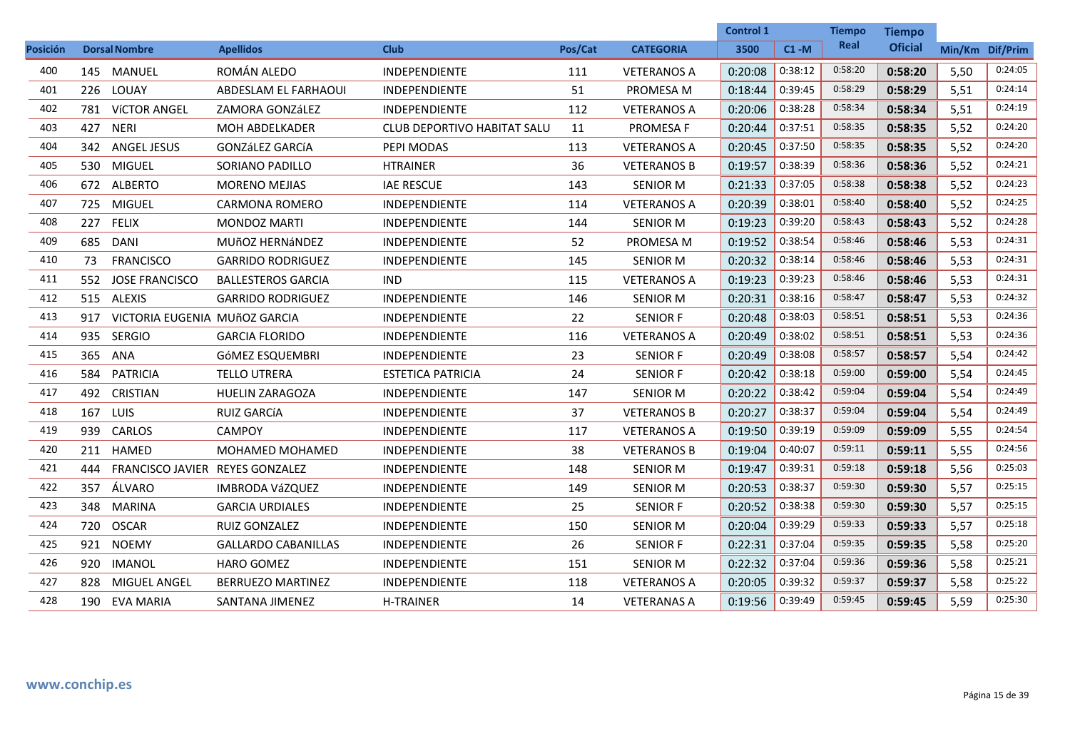|                 |          |                                   |                            |                                    |         |                    | <b>Control 1</b> |          | <b>Tiempo</b> | <b>Tiempo</b>  |                 |         |
|-----------------|----------|-----------------------------------|----------------------------|------------------------------------|---------|--------------------|------------------|----------|---------------|----------------|-----------------|---------|
| <b>Posición</b> |          | <b>Dorsal Nombre</b>              | <b>Apellidos</b>           | <b>Club</b>                        | Pos/Cat | <b>CATEGORIA</b>   | 3500             | $C1 - M$ | Real          | <b>Oficial</b> | Min/Km Dif/Prim |         |
| 400             |          | 145 MANUEL                        | ROMÁN ALEDO                | INDEPENDIENTE                      | 111     | <b>VETERANOS A</b> | 0:20:08          | 0:38:12  | 0:58:20       | 0:58:20        | 5,50            | 0:24:05 |
| 401             |          | 226 LOUAY                         | ABDESLAM EL FARHAOUI       | <b>INDEPENDIENTE</b>               | 51      | PROMESA M          | 0:18:44          | 0:39:45  | 0:58:29       | 0:58:29        | 5,51            | 0:24:14 |
| 402             |          | 781 VÍCTOR ANGEL                  | ZAMORA GONZÁLEZ            | <b>INDEPENDIENTE</b>               | 112     | <b>VETERANOS A</b> | 0:20:06          | 0:38:28  | 0:58:34       | 0:58:34        | 5,51            | 0:24:19 |
| 403             |          | 427 NERI                          | MOH ABDELKADER             | <b>CLUB DEPORTIVO HABITAT SALU</b> | 11      | PROMESA F          | 0:20:44          | 0:37:51  | 0:58:35       | 0:58:35        | 5,52            | 0:24:20 |
| 404             | 342      | <b>ANGEL JESUS</b>                | <b>GONZáLEZ GARCÍA</b>     | PEPI MODAS                         | 113     | <b>VETERANOS A</b> | 0:20:45          | 0:37:50  | 0:58:35       | 0:58:35        | 5,52            | 0:24:20 |
| 405             | 530      | <b>MIGUEL</b>                     | SORIANO PADILLO            | <b>HTRAINER</b>                    | 36      | <b>VETERANOS B</b> | 0:19:57          | 0:38:39  | 0:58:36       | 0:58:36        | 5,52            | 0:24:21 |
| 406             |          | 672 ALBERTO                       | <b>MORENO MEJIAS</b>       | <b>IAE RESCUE</b>                  | 143     | <b>SENIOR M</b>    | 0:21:33          | 0:37:05  | 0:58:38       | 0:58:38        | 5,52            | 0:24:23 |
| 407             | 725      | MIGUEL                            | <b>CARMONA ROMERO</b>      | <b>INDEPENDIENTE</b>               | 114     | <b>VETERANOS A</b> | 0:20:39          | 0:38:01  | 0:58:40       | 0:58:40        | 5.52            | 0:24:25 |
| 408             |          | 227 FELIX                         | <b>MONDOZ MARTI</b>        | <b>INDEPENDIENTE</b>               | 144     | <b>SENIOR M</b>    | 0:19:23          | 0:39:20  | 0:58:43       | 0:58:43        | 5,52            | 0:24:28 |
| 409             | 685      | <b>DANI</b>                       | MUñOZ HERNÁNDEZ            | <b>INDEPENDIENTE</b>               | 52      | PROMESA M          | 0:19:52          | 0:38:54  | 0:58:46       | 0:58:46        | 5,53            | 0:24:31 |
| 410             | 73       | <b>FRANCISCO</b>                  | <b>GARRIDO RODRIGUEZ</b>   | INDEPENDIENTE                      | 145     | <b>SENIOR M</b>    | 0:20:32          | 0:38:14  | 0:58:46       | 0:58:46        | 5,53            | 0:24:31 |
| 411             |          | 552 JOSE FRANCISCO                | <b>BALLESTEROS GARCIA</b>  | <b>IND</b>                         | 115     | <b>VETERANOS A</b> | 0:19:23          | 0:39:23  | 0:58:46       | 0:58:46        | 5,53            | 0:24:31 |
| 412             |          | 515 ALEXIS                        | <b>GARRIDO RODRIGUEZ</b>   | INDEPENDIENTE                      | 146     | <b>SENIOR M</b>    | 0:20:31          | 0:38:16  | 0:58:47       | 0:58:47        | 5,53            | 0:24:32 |
| 413             |          | 917 VICTORIA EUGENIA MUñOZ GARCIA |                            | <b>INDEPENDIENTE</b>               | 22      | <b>SENIOR F</b>    | 0:20:48          | 0:38:03  | 0:58:51       | 0:58:51        | 5,53            | 0:24:36 |
| 414             | 935      | <b>SERGIO</b>                     | <b>GARCIA FLORIDO</b>      | <b>INDEPENDIENTE</b>               | 116     | <b>VETERANOS A</b> | 0:20:49          | 0:38:02  | 0:58:51       | 0:58:51        | 5,53            | 0:24:36 |
| 415             |          | 365 ANA                           | GÓMEZ ESQUEMBRI            | INDEPENDIENTE                      | 23      | <b>SENIOR F</b>    | 0:20:49          | 0:38:08  | 0:58:57       | 0:58:57        | 5,54            | 0:24:42 |
| 416             | 584      | PATRICIA                          | <b>TELLO UTRERA</b>        | <b>ESTETICA PATRICIA</b>           | 24      | <b>SENIOR F</b>    | 0:20:42          | 0:38:18  | 0:59:00       | 0:59:00        | 5,54            | 0:24:45 |
| 417             |          | 492 CRISTIAN                      | <b>HUELIN ZARAGOZA</b>     | <b>INDEPENDIENTE</b>               | 147     | <b>SENIOR M</b>    | 0:20:22          | 0:38:42  | 0:59:04       | 0:59:04        | 5,54            | 0:24:49 |
| 418             | 167 LUIS |                                   | <b>RUIZ GARCÍA</b>         | INDEPENDIENTE                      | 37      | <b>VETERANOS B</b> | 0:20:27          | 0:38:37  | 0:59:04       | 0:59:04        | 5,54            | 0:24:49 |
| 419             | 939      | CARLOS                            | <b>CAMPOY</b>              | <b>INDEPENDIENTE</b>               | 117     | <b>VETERANOS A</b> | 0:19:50          | 0:39:19  | 0:59:09       | 0:59:09        | 5,55            | 0:24:54 |
| 420             |          | 211 HAMED                         | <b>MOHAMED MOHAMED</b>     | <b>INDEPENDIENTE</b>               | 38      | <b>VETERANOS B</b> | 0:19:04          | 0:40:07  | 0:59:11       | 0:59:11        | 5,55            | 0:24:56 |
| 421             | 444      | FRANCISCO JAVIER REYES GONZALEZ   |                            | INDEPENDIENTE                      | 148     | <b>SENIOR M</b>    | 0:19:47          | 0:39:31  | 0:59:18       | 0:59:18        | 5,56            | 0:25:03 |
| 422             | 357      | ÁLVARO                            | IMBRODA VáZQUEZ            | <b>INDEPENDIENTE</b>               | 149     | <b>SENIOR M</b>    | 0:20:53          | 0:38:37  | 0:59:30       | 0:59:30        | 5,57            | 0:25:15 |
| 423             | 348      | <b>MARINA</b>                     | <b>GARCIA URDIALES</b>     | INDEPENDIENTE                      | 25      | <b>SENIOR F</b>    | 0:20:52          | 0:38:38  | 0:59:30       | 0:59:30        | 5,57            | 0:25:15 |
| 424             | 720      | <b>OSCAR</b>                      | <b>RUIZ GONZALEZ</b>       | <b>INDEPENDIENTE</b>               | 150     | <b>SENIOR M</b>    | 0:20:04          | 0:39:29  | 0:59:33       | 0:59:33        | 5,57            | 0:25:18 |
| 425             | 921      | <b>NOEMY</b>                      | <b>GALLARDO CABANILLAS</b> | <b>INDEPENDIENTE</b>               | 26      | <b>SENIOR F</b>    | 0:22:31          | 0:37:04  | 0:59:35       | 0:59:35        | 5,58            | 0:25:20 |
| 426             | 920      | <b>IMANOL</b>                     | <b>HARO GOMEZ</b>          | INDEPENDIENTE                      | 151     | <b>SENIOR M</b>    | 0:22:32          | 0:37:04  | 0:59:36       | 0:59:36        | 5,58            | 0:25:21 |
| 427             | 828      | MIGUEL ANGEL                      | <b>BERRUEZO MARTINEZ</b>   | <b>INDEPENDIENTE</b>               | 118     | <b>VETERANOS A</b> | 0:20:05          | 0:39:32  | 0:59:37       | 0:59:37        | 5,58            | 0:25:22 |
| 428             |          | 190 EVA MARIA                     | SANTANA JIMENEZ            | <b>H-TRAINER</b>                   | 14      | <b>VETERANAS A</b> | 0:19:56          | 0:39:49  | 0:59:45       | 0:59:45        | 5,59            | 0:25:30 |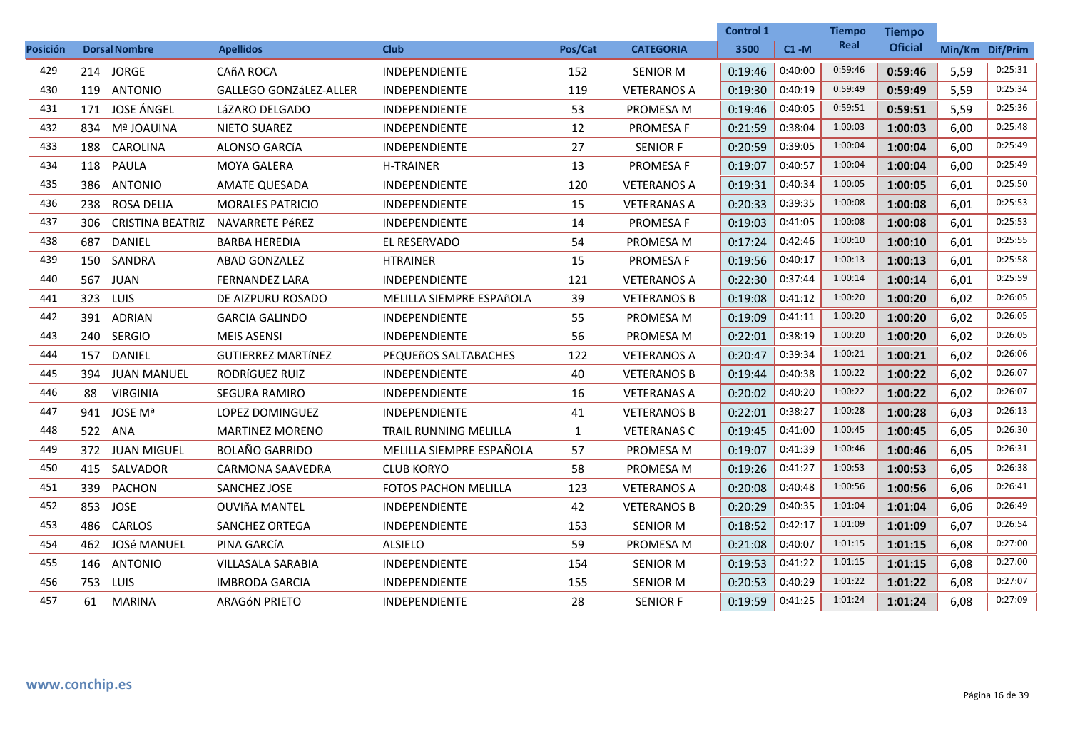|                 |     |                      |                               |                              |              |                    | <b>Control 1</b> |          | <b>Tiempo</b> | <b>Tiempo</b>  |                 |         |
|-----------------|-----|----------------------|-------------------------------|------------------------------|--------------|--------------------|------------------|----------|---------------|----------------|-----------------|---------|
| <b>Posición</b> |     | <b>Dorsal Nombre</b> | <b>Apellidos</b>              | <b>Club</b>                  | Pos/Cat      | <b>CATEGORIA</b>   | 3500             | $C1 - M$ | Real          | <b>Oficial</b> | Min/Km Dif/Prim |         |
| 429             |     | 214 JORGE            | CAñA ROCA                     | INDEPENDIENTE                | 152          | <b>SENIOR M</b>    | 0:19:46          | 0:40:00  | 0:59:46       | 0:59:46        | 5,59            | 0:25:31 |
| 430             |     | 119 ANTONIO          | <b>GALLEGO GONZáLEZ-ALLER</b> | <b>INDEPENDIENTE</b>         | 119          | <b>VETERANOS A</b> | 0:19:30          | 0:40:19  | 0:59:49       | 0:59:49        | 5,59            | 0:25:34 |
| 431             |     | 171 JOSE ÁNGEL       | LáZARO DELGADO                | <b>INDEPENDIENTE</b>         | 53           | PROMESA M          | 0:19:46          | 0:40:05  | 0:59:51       | 0:59:51        | 5,59            | 0:25:36 |
| 432             | 834 | Mª JOAUINA           | <b>NIETO SUAREZ</b>           | <b>INDEPENDIENTE</b>         | 12           | <b>PROMESA F</b>   | 0:21:59          | 0:38:04  | 1:00:03       | 1:00:03        | 6,00            | 0:25:48 |
| 433             | 188 | CAROLINA             | <b>ALONSO GARCÍA</b>          | <b>INDEPENDIENTE</b>         | 27           | <b>SENIOR F</b>    | 0:20:59          | 0:39:05  | 1:00:04       | 1:00:04        | 6.00            | 0:25:49 |
| 434             | 118 | PAULA                | MOYA GALERA                   | <b>H-TRAINER</b>             | 13           | <b>PROMESA F</b>   | 0:19:07          | 0:40:57  | 1:00:04       | 1:00:04        | 6,00            | 0:25:49 |
| 435             | 386 | ANTONIO              | <b>AMATE QUESADA</b>          | <b>INDEPENDIENTE</b>         | 120          | <b>VETERANOS A</b> | 0:19:31          | 0:40:34  | 1:00:05       | 1:00:05        | 6,01            | 0:25:50 |
| 436             | 238 | <b>ROSA DELIA</b>    | <b>MORALES PATRICIO</b>       | <b>INDEPENDIENTE</b>         | 15           | <b>VETERANAS A</b> | 0:20:33          | 0:39:35  | 1:00:08       | 1:00:08        | 6,01            | 0:25:53 |
| 437             | 306 | CRISTINA BEATRIZ     | NAVARRETE PéREZ               | <b>INDEPENDIENTE</b>         | 14           | <b>PROMESA F</b>   | 0:19:03          | 0:41:05  | 1:00:08       | 1:00:08        | 6,01            | 0:25:53 |
| 438             | 687 | <b>DANIEL</b>        | <b>BARBA HEREDIA</b>          | EL RESERVADO                 | 54           | PROMESA M          | 0:17:24          | 0:42:46  | 1:00:10       | 1:00:10        | 6,01            | 0:25:55 |
| 439             | 150 | SANDRA               | ABAD GONZALEZ                 | <b>HTRAINER</b>              | 15           | PROMESA F          | 0:19:56          | 0:40:17  | 1:00:13       | 1:00:13        | 6,01            | 0:25:58 |
| 440             |     | 567 JUAN             | <b>FERNANDEZ LARA</b>         | <b>INDEPENDIENTE</b>         | 121          | <b>VETERANOS A</b> | 0:22:30          | 0:37:44  | 1:00:14       | 1:00:14        | 6,01            | 0:25:59 |
| 441             |     | 323 LUIS             | DE AIZPURU ROSADO             | MELILLA SIEMPRE ESPAñOLA     | 39           | <b>VETERANOS B</b> | 0:19:08          | 0:41:12  | 1:00:20       | 1:00:20        | 6,02            | 0:26:05 |
| 442             |     | 391 ADRIAN           | <b>GARCIA GALINDO</b>         | <b>INDEPENDIENTE</b>         | 55           | PROMESA M          | 0:19:09          | 0:41:11  | 1:00:20       | 1:00:20        | 6,02            | 0:26:05 |
| 443             | 240 | <b>SERGIO</b>        | <b>MEIS ASENSI</b>            | INDEPENDIENTE                | 56           | PROMESA M          | 0:22:01          | 0:38:19  | 1:00:20       | 1:00:20        | 6,02            | 0:26:05 |
| 444             | 157 | DANIEL               | <b>GUTIERREZ MARTÍNEZ</b>     | PEQUEñOS SALTABACHES         | 122          | <b>VETERANOS A</b> | 0:20:47          | 0:39:34  | 1:00:21       | 1:00:21        | 6,02            | 0:26:06 |
| 445             | 394 | <b>JUAN MANUEL</b>   | RODRÍGUEZ RUIZ                | <b>INDEPENDIENTE</b>         | 40           | <b>VETERANOS B</b> | 0:19:44          | 0:40:38  | 1:00:22       | 1:00:22        | 6,02            | 0:26:07 |
| 446             | 88  | <b>VIRGINIA</b>      | <b>SEGURA RAMIRO</b>          | <b>INDEPENDIENTE</b>         | 16           | <b>VETERANAS A</b> | 0:20:02          | 0:40:20  | 1:00:22       | 1:00:22        | 6,02            | 0:26:07 |
| 447             |     | 941 JOSE Mª          | LOPEZ DOMINGUEZ               | <b>INDEPENDIENTE</b>         | 41           | <b>VETERANOS B</b> | 0:22:01          | 0:38:27  | 1:00:28       | 1:00:28        | 6,03            | 0:26:13 |
| 448             | 522 | ANA                  | <b>MARTINEZ MORENO</b>        | <b>TRAIL RUNNING MELILLA</b> | $\mathbf{1}$ | <b>VETERANAS C</b> | 0:19:45          | 0:41:00  | 1:00:45       | 1:00:45        | 6,05            | 0:26:30 |
| 449             |     | 372 JUAN MIGUEL      | <b>BOLAÑO GARRIDO</b>         | MELILLA SIEMPRE ESPAÑOLA     | 57           | PROMESA M          | 0:19:07          | 0:41:39  | 1:00:46       | 1:00:46        | 6,05            | 0:26:31 |
| 450             |     | 415 SALVADOR         | <b>CARMONA SAAVEDRA</b>       | <b>CLUB KORYO</b>            | 58           | PROMESA M          | 0:19:26          | 0:41:27  | 1:00:53       | 1:00:53        | 6,05            | 0:26:38 |
| 451             |     | 339 PACHON           | SANCHEZ JOSE                  | <b>FOTOS PACHON MELILLA</b>  | 123          | <b>VETERANOS A</b> | 0:20:08          | 0:40:48  | 1:00:56       | 1:00:56        | 6,06            | 0:26:41 |
| 452             |     | 853 JOSE             | <b>OUVIñA MANTEL</b>          | <b>INDEPENDIENTE</b>         | 42           | <b>VETERANOS B</b> | 0:20:29          | 0:40:35  | 1:01:04       | 1:01:04        | 6,06            | 0:26:49 |
| 453             | 486 | CARLOS               | <b>SANCHEZ ORTEGA</b>         | <b>INDEPENDIENTE</b>         | 153          | <b>SENIOR M</b>    | 0:18:52          | 0:42:17  | 1:01:09       | 1:01:09        | 6,07            | 0:26:54 |
| 454             | 462 | JOSé MANUEL          | PINA GARCÍA                   | <b>ALSIELO</b>               | 59           | PROMESA M          | 0:21:08          | 0:40:07  | 1:01:15       | 1:01:15        | 6,08            | 0:27:00 |
| 455             |     | 146 ANTONIO          | VILLASALA SARABIA             | <b>INDEPENDIENTE</b>         | 154          | <b>SENIOR M</b>    | 0:19:53          | 0:41:22  | 1:01:15       | 1:01:15        | 6,08            | 0:27:00 |
| 456             |     | 753 LUIS             | <b>IMBRODA GARCIA</b>         | <b>INDEPENDIENTE</b>         | 155          | <b>SENIOR M</b>    | 0:20:53          | 0:40:29  | 1:01:22       | 1:01:22        | 6,08            | 0:27:07 |
| 457             | 61  | <b>MARINA</b>        | ARAGÓN PRIETO                 | INDEPENDIENTE                | 28           | <b>SENIOR F</b>    | 0:19:59          | 0:41:25  | 1:01:24       | 1:01:24        | 6,08            | 0:27:09 |
|                 |     |                      |                               |                              |              |                    |                  |          |               |                |                 |         |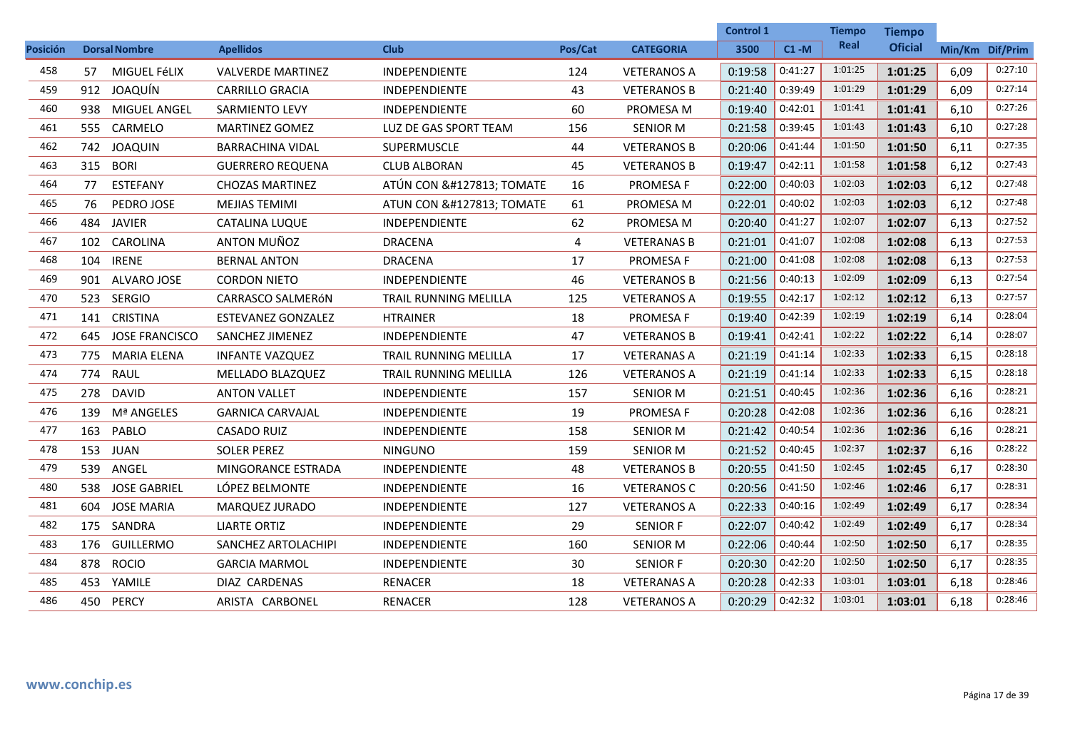|                 |                           |                       |                           |                              |         |                    | Control 1 |          | <b>Tiempo</b> | Tiempo         |                 |         |
|-----------------|---------------------------|-----------------------|---------------------------|------------------------------|---------|--------------------|-----------|----------|---------------|----------------|-----------------|---------|
| <b>Posición</b> | <b>Dorsal Nombre</b>      |                       | <b>Apellidos</b>          | <b>Club</b>                  | Pos/Cat | <b>CATEGORIA</b>   | 3500      | $C1 - M$ | Real          | <b>Oficial</b> | Min/Km Dif/Prim |         |
| 458             | MIGUEL FéLIX<br>57        |                       | <b>VALVERDE MARTINEZ</b>  | INDEPENDIENTE                | 124     | <b>VETERANOS A</b> | 0:19:58   | 0:41:27  | 1:01:25       | 1:01:25        | 6,09            | 0:27:10 |
| 459             | 912 JOAQUÍN               |                       | <b>CARRILLO GRACIA</b>    | <b>INDEPENDIENTE</b>         | 43      | <b>VETERANOS B</b> | 0:21:40   | 0:39:49  | 1:01:29       | 1:01:29        | 6.09            | 0:27:14 |
| 460             | MIGUEL ANGEL<br>938       |                       | <b>SARMIENTO LEVY</b>     | <b>INDEPENDIENTE</b>         | 60      | PROMESA M          | 0:19:40   | 0:42:01  | 1:01:41       | 1:01:41        | 6,10            | 0:27:26 |
| 461             | 555 CARMELO               |                       | <b>MARTINEZ GOMEZ</b>     | LUZ DE GAS SPORT TEAM        | 156     | <b>SENIOR M</b>    | 0:21:58   | 0:39:45  | 1:01:43       | 1:01:43        | 6,10            | 0:27:28 |
| 462             | <b>JOAQUIN</b><br>742     |                       | <b>BARRACHINA VIDAL</b>   | SUPERMUSCLE                  | 44      | <b>VETERANOS B</b> | 0:20:06   | 0:41:44  | 1:01:50       | 1:01:50        | 6,11            | 0:27:35 |
| 463             | <b>BORI</b><br>315        |                       | <b>GUERRERO REQUENA</b>   | <b>CLUB ALBORAN</b>          | 45      | <b>VETERANOS B</b> | 0:19:47   | 0:42:11  | 1:01:58       | 1:01:58        | 6,12            | 0:27:43 |
| 464             | <b>ESTEFANY</b><br>77     |                       | <b>CHOZAS MARTINEZ</b>    | ATÚN CON 🍅 TOMATE            | 16      | <b>PROMESA F</b>   | 0:22:00   | 0:40:03  | 1:02:03       | 1:02:03        | 6,12            | 0:27:48 |
| 465             | 76<br>PEDRO JOSE          |                       | <b>MEJIAS TEMIMI</b>      | ATUN CON 🍅 TOMATE            | 61      | PROMESA M          | 0:22:01   | 0:40:02  | 1:02:03       | 1:02:03        | 6,12            | 0:27:48 |
| 466             | 484 JAVIER                |                       | CATALINA LUQUE            | <b>INDEPENDIENTE</b>         | 62      | PROMESA M          | 0:20:40   | 0:41:27  | 1:02:07       | 1:02:07        | 6,13            | 0:27:52 |
| 467             | CAROLINA<br>102           |                       | ANTON MUÑOZ               | <b>DRACENA</b>               | 4       | <b>VETERANAS B</b> | 0:21:01   | 0:41:07  | 1:02:08       | 1:02:08        | 6,13            | 0:27:53 |
| 468             | <b>IRENE</b><br>104       |                       | <b>BERNAL ANTON</b>       | <b>DRACENA</b>               | 17      | <b>PROMESA F</b>   | 0:21:00   | 0:41:08  | 1:02:08       | 1:02:08        | 6,13            | 0:27:53 |
| 469             | 901 ALVARO JOSE           |                       | <b>CORDON NIETO</b>       | <b>INDEPENDIENTE</b>         | 46      | <b>VETERANOS B</b> | 0:21:56   | 0:40:13  | 1:02:09       | 1:02:09        | 6,13            | 0:27:54 |
| 470             | 523 SERGIO                |                       | CARRASCO SALMERÓN         | TRAIL RUNNING MELILLA        | 125     | <b>VETERANOS A</b> | 0:19:55   | 0:42:17  | 1:02:12       | 1:02:12        | 6,13            | 0:27:57 |
| 471             | 141 CRISTINA              |                       | <b>ESTEVANEZ GONZALEZ</b> | <b>HTRAINER</b>              | 18      | PROMESA F          | 0:19:40   | 0:42:39  | 1:02:19       | 1:02:19        | 6,14            | 0:28:04 |
| 472             | 645                       | <b>JOSE FRANCISCO</b> | SANCHEZ JIMENEZ           | INDEPENDIENTE                | 47      | <b>VETERANOS B</b> | 0:19:41   | 0:42:41  | 1:02:22       | 1:02:22        | 6,14            | 0:28:07 |
| 473             | <b>MARIA ELENA</b><br>775 |                       | <b>INFANTE VAZQUEZ</b>    | <b>TRAIL RUNNING MELILLA</b> | 17      | <b>VETERANAS A</b> | 0:21:19   | 0:41:14  | 1:02:33       | 1:02:33        | 6,15            | 0:28:18 |
| 474             | RAUL<br>774               |                       | <b>MELLADO BLAZQUEZ</b>   | <b>TRAIL RUNNING MELILLA</b> | 126     | <b>VETERANOS A</b> | 0:21:19   | 0:41:14  | 1:02:33       | 1:02:33        | 6,15            | 0:28:18 |
| 475             | <b>DAVID</b><br>278       |                       | <b>ANTON VALLET</b>       | <b>INDEPENDIENTE</b>         | 157     | <b>SENIOR M</b>    | 0:21:51   | 0:40:45  | 1:02:36       | 1:02:36        | 6,16            | 0:28:21 |
| 476             | 139 Mª ANGELES            |                       | <b>GARNICA CARVAJAL</b>   | INDEPENDIENTE                | 19      | PROMESA F          | 0:20:28   | 0:42:08  | 1:02:36       | 1:02:36        | 6,16            | 0:28:21 |
| 477             | PABLO<br>163              |                       | CASADO RUIZ               | <b>INDEPENDIENTE</b>         | 158     | <b>SENIOR M</b>    | 0:21:42   | 0:40:54  | 1:02:36       | 1:02:36        | 6,16            | 0:28:21 |
| 478             | 153 JUAN                  |                       | <b>SOLER PEREZ</b>        | <b>NINGUNO</b>               | 159     | <b>SENIOR M</b>    | 0:21:52   | 0:40:45  | 1:02:37       | 1:02:37        | 6,16            | 0:28:22 |
| 479             | 539<br>ANGEL              |                       | MINGORANCE ESTRADA        | <b>INDEPENDIENTE</b>         | 48      | <b>VETERANOS B</b> | 0:20:55   | 0:41:50  | 1:02:45       | 1:02:45        | 6,17            | 0:28:30 |
| 480             | 538 JOSE GABRIEL          |                       | LÓPEZ BELMONTE            | <b>INDEPENDIENTE</b>         | 16      | <b>VETERANOS C</b> | 0:20:56   | 0:41:50  | 1:02:46       | 1:02:46        | 6,17            | 0:28:31 |
| 481             | <b>JOSE MARIA</b><br>604  |                       | MARQUEZ JURADO            | INDEPENDIENTE                | 127     | <b>VETERANOS A</b> | 0:22:33   | 0:40:16  | 1:02:49       | 1:02:49        | 6,17            | 0:28:34 |
| 482             | 175 SANDRA                |                       | LIARTE ORTIZ              | <b>INDEPENDIENTE</b>         | 29      | <b>SENIOR F</b>    | 0:22:07   | 0:40:42  | 1:02:49       | 1:02:49        | 6,17            | 0:28:34 |
| 483             | <b>GUILLERMO</b><br>176   |                       | SANCHEZ ARTOLACHIPI       | <b>INDEPENDIENTE</b>         | 160     | <b>SENIOR M</b>    | 0:22:06   | 0:40:44  | 1:02:50       | 1:02:50        | 6,17            | 0:28:35 |
| 484             | <b>ROCIO</b><br>878       |                       | <b>GARCIA MARMOL</b>      | INDEPENDIENTE                | 30      | <b>SENIOR F</b>    | 0:20:30   | 0:42:20  | 1:02:50       | 1:02:50        | 6,17            | 0:28:35 |
| 485             | 453 YAMILE                |                       | DIAZ CARDENAS             | <b>RENACER</b>               | 18      | <b>VETERANAS A</b> | 0:20:28   | 0:42:33  | 1:03:01       | 1:03:01        | 6,18            | 0:28:46 |
| 486             | 450 PERCY                 |                       | ARISTA CARBONEL           | <b>RENACER</b>               | 128     | <b>VETERANOS A</b> | 0:20:29   | 0:42:32  | 1:03:01       | 1:03:01        | 6,18            | 0:28:46 |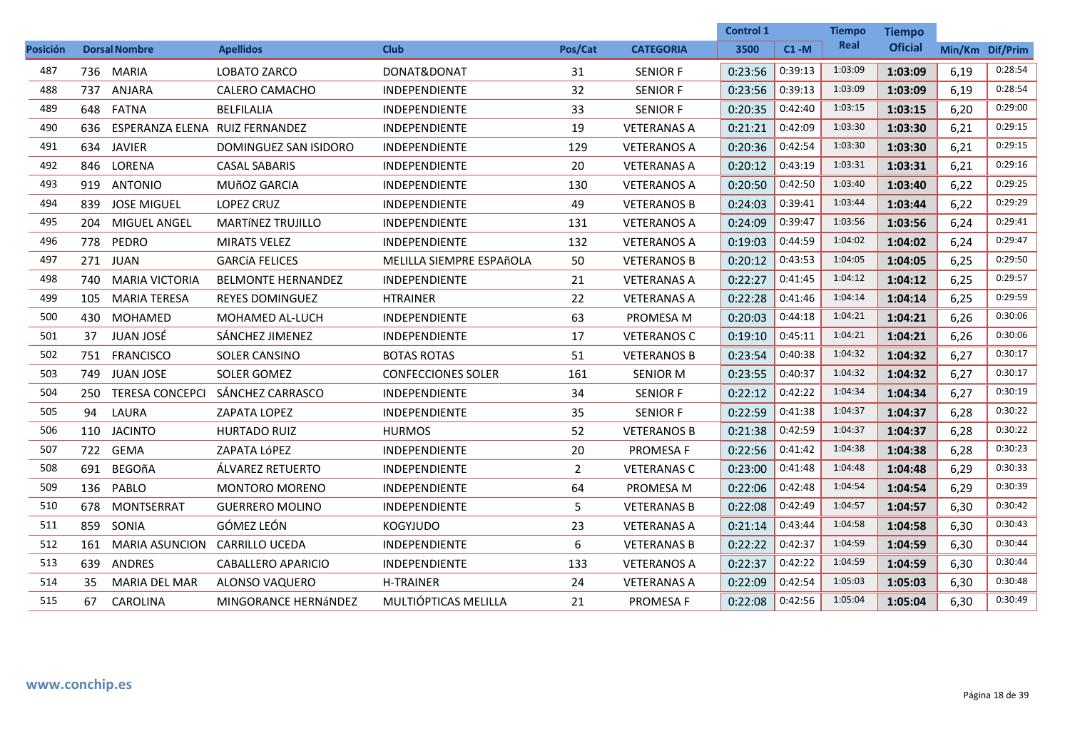|                 |     |                                |                             |                           |                |                    | <b>Control 1</b> |          | <b>Tiempo</b> | Tiempo         |                 |         |
|-----------------|-----|--------------------------------|-----------------------------|---------------------------|----------------|--------------------|------------------|----------|---------------|----------------|-----------------|---------|
| <b>Posición</b> |     | <b>Dorsal Nombre</b>           | <b>Apellidos</b>            | <b>Club</b>               | Pos/Cat        | <b>CATEGORIA</b>   | 3500             | $C1 - M$ | Real          | <b>Oficial</b> | Min/Km Dif/Prim |         |
| 487             |     | 736 MARIA                      | LOBATO ZARCO                | DONAT&DONAT               | 31             | <b>SENIOR F</b>    | 0:23:56          | 0:39:13  | 1:03:09       | 1:03:09        | 6,19            | 0:28:54 |
| 488             | 737 | ANJARA                         | CALERO CAMACHO              | <b>INDEPENDIENTE</b>      | 32             | <b>SENIOR F</b>    | 0:23:56          | 0:39:13  | 1:03:09       | 1:03:09        | 6,19            | 0:28:54 |
| 489             |     | 648 FATNA                      | <b>BELFILALIA</b>           | <b>INDEPENDIENTE</b>      | 33             | <b>SENIOR F</b>    | 0:20:35          | 0:42:40  | 1:03:15       | 1:03:15        | 6,20            | 0:29:00 |
| 490             | 636 | ESPERANZA ELENA RUIZ FERNANDEZ |                             | <b>INDEPENDIENTE</b>      | 19             | <b>VETERANAS A</b> | 0:21:21          | 0:42:09  | 1:03:30       | 1:03:30        | 6,21            | 0:29:15 |
| 491             | 634 | <b>JAVIER</b>                  | DOMINGUEZ SAN ISIDORO       | INDEPENDIENTE             | 129            | <b>VETERANOS A</b> | 0:20:36          | 0:42:54  | 1:03:30       | 1:03:30        | 6,21            | 0:29:15 |
| 492             | 846 | LORENA                         | <b>CASAL SABARIS</b>        | INDEPENDIENTE             | 20             | <b>VETERANAS A</b> | 0:20:12          | 0:43:19  | 1:03:31       | 1:03:31        | 6,21            | 0:29:16 |
| 493             | 919 | <b>ANTONIO</b>                 | <b>MUÑOZ GARCIA</b>         | <b>INDEPENDIENTE</b>      | 130            | <b>VETERANOS A</b> | 0:20:50          | 0:42:50  | 1:03:40       | 1:03:40        | 6,22            | 0:29:25 |
| 494             | 839 | <b>JOSE MIGUEL</b>             | <b>LOPEZ CRUZ</b>           | <b>INDEPENDIENTE</b>      | 49             | <b>VETERANOS B</b> | 0:24:03          | 0:39:41  | 1:03:44       | 1:03:44        | 6,22            | 0:29:29 |
| 495             |     | 204 MIGUEL ANGEL               | <b>MARTÍNEZ TRUJILLO</b>    | <b>INDEPENDIENTE</b>      | 131            | <b>VETERANOS A</b> | 0:24:09          | 0:39:47  | 1:03:56       | 1:03:56        | 6,24            | 0:29:41 |
| 496             | 778 | PEDRO                          | <b>MIRATS VELEZ</b>         | INDEPENDIENTE             | 132            | <b>VETERANOS A</b> | 0:19:03          | 0:44:59  | 1:04:02       | 1:04:02        | 6,24            | 0:29:47 |
| 497             |     | 271 JUAN                       | <b>GARCÍA FELICES</b>       | MELILLA SIEMPRE ESPAñOLA  | 50             | <b>VETERANOS B</b> | 0:20:12          | 0:43:53  | 1:04:05       | 1:04:05        | 6,25            | 0:29:50 |
| 498             | 740 | <b>MARIA VICTORIA</b>          | <b>BELMONTE HERNANDEZ</b>   | <b>INDEPENDIENTE</b>      | 21             | <b>VETERANAS A</b> | 0:22:27          | 0:41:45  | 1:04:12       | 1:04:12        | 6,25            | 0:29:57 |
| 499             | 105 | MARIA TERESA                   | <b>REYES DOMINGUEZ</b>      | <b>HTRAINER</b>           | 22             | <b>VETERANAS A</b> | 0:22:28          | 0:41:46  | 1:04:14       | 1:04:14        | 6,25            | 0:29:59 |
| 500             |     | 430 MOHAMED                    | MOHAMED AL-LUCH             | <b>INDEPENDIENTE</b>      | 63             | PROMESA M          | 0:20:03          | 0:44:18  | 1:04:21       | 1:04:21        | 6,26            | 0:30:06 |
| 501             | 37  | JUAN JOSÉ                      | SÁNCHEZ JIMENEZ             | INDEPENDIENTE             | 17             | <b>VETERANOS C</b> | 0:19:10          | 0:45:11  | 1:04:21       | 1:04:21        | 6,26            | 0:30:06 |
| 502             | 751 | <b>FRANCISCO</b>               | <b>SOLER CANSINO</b>        | <b>BOTAS ROTAS</b>        | 51             | <b>VETERANOS B</b> | 0:23:54          | 0:40:38  | 1:04:32       | 1:04:32        | 6,27            | 0:30:17 |
| 503             | 749 | <b>JUAN JOSE</b>               | <b>SOLER GOMEZ</b>          | <b>CONFECCIONES SOLER</b> | 161            | <b>SENIOR M</b>    | 0:23:55          | 0:40:37  | 1:04:32       | 1:04:32        | 6,27            | 0:30:17 |
| 504             | 250 | <b>TERESA CONCEPCI</b>         | SÁNCHEZ CARRASCO            | <b>INDEPENDIENTE</b>      | 34             | <b>SENIOR F</b>    | 0:22:12          | 0:42:22  | 1:04:34       | 1:04:34        | 6,27            | 0:30:19 |
| 505             | 94  | LAURA                          | ZAPATA LOPEZ                | INDEPENDIENTE             | 35             | <b>SENIOR F</b>    | 0:22:59          | 0:41:38  | 1:04:37       | 1:04:37        | 6,28            | 0:30:22 |
| 506             | 110 | JACINTO                        | <b>HURTADO RUIZ</b>         | <b>HURMOS</b>             | 52             | <b>VETERANOS B</b> | 0:21:38          | 0:42:59  | 1:04:37       | 1:04:37        | 6,28            | 0:30:22 |
| 507             | 722 | <b>GEMA</b>                    | ZAPATA LÓPEZ                | <b>INDEPENDIENTE</b>      | 20             | <b>PROMESA F</b>   | 0:22:56          | 0:41:42  | 1:04:38       | 1:04:38        | 6,28            | 0:30:23 |
| 508             | 691 | <b>BEGOñA</b>                  | ÁLVAREZ RETUERTO            | INDEPENDIENTE             | $\overline{2}$ | <b>VETERANAS C</b> | 0:23:00          | 0:41:48  | 1:04:48       | 1:04:48        | 6,29            | 0:30:33 |
| 509             |     | 136 PABLO                      | <b>MONTORO MORENO</b>       | <b>INDEPENDIENTE</b>      | 64             | PROMESA M          | 0:22:06          | 0:42:48  | 1:04:54       | 1:04:54        | 6,29            | 0:30:39 |
| 510             | 678 | MONTSERRAT                     | <b>GUERRERO MOLINO</b>      | INDEPENDIENTE             | 5              | <b>VETERANAS B</b> | 0:22:08          | 0:42:49  | 1:04:57       | 1:04:57        | 6,30            | 0:30:42 |
| 511             | 859 | SONIA                          | GÓMEZ LEÓN                  | <b>KOGYJUDO</b>           | 23             | <b>VETERANAS A</b> | 0:21:14          | 0:43:44  | 1:04:58       | 1:04:58        | 6,30            | 0:30:43 |
| 512             | 161 | <b>MARIA ASUNCION</b>          | <b>CARRILLO UCEDA</b>       | <b>INDEPENDIENTE</b>      | 6              | <b>VETERANAS B</b> | 0:22:22          | 0:42:37  | 1:04:59       | 1:04:59        | 6,30            | 0:30:44 |
| 513             | 639 | ANDRES                         | <b>CABALLERO APARICIO</b>   | INDEPENDIENTE             | 133            | <b>VETERANOS A</b> | 0:22:37          | 0:42:22  | 1:04:59       | 1:04:59        | 6,30            | 0:30:44 |
| 514             | 35  | <b>MARIA DEL MAR</b>           | <b>ALONSO VAQUERO</b>       | <b>H-TRAINER</b>          | 24             | <b>VETERANAS A</b> | 0:22:09          | 0:42:54  | 1:05:03       | 1:05:03        | 6,30            | 0:30:48 |
| 515             | 67  | CAROLINA                       | <b>MINGORANCE HERNÁNDEZ</b> | MULTIÓPTICAS MELILLA      | 21             | PROMESA F          | 0:22:08          | 0:42:56  | 1:05:04       | 1:05:04        | 6,30            | 0:30:49 |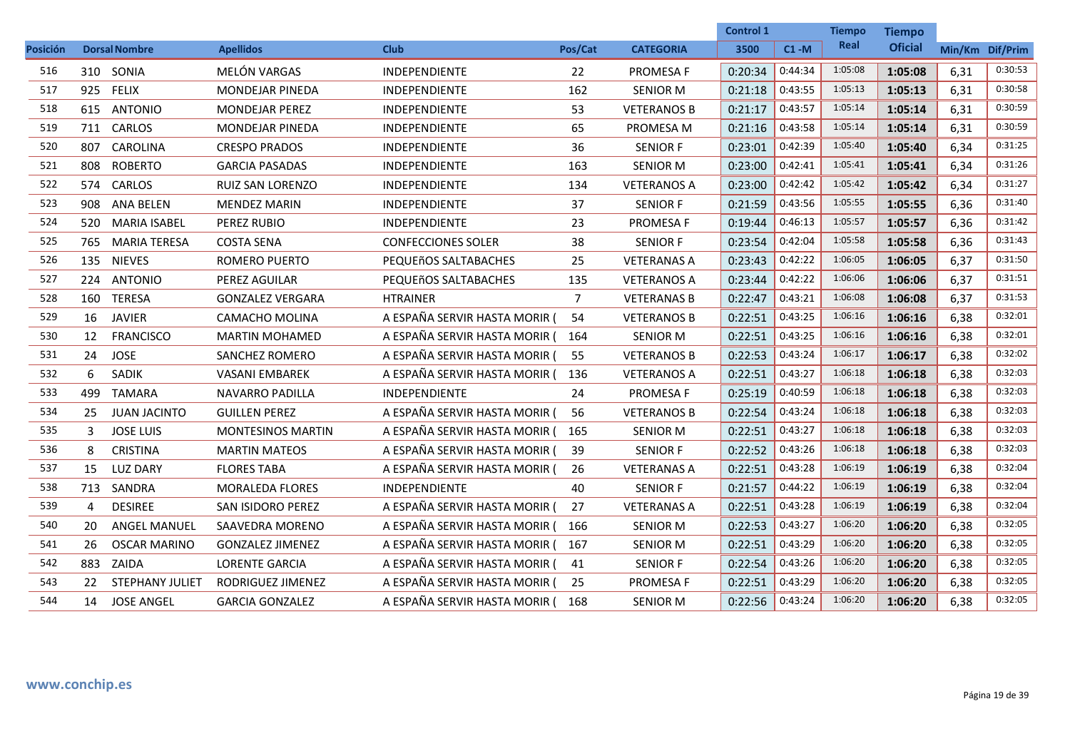|                 |     |                        |                          |                               |                |                    | <b>Control 1</b> |          | <b>Tiempo</b> | <b>Tiempo</b>  |                 |         |
|-----------------|-----|------------------------|--------------------------|-------------------------------|----------------|--------------------|------------------|----------|---------------|----------------|-----------------|---------|
| <b>Posición</b> |     | <b>Dorsal Nombre</b>   | <b>Apellidos</b>         | <b>Club</b>                   | Pos/Cat        | <b>CATEGORIA</b>   | 3500             | $C1 - M$ | Real          | <b>Oficial</b> | Min/Km Dif/Prim |         |
| 516             |     | 310 SONIA              | MELÓN VARGAS             | <b>INDEPENDIENTE</b>          | 22             | PROMESA F          | 0:20:34          | 0:44:34  | 1:05:08       | 1:05:08        | 6,31            | 0:30:53 |
| 517             | 925 | <b>FELIX</b>           | <b>MONDEJAR PINEDA</b>   | INDEPENDIENTE                 | 162            | <b>SENIOR M</b>    | 0:21:18          | 0:43:55  | 1:05:13       | 1:05:13        | 6,31            | 0:30:58 |
| 518             | 615 | ANTONIO                | <b>MONDEJAR PEREZ</b>    | <b>INDEPENDIENTE</b>          | 53             | <b>VETERANOS B</b> | 0:21:17          | 0:43:57  | 1:05:14       | 1:05:14        | 6,31            | 0:30:59 |
| 519             |     | 711 CARLOS             | <b>MONDEJAR PINEDA</b>   | <b>INDEPENDIENTE</b>          | 65             | PROMESA M          | 0:21:16          | 0:43:58  | 1:05:14       | 1:05:14        | 6,31            | 0:30:59 |
| 520             | 807 | CAROLINA               | <b>CRESPO PRADOS</b>     | <b>INDEPENDIENTE</b>          | 36             | <b>SENIOR F</b>    | 0:23:01          | 0:42:39  | 1:05:40       | 1:05:40        | 6,34            | 0:31:25 |
| 521             | 808 | <b>ROBERTO</b>         | <b>GARCIA PASADAS</b>    | <b>INDEPENDIENTE</b>          | 163            | <b>SENIOR M</b>    | 0:23:00          | 0:42:41  | 1:05:41       | 1:05:41        | 6,34            | 0:31:26 |
| 522             |     | 574 CARLOS             | <b>RUIZ SAN LORENZO</b>  | <b>INDEPENDIENTE</b>          | 134            | <b>VETERANOS A</b> | 0:23:00          | 0:42:42  | 1:05:42       | 1:05:42        | 6,34            | 0:31:27 |
| 523             | 908 | <b>ANA BELEN</b>       | <b>MENDEZ MARIN</b>      | <b>INDEPENDIENTE</b>          | 37             | <b>SENIOR F</b>    | 0:21:59          | 0:43:56  | 1:05:55       | 1:05:55        | 6,36            | 0:31:40 |
| 524             | 520 | <b>MARIA ISABEL</b>    | <b>PEREZ RUBIO</b>       | <b>INDEPENDIENTE</b>          | 23             | <b>PROMESA F</b>   | 0:19:44          | 0:46:13  | 1:05:57       | 1:05:57        | 6,36            | 0:31:42 |
| 525             | 765 | <b>MARIA TERESA</b>    | <b>COSTA SENA</b>        | <b>CONFECCIONES SOLER</b>     | 38             | <b>SENIOR F</b>    | 0:23:54          | 0:42:04  | 1:05:58       | 1:05:58        | 6,36            | 0:31:43 |
| 526             | 135 | <b>NIEVES</b>          | <b>ROMERO PUERTO</b>     | PEQUEñOS SALTABACHES          | 25             | <b>VETERANAS A</b> | 0:23:43          | 0:42:22  | 1:06:05       | 1:06:05        | 6,37            | 0:31:50 |
| 527             |     | 224 ANTONIO            | <b>PEREZ AGUILAR</b>     | PEQUEñOS SALTABACHES          | 135            | <b>VETERANOS A</b> | 0:23:44          | 0:42:22  | 1:06:06       | 1:06:06        | 6,37            | 0:31:51 |
| 528             | 160 | TERESA                 | <b>GONZALEZ VERGARA</b>  | <b>HTRAINER</b>               | $\overline{7}$ | <b>VETERANAS B</b> | 0:22:47          | 0:43:21  | 1:06:08       | 1:06:08        | 6,37            | 0:31:53 |
| 529             | 16  | <b>JAVIER</b>          | <b>CAMACHO MOLINA</b>    | A ESPAÑA SERVIR HASTA MORIR ( | 54             | <b>VETERANOS B</b> | 0:22:51          | 0:43:25  | 1:06:16       | 1:06:16        | 6,38            | 0:32:01 |
| 530             | 12  | <b>FRANCISCO</b>       | <b>MARTIN MOHAMED</b>    | A ESPAÑA SERVIR HASTA MORIR ( | 164            | <b>SENIOR M</b>    | 0:22:51          | 0:43:25  | 1:06:16       | 1:06:16        | 6,38            | 0:32:01 |
| 531             | 24  | <b>JOSE</b>            | SANCHEZ ROMERO           | A ESPAÑA SERVIR HASTA MORIR ( | 55             | <b>VETERANOS B</b> | 0:22:53          | 0:43:24  | 1:06:17       | 1:06:17        | 6,38            | 0:32:02 |
| 532             | 6   | <b>SADIK</b>           | <b>VASANI EMBAREK</b>    | A ESPAÑA SERVIR HASTA MORIR ( | 136            | <b>VETERANOS A</b> | 0:22:51          | 0:43:27  | 1:06:18       | 1:06:18        | 6,38            | 0:32:03 |
| 533             | 499 | TAMARA                 | <b>NAVARRO PADILLA</b>   | INDEPENDIENTE                 | 24             | PROMESA F          | 0:25:19          | 0:40:59  | 1:06:18       | 1:06:18        | 6,38            | 0:32:03 |
| 534             | 25  | <b>JUAN JACINTO</b>    | <b>GUILLEN PEREZ</b>     | A ESPAÑA SERVIR HASTA MORIR ( | 56             | <b>VETERANOS B</b> | 0:22:54          | 0:43:24  | 1:06:18       | 1:06:18        | 6,38            | 0:32:03 |
| 535             | 3   | <b>JOSE LUIS</b>       | <b>MONTESINOS MARTIN</b> | A ESPAÑA SERVIR HASTA MORIR ( | 165            | <b>SENIOR M</b>    | 0:22:51          | 0:43:27  | 1:06:18       | 1:06:18        | 6,38            | 0:32:03 |
| 536             | 8   | <b>CRISTINA</b>        | <b>MARTIN MATEOS</b>     | A ESPAÑA SERVIR HASTA MORIR ( | 39             | <b>SENIOR F</b>    | 0:22:52          | 0:43:26  | 1:06:18       | 1:06:18        | 6,38            | 0:32:03 |
| 537             | 15  | <b>LUZ DARY</b>        | <b>FLORES TABA</b>       | A ESPAÑA SERVIR HASTA MORIR ( | 26             | <b>VETERANAS A</b> | 0:22:51          | 0:43:28  | 1:06:19       | 1:06:19        | 6,38            | 0:32:04 |
| 538             | 713 | SANDRA                 | <b>MORALEDA FLORES</b>   | INDEPENDIENTE                 | 40             | <b>SENIOR F</b>    | 0:21:57          | 0:44:22  | 1:06:19       | 1:06:19        | 6,38            | 0:32:04 |
| 539             | 4   | <b>DESIREE</b>         | SAN ISIDORO PEREZ        | A ESPAÑA SERVIR HASTA MORIR ( | 27             | <b>VETERANAS A</b> | 0:22:51          | 0:43:28  | 1:06:19       | 1:06:19        | 6,38            | 0:32:04 |
| 540             | 20  | <b>ANGEL MANUEL</b>    | SAAVEDRA MORENO          | A ESPAÑA SERVIR HASTA MORIR ( | 166            | <b>SENIOR M</b>    | 0:22:53          | 0:43:27  | 1:06:20       | 1:06:20        | 6,38            | 0:32:05 |
| 541             | 26  | OSCAR MARINO           | <b>GONZALEZ JIMENEZ</b>  | A ESPAÑA SERVIR HASTA MORIR ( | 167            | <b>SENIOR M</b>    | 0:22:51          | 0:43:29  | 1:06:20       | 1:06:20        | 6,38            | 0:32:05 |
| 542             | 883 | ZAIDA                  | <b>LORENTE GARCIA</b>    | A ESPAÑA SERVIR HASTA MORIR ( | 41             | <b>SENIOR F</b>    | 0:22:54          | 0:43:26  | 1:06:20       | 1:06:20        | 6,38            | 0:32:05 |
| 543             | 22  | <b>STEPHANY JULIET</b> | RODRIGUEZ JIMENEZ        | A ESPAÑA SERVIR HASTA MORIR ( | 25             | <b>PROMESA F</b>   | 0:22:51          | 0:43:29  | 1:06:20       | 1:06:20        | 6,38            | 0:32:05 |
| 544             | 14  | <b>JOSE ANGEL</b>      | <b>GARCIA GONZALEZ</b>   | A ESPAÑA SERVIR HASTA MORIR ( | 168            | <b>SENIOR M</b>    | 0:22:56          | 0:43:24  | 1:06:20       | 1:06:20        | 6,38            | 0:32:05 |
|                 |     |                        |                          |                               |                |                    |                  |          |               |                |                 |         |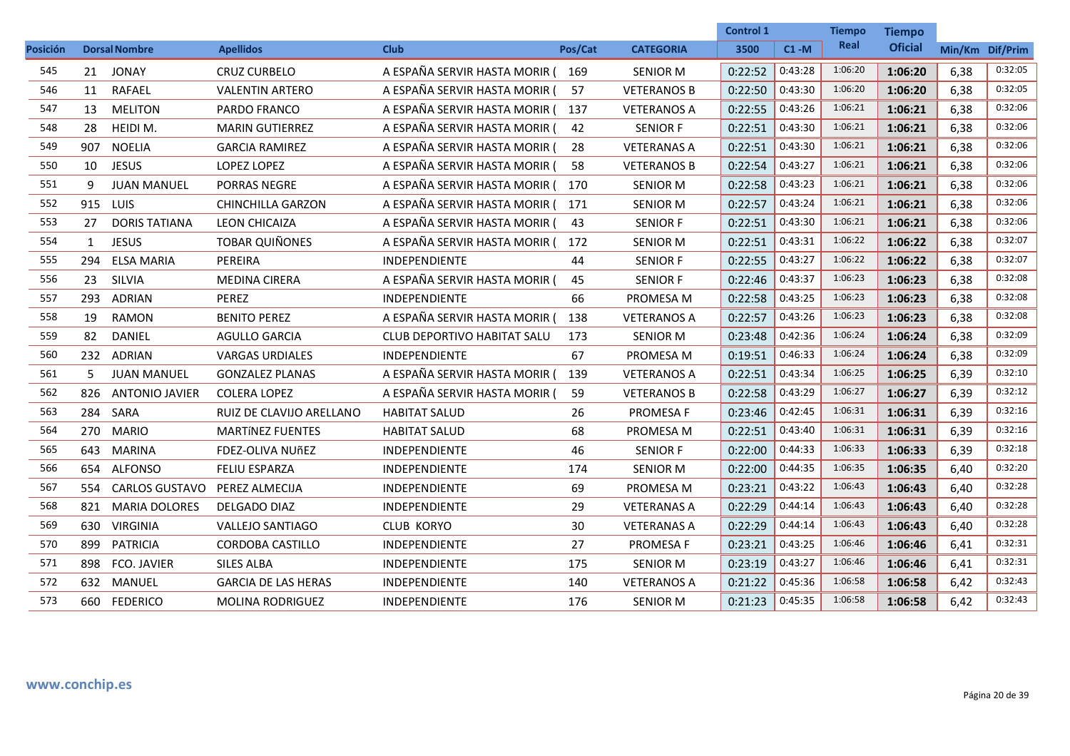|                 |     |                       |                            |                                    |         |                    | <b>Control 1</b> |          | <b>Tiempo</b> | <b>Tiempo</b>  |                 |         |
|-----------------|-----|-----------------------|----------------------------|------------------------------------|---------|--------------------|------------------|----------|---------------|----------------|-----------------|---------|
| <b>Posición</b> |     | <b>Dorsal Nombre</b>  | <b>Apellidos</b>           | <b>Club</b>                        | Pos/Cat | <b>CATEGORIA</b>   | 3500             | $C1 - M$ | Real          | <b>Oficial</b> | Min/Km Dif/Prim |         |
| 545             |     | 21 JONAY              | <b>CRUZ CURBELO</b>        | A ESPAÑA SERVIR HASTA MORIR (      | 169     | <b>SENIOR M</b>    | 0:22:52          | 0:43:28  | 1:06:20       | 1:06:20        | 6,38            | 0:32:05 |
| 546             | 11  | RAFAEL                | <b>VALENTIN ARTERO</b>     | A ESPAÑA SERVIR HASTA MORIR (      | 57      | <b>VETERANOS B</b> | 0:22:50          | 0:43:30  | 1:06:20       | 1:06:20        | 6,38            | 0:32:05 |
| 547             | 13  | <b>MELITON</b>        | <b>PARDO FRANCO</b>        | A ESPAÑA SERVIR HASTA MORIR (      | 137     | <b>VETERANOS A</b> | 0:22:55          | 0:43:26  | 1:06:21       | 1:06:21        | 6,38            | 0:32:06 |
| 548             | 28  | HEIDI M.              | <b>MARIN GUTIERREZ</b>     | A ESPAÑA SERVIR HASTA MORIR (      | 42      | <b>SENIOR F</b>    | 0:22:51          | 0:43:30  | 1:06:21       | 1:06:21        | 6,38            | 0:32:06 |
| 549             | 907 | <b>NOELIA</b>         | <b>GARCIA RAMIREZ</b>      | A ESPAÑA SERVIR HASTA MORIR (      | 28      | <b>VETERANAS A</b> | 0:22:51          | 0:43:30  | 1:06:21       | 1:06:21        | 6,38            | 0:32:06 |
| 550             | 10  | <b>JESUS</b>          | LOPEZ LOPEZ                | A ESPAÑA SERVIR HASTA MORIR (      | 58      | <b>VETERANOS B</b> | 0:22:54          | 0:43:27  | 1:06:21       | 1:06:21        | 6,38            | 0:32:06 |
| 551             | -9  | <b>JUAN MANUEL</b>    | <b>PORRAS NEGRE</b>        | A ESPAÑA SERVIR HASTA MORIR (      | 170     | <b>SENIOR M</b>    | 0:22:58          | 0:43:23  | 1:06:21       | 1:06:21        | 6.38            | 0:32:06 |
| 552             | 915 | LUIS                  | <b>CHINCHILLA GARZON</b>   | A ESPAÑA SERVIR HASTA MORIR (      | 171     | <b>SENIOR M</b>    | 0:22:57          | 0:43:24  | 1:06:21       | 1:06:21        | 6,38            | 0:32:06 |
| 553             | 27  | <b>DORIS TATIANA</b>  | <b>LEON CHICAIZA</b>       | A ESPAÑA SERVIR HASTA MORIR (      | 43      | <b>SENIOR F</b>    | 0:22:51          | 0:43:30  | 1:06:21       | 1:06:21        | 6.38            | 0:32:06 |
| 554             | 1   | <b>JESUS</b>          | <b>TOBAR QUIÑONES</b>      | A ESPAÑA SERVIR HASTA MORIR (      | 172     | <b>SENIOR M</b>    | 0:22:51          | 0:43:31  | 1:06:22       | 1:06:22        | 6,38            | 0:32:07 |
| 555             | 294 | <b>ELSA MARIA</b>     | PEREIRA                    | <b>INDEPENDIENTE</b>               | 44      | <b>SENIOR F</b>    | 0:22:55          | 0:43:27  | 1:06:22       | 1:06:22        | 6.38            | 0:32:07 |
| 556             | 23  | SILVIA                | <b>MEDINA CIRERA</b>       | A ESPAÑA SERVIR HASTA MORIR (      | 45      | <b>SENIOR F</b>    | 0:22:46          | 0:43:37  | 1:06:23       | 1:06:23        | 6,38            | 0:32:08 |
| 557             | 293 | ADRIAN                | PEREZ                      | <b>INDEPENDIENTE</b>               | 66      | PROMESA M          | 0:22:58          | 0:43:25  | 1:06:23       | 1:06:23        | 6,38            | 0:32:08 |
| 558             | 19  | <b>RAMON</b>          | <b>BENITO PEREZ</b>        | A ESPAÑA SERVIR HASTA MORIR (      | 138     | <b>VETERANOS A</b> | 0:22:57          | 0:43:26  | 1:06:23       | 1:06:23        | 6,38            | 0:32:08 |
| 559             | 82  | <b>DANIEL</b>         | <b>AGULLO GARCIA</b>       | <b>CLUB DEPORTIVO HABITAT SALU</b> | 173     | <b>SENIOR M</b>    | 0:23:48          | 0:42:36  | 1:06:24       | 1:06:24        | 6,38            | 0:32:09 |
| 560             | 232 | ADRIAN                | <b>VARGAS URDIALES</b>     | <b>INDEPENDIENTE</b>               | 67      | PROMESA M          | 0:19:51          | 0:46:33  | 1:06:24       | 1:06:24        | 6,38            | 0:32:09 |
| 561             | .5  | <b>JUAN MANUEL</b>    | <b>GONZALEZ PLANAS</b>     | A ESPAÑA SERVIR HASTA MORIR (      | 139     | <b>VETERANOS A</b> | 0:22:51          | 0:43:34  | 1:06:25       | 1:06:25        | 6,39            | 0:32:10 |
| 562             | 826 | <b>ANTONIO JAVIER</b> | <b>COLERA LOPEZ</b>        | A ESPAÑA SERVIR HASTA MORIR (      | 59      | <b>VETERANOS B</b> | 0:22:58          | 0:43:29  | 1:06:27       | 1:06:27        | 6,39            | 0:32:12 |
| 563             | 284 | SARA                  | RUIZ DE CLAVIJO ARELLANO   | <b>HABITAT SALUD</b>               | 26      | <b>PROMESA F</b>   | 0:23:46          | 0:42:45  | 1:06:31       | 1:06:31        | 6,39            | 0:32:16 |
| 564             | 270 | <b>MARIO</b>          | <b>MARTÍNEZ FUENTES</b>    | <b>HABITAT SALUD</b>               | 68      | PROMESA M          | 0:22:51          | 0:43:40  | 1:06:31       | 1:06:31        | 6,39            | 0:32:16 |
| 565             | 643 | <b>MARINA</b>         | FDEZ-OLIVA NUÑEZ           | <b>INDEPENDIENTE</b>               | 46      | <b>SENIOR F</b>    | 0:22:00          | 0:44:33  | 1:06:33       | 1:06:33        | 6,39            | 0:32:18 |
| 566             | 654 | ALFONSO               | <b>FELIU ESPARZA</b>       | <b>INDEPENDIENTE</b>               | 174     | <b>SENIOR M</b>    | 0:22:00          | 0:44:35  | 1:06:35       | 1:06:35        | 6.40            | 0:32:20 |
| 567             | 554 | <b>CARLOS GUSTAVO</b> | PEREZ ALMECIJA             | INDEPENDIENTE                      | 69      | PROMESA M          | 0:23:21          | 0:43:22  | 1:06:43       | 1:06:43        | 6,40            | 0:32:28 |
| 568             | 821 | <b>MARIA DOLORES</b>  | DELGADO DIAZ               | <b>INDEPENDIENTE</b>               | 29      | <b>VETERANAS A</b> | 0:22:29          | 0:44:14  | 1:06:43       | 1:06:43        | 6.40            | 0:32:28 |
| 569             | 630 | <b>VIRGINIA</b>       | <b>VALLEJO SANTIAGO</b>    | <b>CLUB KORYO</b>                  | 30      | <b>VETERANAS A</b> | 0:22:29          | 0:44:14  | 1:06:43       | 1:06:43        | 6.40            | 0:32:28 |
| 570             | 899 | PATRICIA              | <b>CORDOBA CASTILLO</b>    | <b>INDEPENDIENTE</b>               | 27      | <b>PROMESA F</b>   | 0:23:21          | 0:43:25  | 1:06:46       | 1:06:46        | 6.41            | 0:32:31 |
| 571             | 898 | FCO. JAVIER           | <b>SILES ALBA</b>          | <b>INDEPENDIENTE</b>               | 175     | <b>SENIOR M</b>    | 0:23:19          | 0:43:27  | 1:06:46       | 1:06:46        | 6,41            | 0:32:31 |
| 572             | 632 | MANUEL                | <b>GARCIA DE LAS HERAS</b> | <b>INDEPENDIENTE</b>               | 140     | <b>VETERANOS A</b> | 0:21:22          | 0:45:36  | 1:06:58       | 1:06:58        | 6,42            | 0:32:43 |
| 573             |     | 660 FEDERICO          | <b>MOLINA RODRIGUEZ</b>    | <b>INDEPENDIENTE</b>               | 176     | <b>SENIOR M</b>    | 0:21:23          | 0:45:35  | 1:06:58       | 1:06:58        | 6,42            | 0:32:43 |
|                 |     |                       |                            |                                    |         |                    |                  |          |               |                |                 |         |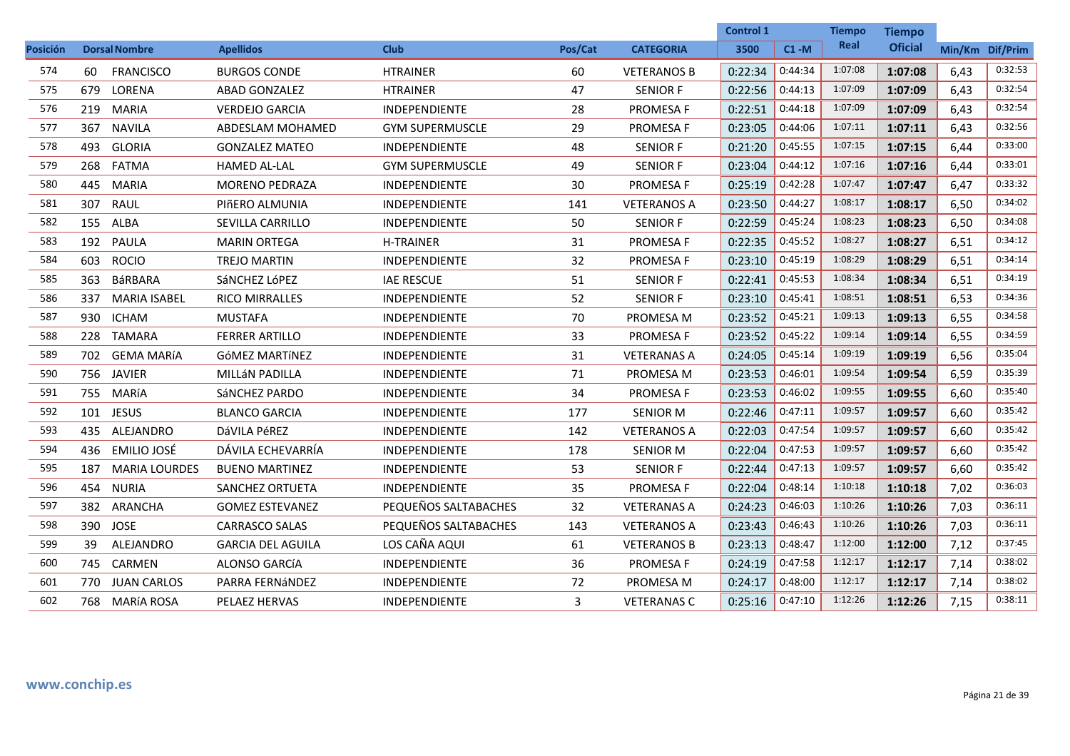|          |     |                      |                          |                        |         |                    | <b>Control 1</b> |          | <b>Tiempo</b> | <b>Tiempo</b>  |                 |         |
|----------|-----|----------------------|--------------------------|------------------------|---------|--------------------|------------------|----------|---------------|----------------|-----------------|---------|
| Posición |     | <b>Dorsal Nombre</b> | <b>Apellidos</b>         | <b>Club</b>            | Pos/Cat | <b>CATEGORIA</b>   | 3500             | $C1 - M$ | Real          | <b>Oficial</b> | Min/Km Dif/Prim |         |
| 574      | 60  | <b>FRANCISCO</b>     | <b>BURGOS CONDE</b>      | <b>HTRAINER</b>        | 60      | <b>VETERANOS B</b> | 0:22:34          | 0:44:34  | 1:07:08       | 1:07:08        | 6,43            | 0:32:53 |
| 575      | 679 | LORENA               | <b>ABAD GONZALEZ</b>     | <b>HTRAINER</b>        | 47      | <b>SENIOR F</b>    | 0:22:56          | 0:44:13  | 1:07:09       | 1:07:09        | 6,43            | 0:32:54 |
| 576      | 219 | MARIA                | <b>VERDEJO GARCIA</b>    | <b>INDEPENDIENTE</b>   | 28      | PROMESA F          | 0:22:51          | 0:44:18  | 1:07:09       | 1:07:09        | 6,43            | 0:32:54 |
| 577      |     | 367 NAVILA           | <b>ABDESLAM MOHAMED</b>  | <b>GYM SUPERMUSCLE</b> | 29      | <b>PROMESA F</b>   | 0:23:05          | 0:44:06  | 1:07:11       | 1:07:11        | 6,43            | 0:32:56 |
| 578      | 493 | <b>GLORIA</b>        | <b>GONZALEZ MATEO</b>    | INDEPENDIENTE          | 48      | <b>SENIOR F</b>    | 0:21:20          | 0:45:55  | 1:07:15       | 1:07:15        | 6,44            | 0:33:00 |
| 579      | 268 | FATMA                | <b>HAMED AL-LAL</b>      | <b>GYM SUPERMUSCLE</b> | 49      | <b>SENIOR F</b>    | 0:23:04          | 0:44:12  | 1:07:16       | 1:07:16        | 6,44            | 0:33:01 |
| 580      | 445 | MARIA                | <b>MORENO PEDRAZA</b>    | INDEPENDIENTE          | 30      | PROMESA F          | 0:25:19          | 0:42:28  | 1:07:47       | 1:07:47        | 6,47            | 0:33:32 |
| 581      | 307 | RAUL                 | PIñERO ALMUNIA           | INDEPENDIENTE          | 141     | <b>VETERANOS A</b> | 0:23:50          | 0:44:27  | 1:08:17       | 1:08:17        | 6,50            | 0:34:02 |
| 582      |     | 155 ALBA             | SEVILLA CARRILLO         | INDEPENDIENTE          | 50      | <b>SENIOR F</b>    | 0:22:59          | 0:45:24  | 1:08:23       | 1:08:23        | 6,50            | 0:34:08 |
| 583      | 192 | PAULA                | <b>MARIN ORTEGA</b>      | <b>H-TRAINER</b>       | 31      | <b>PROMESA F</b>   | 0:22:35          | 0:45:52  | 1:08:27       | 1:08:27        | 6,51            | 0:34:12 |
| 584      | 603 | <b>ROCIO</b>         | <b>TREJO MARTIN</b>      | INDEPENDIENTE          | 32      | PROMESA F          | 0:23:10          | 0:45:19  | 1:08:29       | 1:08:29        | 6,51            | 0:34:14 |
| 585      | 363 | BáRBARA              | SáNCHEZ LóPEZ            | <b>IAE RESCUE</b>      | 51      | <b>SENIOR F</b>    | 0:22:41          | 0:45:53  | 1:08:34       | 1:08:34        | 6,51            | 0:34:19 |
| 586      | 337 | MARIA ISABEL         | <b>RICO MIRRALLES</b>    | <b>INDEPENDIENTE</b>   | 52      | <b>SENIOR F</b>    | 0:23:10          | 0:45:41  | 1:08:51       | 1:08:51        | 6,53            | 0:34:36 |
| 587      | 930 | ICHAM                | <b>MUSTAFA</b>           | <b>INDEPENDIENTE</b>   | 70      | PROMESA M          | 0:23:52          | 0:45:21  | 1:09:13       | 1:09:13        | 6,55            | 0:34:58 |
| 588      | 228 | TAMARA               | <b>FERRER ARTILLO</b>    | INDEPENDIENTE          | 33      | PROMESA F          | 0:23:52          | 0:45:22  | 1:09:14       | 1:09:14        | 6,55            | 0:34:59 |
| 589      | 702 | <b>GEMA MARÍA</b>    | GÓMEZ MARTÍNEZ           | INDEPENDIENTE          | 31      | <b>VETERANAS A</b> | 0:24:05          | 0:45:14  | 1:09:19       | 1:09:19        | 6,56            | 0:35:04 |
| 590      | 756 | <b>JAVIER</b>        | MILLÁN PADILLA           | INDEPENDIENTE          | 71      | PROMESA M          | 0:23:53          | 0:46:01  | 1:09:54       | 1:09:54        | 6,59            | 0:35:39 |
| 591      |     | 755 MARÍA            | SÁNCHEZ PARDO            | <b>INDEPENDIENTE</b>   | 34      | <b>PROMESA F</b>   | 0:23:53          | 0:46:02  | 1:09:55       | 1:09:55        | 6.60            | 0:35:40 |
| 592      |     | 101 JESUS            | <b>BLANCO GARCIA</b>     | INDEPENDIENTE          | 177     | <b>SENIOR M</b>    | 0:22:46          | 0:47:11  | 1:09:57       | 1:09:57        | 6,60            | 0:35:42 |
| 593      | 435 | ALEJANDRO            | DáVILA PéREZ             | <b>INDEPENDIENTE</b>   | 142     | <b>VETERANOS A</b> | 0:22:03          | 0:47:54  | 1:09:57       | 1:09:57        | 6,60            | 0:35:42 |
| 594      | 436 | <b>EMILIO JOSÉ</b>   | DÁVILA ECHEVARRÍA        | <b>INDEPENDIENTE</b>   | 178     | <b>SENIOR M</b>    | 0:22:04          | 0:47:53  | 1:09:57       | 1:09:57        | 6,60            | 0:35:42 |
| 595      | 187 | <b>MARIA LOURDES</b> | <b>BUENO MARTINEZ</b>    | <b>INDEPENDIENTE</b>   | 53      | <b>SENIOR F</b>    | 0:22:44          | 0:47:13  | 1:09:57       | 1:09:57        | 6.60            | 0:35:42 |
| 596      |     | 454 NURIA            | SANCHEZ ORTUETA          | <b>INDEPENDIENTE</b>   | 35      | <b>PROMESA F</b>   | 0:22:04          | 0:48:14  | 1:10:18       | 1:10:18        | 7,02            | 0:36:03 |
| 597      |     | 382 ARANCHA          | <b>GOMEZ ESTEVANEZ</b>   | PEQUEÑOS SALTABACHES   | 32      | <b>VETERANAS A</b> | 0:24:23          | 0:46:03  | 1:10:26       | 1:10:26        | 7,03            | 0:36:11 |
| 598      | 390 | <b>JOSE</b>          | CARRASCO SALAS           | PEQUEÑOS SALTABACHES   | 143     | <b>VETERANOS A</b> | 0:23:43          | 0:46:43  | 1:10:26       | 1:10:26        | 7,03            | 0:36:11 |
| 599      | 39  | ALEJANDRO            | <b>GARCIA DEL AGUILA</b> | LOS CAÑA AQUI          | 61      | <b>VETERANOS B</b> | 0:23:13          | 0:48:47  | 1:12:00       | 1:12:00        | 7,12            | 0:37:45 |
| 600      | 745 | CARMEN               | ALONSO GARCÍA            | INDEPENDIENTE          | 36      | PROMESA F          | 0:24:19          | 0:47:58  | 1:12:17       | 1:12:17        | 7,14            | 0:38:02 |
| 601      |     | 770 JUAN CARLOS      | PARRA FERNÁNDEZ          | INDEPENDIENTE          | 72      | PROMESA M          | 0:24:17          | 0:48:00  | 1:12:17       | 1:12:17        | 7,14            | 0:38:02 |
| 602      |     | 768 MARÍA ROSA       | PELAEZ HERVAS            | INDEPENDIENTE          | 3       | <b>VETERANAS C</b> | 0:25:16          | 0:47:10  | 1:12:26       | 1:12:26        | 7,15            | 0:38:11 |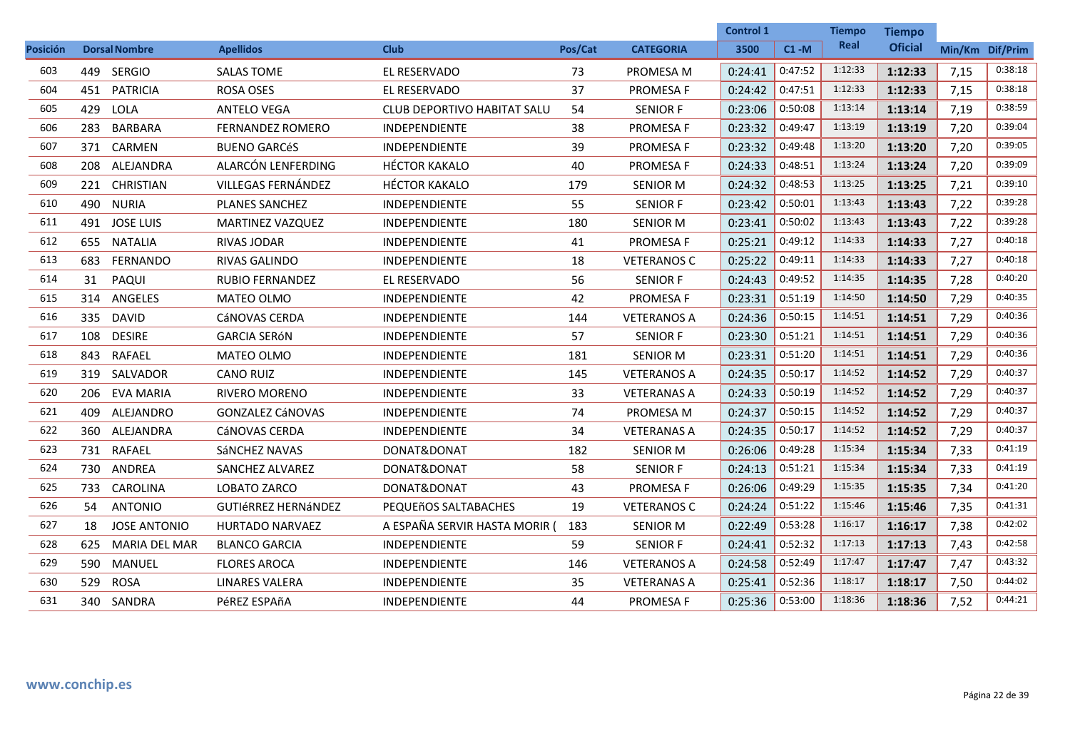|          |     |                      |                            |                                    |         |                    | <b>Control 1</b> |          | <b>Tiempo</b> | <b>Tiempo</b>  |                 |         |
|----------|-----|----------------------|----------------------------|------------------------------------|---------|--------------------|------------------|----------|---------------|----------------|-----------------|---------|
| Posición |     | <b>Dorsal Nombre</b> | <b>Apellidos</b>           | <b>Club</b>                        | Pos/Cat | <b>CATEGORIA</b>   | 3500             | $C1 - M$ | Real          | <b>Oficial</b> | Min/Km Dif/Prim |         |
| 603      |     | 449 SERGIO           | <b>SALAS TOME</b>          | EL RESERVADO                       | 73      | PROMESA M          | 0:24:41          | 0:47:52  | 1:12:33       | 1:12:33        | 7,15            | 0:38:18 |
| 604      |     | 451 PATRICIA         | <b>ROSA OSES</b>           | <b>EL RESERVADO</b>                | 37      | <b>PROMESA F</b>   | 0:24:42          | 0:47:51  | 1:12:33       | 1:12:33        | 7,15            | 0:38:18 |
| 605      | 429 | LOLA                 | <b>ANTELO VEGA</b>         | <b>CLUB DEPORTIVO HABITAT SALU</b> | 54      | <b>SENIOR F</b>    | 0:23:06          | 0:50:08  | 1:13:14       | 1:13:14        | 7,19            | 0:38:59 |
| 606      | 283 | <b>BARBARA</b>       | <b>FERNANDEZ ROMERO</b>    | <b>INDEPENDIENTE</b>               | 38      | PROMESA F          | 0:23:32          | 0:49:47  | 1:13:19       | 1:13:19        | 7,20            | 0:39:04 |
| 607      | 371 | <b>CARMEN</b>        | <b>BUENO GARCÉS</b>        | <b>INDEPENDIENTE</b>               | 39      | <b>PROMESA F</b>   | 0:23:32          | 0:49:48  | 1:13:20       | 1:13:20        | 7,20            | 0:39:05 |
| 608      | 208 | ALEJANDRA            | ALARCÓN LENFERDING         | <b>HÉCTOR KAKALO</b>               | 40      | <b>PROMESA F</b>   | 0:24:33          | 0:48:51  | 1:13:24       | 1:13:24        | 7,20            | 0:39:09 |
| 609      | 221 | <b>CHRISTIAN</b>     | VILLEGAS FERNÁNDEZ         | <b>HÉCTOR KAKALO</b>               | 179     | <b>SENIOR M</b>    | 0:24:32          | 0:48:53  | 1:13:25       | 1:13:25        | 7,21            | 0:39:10 |
| 610      | 490 | <b>NURIA</b>         | <b>PLANES SANCHEZ</b>      | <b>INDEPENDIENTE</b>               | 55      | <b>SENIOR F</b>    | 0:23:42          | 0:50:01  | 1:13:43       | 1:13:43        | 7,22            | 0:39:28 |
| 611      |     | 491 JOSE LUIS        | MARTINEZ VAZQUEZ           | <b>INDEPENDIENTE</b>               | 180     | <b>SENIOR M</b>    | 0:23:41          | 0:50:02  | 1:13:43       | 1:13:43        | 7,22            | 0:39:28 |
| 612      | 655 | <b>NATALIA</b>       | <b>RIVAS JODAR</b>         | <b>INDEPENDIENTE</b>               | 41      | <b>PROMESA F</b>   | 0:25:21          | 0:49:12  | 1:14:33       | 1:14:33        | 7,27            | 0:40:18 |
| 613      | 683 | FERNANDO             | RIVAS GALINDO              | <b>INDEPENDIENTE</b>               | 18      | <b>VETERANOS C</b> | 0:25:22          | 0:49:11  | 1:14:33       | 1:14:33        | 7,27            | 0:40:18 |
| 614      | 31  | PAQUI                | <b>RUBIO FERNANDEZ</b>     | EL RESERVADO                       | 56      | <b>SENIOR F</b>    | 0:24:43          | 0:49:52  | 1:14:35       | 1:14:35        | 7,28            | 0:40:20 |
| 615      |     | 314 ANGELES          | <b>MATEO OLMO</b>          | <b>INDEPENDIENTE</b>               | 42      | <b>PROMESA F</b>   | 0:23:31          | 0:51:19  | 1:14:50       | 1:14:50        | 7,29            | 0:40:35 |
| 616      |     | 335 DAVID            | CáNOVAS CERDA              | <b>INDEPENDIENTE</b>               | 144     | <b>VETERANOS A</b> | 0:24:36          | 0:50:15  | 1:14:51       | 1:14:51        | 7,29            | 0:40:36 |
| 617      | 108 | <b>DESIRE</b>        | <b>GARCIA SERÓN</b>        | <b>INDEPENDIENTE</b>               | 57      | <b>SENIOR F</b>    | 0:23:30          | 0:51:21  | 1:14:51       | 1:14:51        | 7,29            | 0:40:36 |
| 618      | 843 | <b>RAFAEL</b>        | MATEO OLMO                 | INDEPENDIENTE                      | 181     | <b>SENIOR M</b>    | 0:23:31          | 0:51:20  | 1:14:51       | 1:14:51        | 7,29            | 0:40:36 |
| 619      | 319 | SALVADOR             | <b>CANO RUIZ</b>           | <b>INDEPENDIENTE</b>               | 145     | <b>VETERANOS A</b> | 0:24:35          | 0:50:17  | 1:14:52       | 1:14:52        | 7,29            | 0:40:37 |
| 620      | 206 | EVA MARIA            | RIVERO MORENO              | <b>INDEPENDIENTE</b>               | 33      | <b>VETERANAS A</b> | 0:24:33          | 0:50:19  | 1:14:52       | 1:14:52        | 7,29            | 0:40:37 |
| 621      | 409 | ALEJANDRO            | <b>GONZALEZ CÁNOVAS</b>    | <b>INDEPENDIENTE</b>               | 74      | PROMESA M          | 0:24:37          | 0:50:15  | 1:14:52       | 1:14:52        | 7,29            | 0:40:37 |
| 622      | 360 | ALEJANDRA            | CáNOVAS CERDA              | <b>INDEPENDIENTE</b>               | 34      | <b>VETERANAS A</b> | 0:24:35          | 0:50:17  | 1:14:52       | 1:14:52        | 7,29            | 0:40:37 |
| 623      |     | 731 RAFAEL           | SáNCHEZ NAVAS              | DONAT&DONAT                        | 182     | <b>SENIOR M</b>    | 0:26:06          | 0:49:28  | 1:15:34       | 1:15:34        | 7,33            | 0:41:19 |
| 624      | 730 | ANDREA               | <b>SANCHEZ ALVAREZ</b>     | DONAT&DONAT                        | 58      | <b>SENIOR F</b>    | 0:24:13          | 0:51:21  | 1:15:34       | 1:15:34        | 7,33            | 0:41:19 |
| 625      | 733 | CAROLINA             | LOBATO ZARCO               | DONAT&DONAT                        | 43      | <b>PROMESA F</b>   | 0:26:06          | 0:49:29  | 1:15:35       | 1:15:35        | 7,34            | 0:41:20 |
| 626      | 54  | <b>ANTONIO</b>       | <b>GUTIÉRREZ HERNÁNDEZ</b> | PEQUEñOS SALTABACHES               | 19      | <b>VETERANOS C</b> | 0:24:24          | 0:51:22  | 1:15:46       | 1:15:46        | 7,35            | 0:41:31 |
| 627      | 18  | <b>JOSE ANTONIO</b>  | <b>HURTADO NARVAEZ</b>     | A ESPAÑA SERVIR HASTA MORIR        | 183     | <b>SENIOR M</b>    | 0:22:49          | 0:53:28  | 1:16:17       | 1:16:17        | 7,38            | 0:42:02 |
| 628      | 625 | <b>MARIA DEL MAR</b> | <b>BLANCO GARCIA</b>       | <b>INDEPENDIENTE</b>               | 59      | <b>SENIOR F</b>    | 0:24:41          | 0:52:32  | 1:17:13       | 1:17:13        | 7,43            | 0:42:58 |
| 629      | 590 | MANUEL               | <b>FLORES AROCA</b>        | INDEPENDIENTE                      | 146     | <b>VETERANOS A</b> | 0:24:58          | 0:52:49  | 1:17:47       | 1:17:47        | 7,47            | 0:43:32 |
| 630      | 529 | <b>ROSA</b>          | <b>LINARES VALERA</b>      | <b>INDEPENDIENTE</b>               | 35      | <b>VETERANAS A</b> | 0:25:41          | 0:52:36  | 1:18:17       | 1:18:17        | 7,50            | 0:44:02 |
| 631      |     | 340 SANDRA           | PéREZ ESPAñA               | INDEPENDIENTE                      | 44      | <b>PROMESA F</b>   | 0:25:36          | 0:53:00  | 1:18:36       | 1:18:36        | 7,52            | 0:44:21 |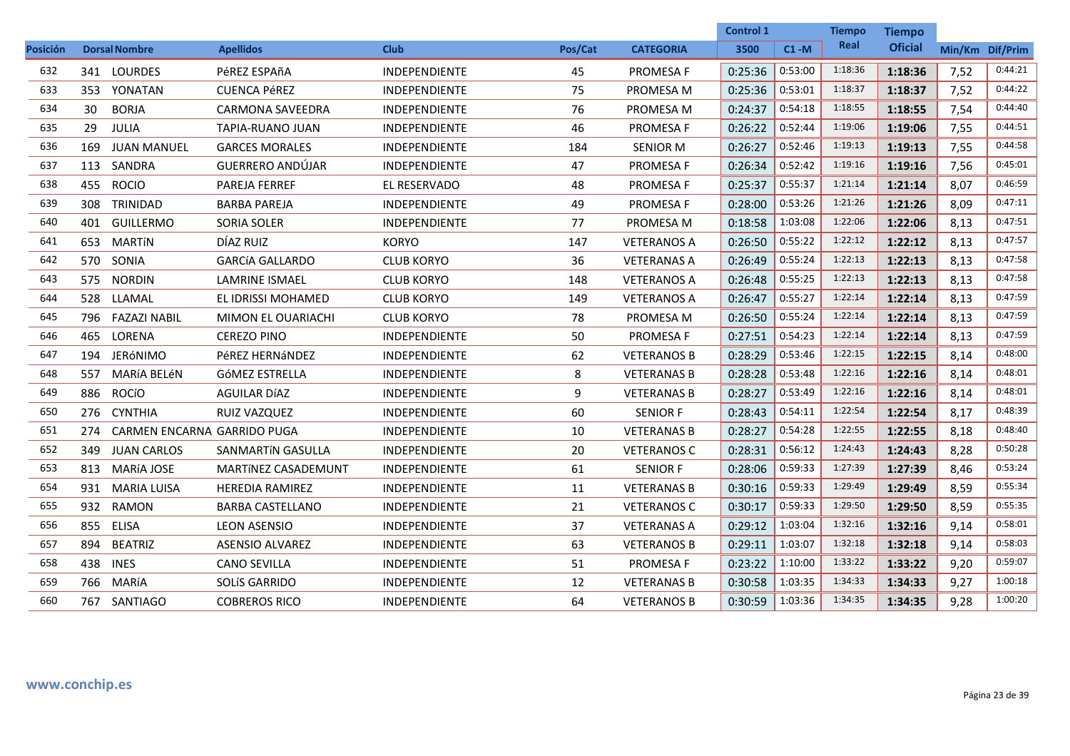|                 |     |                             |                            |                      |         |                    | <b>Control 1</b> |          | <b>Tiempo</b> | Tiempo         |                 |         |
|-----------------|-----|-----------------------------|----------------------------|----------------------|---------|--------------------|------------------|----------|---------------|----------------|-----------------|---------|
| <b>Posición</b> |     | <b>Dorsal Nombre</b>        | <b>Apellidos</b>           | <b>Club</b>          | Pos/Cat | <b>CATEGORIA</b>   | 3500             | $C1 - M$ | Real          | <b>Oficial</b> | Min/Km Dif/Prim |         |
| 632             |     | 341 LOURDES                 | PéREZ ESPAñA               | <b>INDEPENDIENTE</b> | 45      | <b>PROMESA F</b>   | 0:25:36          | 0:53:00  | 1:18:36       | 1:18:36        | 7,52            | 0:44:21 |
| 633             | 353 | YONATAN                     | <b>CUENCA PÉREZ</b>        | <b>INDEPENDIENTE</b> | 75      | PROMESA M          | 0:25:36          | 0:53:01  | 1:18:37       | 1:18:37        | 7,52            | 0:44:22 |
| 634             | 30  | <b>BORJA</b>                | <b>CARMONA SAVEEDRA</b>    | <b>INDEPENDIENTE</b> | 76      | PROMESA M          | 0:24:37          | 0:54:18  | 1:18:55       | 1:18:55        | 7,54            | 0:44:40 |
| 635             | 29  | JULIA                       | TAPIA-RUANO JUAN           | <b>INDEPENDIENTE</b> | 46      | <b>PROMESA F</b>   | 0:26:22          | 0:52:44  | 1:19:06       | 1:19:06        | 7,55            | 0:44:51 |
| 636             | 169 | <b>JUAN MANUEL</b>          | <b>GARCES MORALES</b>      | <b>INDEPENDIENTE</b> | 184     | <b>SENIOR M</b>    | 0:26:27          | 0:52:46  | 1:19:13       | 1:19:13        | 7,55            | 0:44:58 |
| 637             | 113 | SANDRA                      | <b>GUERRERO ANDÚJAR</b>    | INDEPENDIENTE        | 47      | PROMESA F          | 0:26:34          | 0:52:42  | 1:19:16       | 1:19:16        | 7,56            | 0:45:01 |
| 638             | 455 | <b>ROCIO</b>                | <b>PAREJA FERREF</b>       | EL RESERVADO         | 48      | <b>PROMESA F</b>   | 0:25:37          | 0:55:37  | 1:21:14       | 1:21:14        | 8,07            | 0:46:59 |
| 639             |     | 308 TRINIDAD                | <b>BARBA PAREJA</b>        | <b>INDEPENDIENTE</b> | 49      | <b>PROMESA F</b>   | 0:28:00          | 0:53:26  | 1:21:26       | 1:21:26        | 8,09            | 0:47:11 |
| 640             |     | 401 GUILLERMO               | SORIA SOLER                | INDEPENDIENTE        | 77      | PROMESA M          | 0:18:58          | 1:03:08  | 1:22:06       | 1:22:06        | 8,13            | 0:47:51 |
| 641             | 653 | MARTÍN                      | DÍAZ RUIZ                  | <b>KORYO</b>         | 147     | <b>VETERANOS A</b> | 0:26:50          | 0:55:22  | 1:22:12       | 1:22:12        | 8,13            | 0:47:57 |
| 642             |     | 570 SONIA                   | <b>GARCÍA GALLARDO</b>     | <b>CLUB KORYO</b>    | 36      | <b>VETERANAS A</b> | 0:26:49          | 0:55:24  | 1:22:13       | 1:22:13        | 8,13            | 0:47:58 |
| 643             | 575 | <b>NORDIN</b>               | <b>LAMRINE ISMAEL</b>      | <b>CLUB KORYO</b>    | 148     | <b>VETERANOS A</b> | 0:26:48          | 0:55:25  | 1:22:13       | 1:22:13        | 8,13            | 0:47:58 |
| 644             |     | 528 LLAMAL                  | EL IDRISSI MOHAMED         | <b>CLUB KORYO</b>    | 149     | <b>VETERANOS A</b> | 0:26:47          | 0:55:27  | 1:22:14       | 1:22:14        | 8,13            | 0:47:59 |
| 645             |     | 796 FAZAZI NABIL            | <b>MIMON EL OUARIACHI</b>  | <b>CLUB KORYO</b>    | 78      | PROMESA M          | 0:26:50          | 0:55:24  | 1:22:14       | 1:22:14        | 8,13            | 0:47:59 |
| 646             | 465 | LORENA                      | <b>CEREZO PINO</b>         | INDEPENDIENTE        | 50      | PROMESA F          | 0:27:51          | 0:54:23  | 1:22:14       | 1:22:14        | 8,13            | 0:47:59 |
| 647             |     | 194 JERÓNIMO                | PéREZ HERNáNDEZ            | INDEPENDIENTE        | 62      | <b>VETERANOS B</b> | 0:28:29          | 0:53:46  | 1:22:15       | 1:22:15        | 8,14            | 0:48:00 |
| 648             | 557 | MARÍA BELÉN                 | <b>GÓMEZ ESTRELLA</b>      | <b>INDEPENDIENTE</b> | 8       | <b>VETERANAS B</b> | 0:28:28          | 0:53:48  | 1:22:16       | 1:22:16        | 8,14            | 0:48:01 |
| 649             | 886 | <b>ROCÍO</b>                | AGUILAR DÍAZ               | <b>INDEPENDIENTE</b> | 9       | <b>VETERANAS B</b> | 0:28:27          | 0:53:49  | 1:22:16       | 1:22:16        | 8,14            | 0:48:01 |
| 650             |     | 276 CYNTHIA                 | RUIZ VAZQUEZ               | INDEPENDIENTE        | 60      | <b>SENIOR F</b>    | 0:28:43          | 0:54:11  | 1:22:54       | 1:22:54        | 8,17            | 0:48:39 |
| 651             | 274 | CARMEN ENCARNA GARRIDO PUGA |                            | INDEPENDIENTE        | 10      | <b>VETERANAS B</b> | 0:28:27          | 0:54:28  | 1:22:55       | 1:22:55        | 8,18            | 0:48:40 |
| 652             | 349 | <b>JUAN CARLOS</b>          | SANMARTÍN GASULLA          | <b>INDEPENDIENTE</b> | 20      | <b>VETERANOS C</b> | 0:28:31          | 0:56:12  | 1:24:43       | 1:24:43        | 8,28            | 0:50:28 |
| 653             | 813 | MARÍA JOSE                  | <b>MARTÍNEZ CASADEMUNT</b> | INDEPENDIENTE        | 61      | <b>SENIOR F</b>    | 0:28:06          | 0:59:33  | 1:27:39       | 1:27:39        | 8,46            | 0:53:24 |
| 654             | 931 | MARIA LUISA                 | <b>HEREDIA RAMIREZ</b>     | <b>INDEPENDIENTE</b> | 11      | <b>VETERANAS B</b> | 0:30:16          | 0:59:33  | 1:29:49       | 1:29:49        | 8,59            | 0:55:34 |
| 655             |     | 932 RAMON                   | <b>BARBA CASTELLANO</b>    | <b>INDEPENDIENTE</b> | 21      | <b>VETERANOS C</b> | 0:30:17          | 0:59:33  | 1:29:50       | 1:29:50        | 8,59            | 0:55:35 |
| 656             | 855 | <b>ELISA</b>                | <b>LEON ASENSIO</b>        | <b>INDEPENDIENTE</b> | 37      | <b>VETERANAS A</b> | 0:29:12          | 1:03:04  | 1:32:16       | 1:32:16        | 9,14            | 0:58:01 |
| 657             | 894 | <b>BEATRIZ</b>              | <b>ASENSIO ALVAREZ</b>     | INDEPENDIENTE        | 63      | <b>VETERANOS B</b> | 0:29:11          | 1:03:07  | 1:32:18       | 1:32:18        | 9,14            | 0:58:03 |
| 658             | 438 | <b>INES</b>                 | <b>CANO SEVILLA</b>        | <b>INDEPENDIENTE</b> | 51      | <b>PROMESA F</b>   | 0:23:22          | 1:10:00  | 1:33:22       | 1:33:22        | 9,20            | 0:59:07 |
| 659             |     | 766 MARÍA                   | SOLÍS GARRIDO              | <b>INDEPENDIENTE</b> | 12      | <b>VETERANAS B</b> | 0:30:58          | 1:03:35  | 1:34:33       | 1:34:33        | 9,27            | 1:00:18 |
| 660             |     | 767 SANTIAGO                | <b>COBREROS RICO</b>       | INDEPENDIENTE        | 64      | <b>VETERANOS B</b> | 0:30:59          | 1:03:36  | 1:34:35       | 1:34:35        | 9,28            | 1:00:20 |
|                 |     |                             |                            |                      |         |                    |                  |          |               |                |                 |         |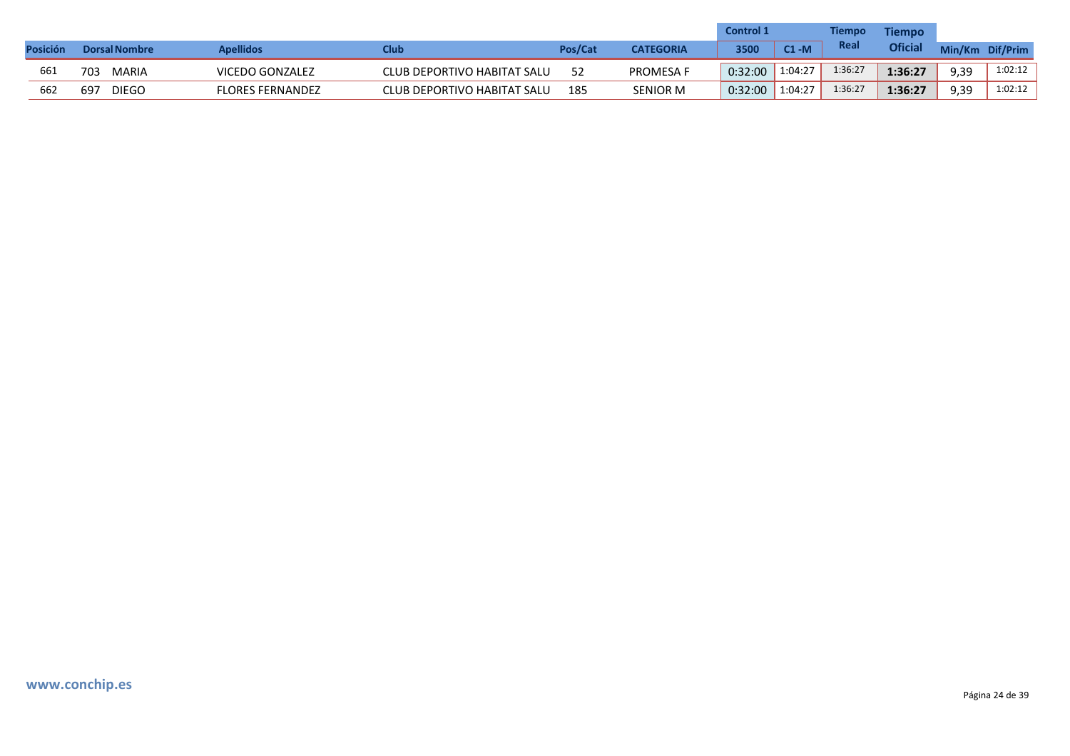|                 |                      |                         |                                    |         |                  | <b>Control 1</b> |         | <b>Tiempo</b> | <b>Tiempo</b>  |                 |         |
|-----------------|----------------------|-------------------------|------------------------------------|---------|------------------|------------------|---------|---------------|----------------|-----------------|---------|
| <b>Posición</b> | <b>Dorsal Nombre</b> | <b>Apellidos</b>        | Club                               | Pos/Cat | <b>CATEGORIA</b> | 3500             | C1 -M   | Real          | <b>Oficial</b> | Min/Km Dif/Prim |         |
| 661             | <b>MARIA</b><br>703  | VICEDO GONZALEZ         | CLUB DEPORTIVO HABITAT SALU        |         | <b>PROMESA F</b> | 0:32:00          | 1:04:27 | 1:36:27       | 1:36:27        | 9.39            | 1:02:12 |
| 662             | <b>DIEGO</b><br>697  | <b>FLORES FERNANDEZ</b> | <b>CLUB DEPORTIVO HABITAT SALU</b> | 185     | <b>SENIOR M</b>  | 0:32:00          | 1:04:27 | 1:36:27       | 1:36:27        | 9,39            | 1:02:12 |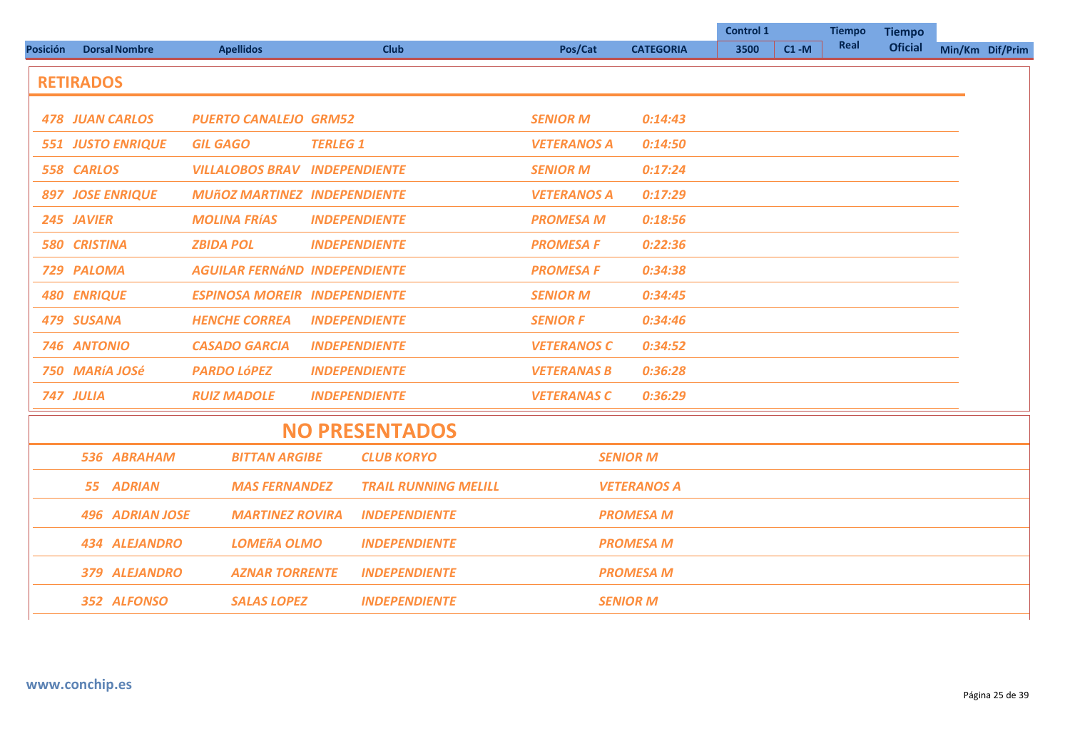|                 |                          |                                      |                      |                             |                             |                    | <b>Control 1</b> |      | <b>Tiempo</b>  | <b>Tiempo</b>   |  |
|-----------------|--------------------------|--------------------------------------|----------------------|-----------------------------|-----------------------------|--------------------|------------------|------|----------------|-----------------|--|
| <b>Posición</b> | <b>Dorsal Nombre</b>     | <b>Apellidos</b>                     |                      | <b>Club</b>                 | Pos/Cat<br><b>CATEGORIA</b> | 3500               | $C1 - M$         | Real | <b>Oficial</b> | Min/Km Dif/Prim |  |
|                 | <b>RETIRADOS</b>         |                                      |                      |                             |                             |                    |                  |      |                |                 |  |
|                 |                          |                                      |                      |                             |                             |                    |                  |      |                |                 |  |
|                 | <b>478 JUAN CARLOS</b>   | <b>PUERTO CANALEJO GRM52</b>         |                      |                             | <b>SENIOR M</b>             | 0:14:43            |                  |      |                |                 |  |
|                 | <b>551 JUSTO ENRIQUE</b> | <b>GIL GAGO</b>                      | <b>TERLEG 1</b>      |                             | <b>VETERANOS A</b>          | 0:14:50            |                  |      |                |                 |  |
|                 | 558 CARLOS               | <b>VILLALOBOS BRAV INDEPENDIENTE</b> |                      |                             | <b>SENIOR M</b>             | 0:17:24            |                  |      |                |                 |  |
|                 | <b>897 JOSE ENRIQUE</b>  | <b>MUñOZ MARTINEZ INDEPENDIENTE</b>  |                      |                             | <b>VETERANOS A</b>          | 0:17:29            |                  |      |                |                 |  |
|                 | 245 JAVIER               | <b>MOLINA FRÍAS</b>                  | <b>INDEPENDIENTE</b> |                             | <b>PROMESA M</b>            | 0:18:56            |                  |      |                |                 |  |
|                 | <b>580 CRISTINA</b>      | <b>ZBIDA POL</b>                     | <b>INDEPENDIENTE</b> |                             | <b>PROMESA F</b>            | 0:22:36            |                  |      |                |                 |  |
|                 | 729 PALOMA               | <b>AGUILAR FERNÁND INDEPENDIENTE</b> |                      |                             | <b>PROMESA F</b>            | 0:34:38            |                  |      |                |                 |  |
|                 | <b>480 ENRIQUE</b>       | <b>ESPINOSA MOREIR INDEPENDIENTE</b> |                      |                             | <b>SENIOR M</b>             | 0:34:45            |                  |      |                |                 |  |
|                 | 479 SUSANA               | <b>HENCHE CORREA</b>                 | <b>INDEPENDIENTE</b> |                             | <b>SENIOR F</b>             | 0:34:46            |                  |      |                |                 |  |
|                 | 746 ANTONIO              | <b>CASADO GARCIA</b>                 | <b>INDEPENDIENTE</b> |                             | <b>VETERANOS C</b>          | 0:34:52            |                  |      |                |                 |  |
|                 | 750 MARÍA JOSé           | <b>PARDO LÓPEZ</b>                   | <b>INDEPENDIENTE</b> |                             | <b>VETERANAS B</b>          | 0:36:28            |                  |      |                |                 |  |
|                 | 747 JULIA                | <b>RUIZ MADOLE</b>                   | <b>INDEPENDIENTE</b> |                             | <b>VETERANAS C</b>          | 0:36:29            |                  |      |                |                 |  |
|                 |                          |                                      |                      | <b>NO PRESENTADOS</b>       |                             |                    |                  |      |                |                 |  |
|                 | 536 ABRAHAM              | <b>BITTAN ARGIBE</b>                 |                      | <b>CLUB KORYO</b>           |                             | <b>SENIOR M</b>    |                  |      |                |                 |  |
|                 | <b>55 ADRIAN</b>         | <b>MAS FERNANDEZ</b>                 |                      | <b>TRAIL RUNNING MELILL</b> |                             | <b>VETERANOS A</b> |                  |      |                |                 |  |
|                 | <b>496 ADRIAN JOSE</b>   | <b>MARTINEZ ROVIRA</b>               |                      | <b>INDEPENDIENTE</b>        | <b>PROMESA M</b>            |                    |                  |      |                |                 |  |
|                 | <b>434 ALEJANDRO</b>     | <b>LOMEñA OLMO</b>                   |                      | <b>INDEPENDIENTE</b>        | <b>PROMESA M</b>            |                    |                  |      |                |                 |  |
|                 | 379 ALEJANDRO            | <b>AZNAR TORRENTE</b>                |                      | <b>INDEPENDIENTE</b>        |                             | <b>PROMESA M</b>   |                  |      |                |                 |  |
|                 | 352 ALFONSO              | <b>SALAS LOPEZ</b>                   |                      | <b>INDEPENDIENTE</b>        |                             | <b>SENIOR M</b>    |                  |      |                |                 |  |
|                 |                          |                                      |                      |                             |                             |                    |                  |      |                |                 |  |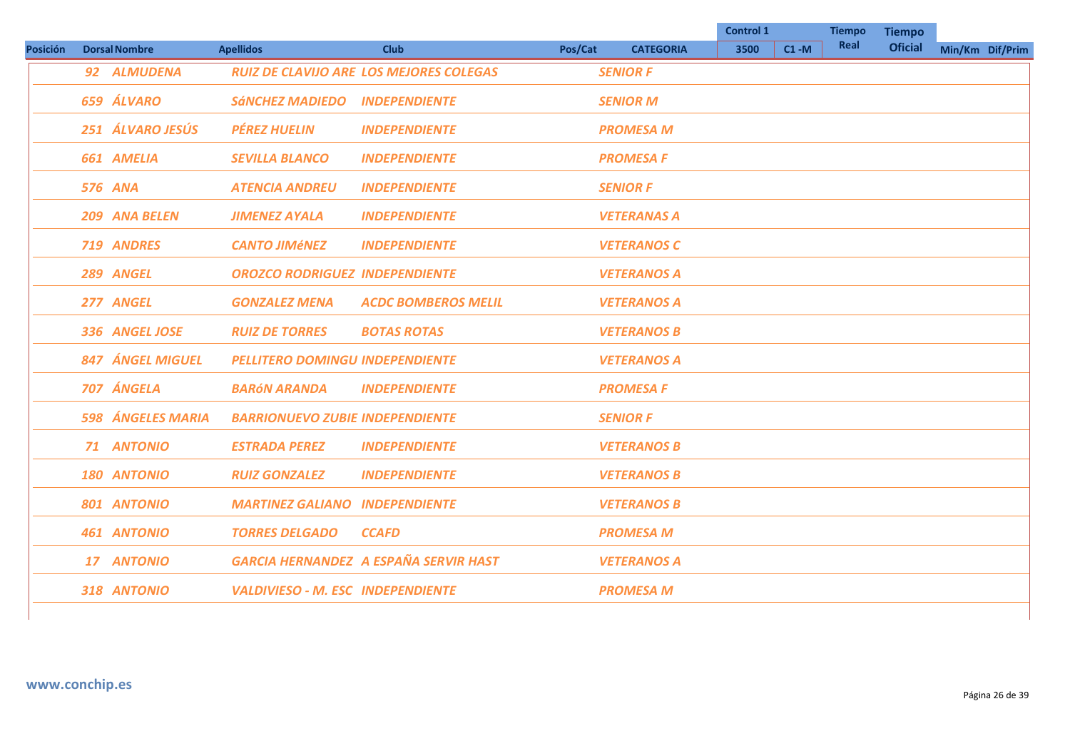|                 |                      |                                          |                                                |         |                    | <b>Control 1</b> |          | <b>Tiempo</b> | <b>Tiempo</b>  |                 |
|-----------------|----------------------|------------------------------------------|------------------------------------------------|---------|--------------------|------------------|----------|---------------|----------------|-----------------|
| <b>Posición</b> | <b>Dorsal Nombre</b> | <b>Apellidos</b>                         | <b>Club</b>                                    | Pos/Cat | <b>CATEGORIA</b>   | 3500             | $C1 - M$ | Real          | <b>Oficial</b> | Min/Km Dif/Prim |
|                 | 92 ALMUDENA          |                                          | <b>RUIZ DE CLAVIJO ARE LOS MEJORES COLEGAS</b> |         | <b>SENIOR F</b>    |                  |          |               |                |                 |
|                 | 659 ÁLVARO           | <b>SÁNCHEZ MADIEDO</b>                   | <b>INDEPENDIENTE</b>                           |         | <b>SENIOR M</b>    |                  |          |               |                |                 |
|                 | 251 ÁLVARO JESÚS     | <b>PÉREZ HUELIN</b>                      | <b>INDEPENDIENTE</b>                           |         | <b>PROMESA M</b>   |                  |          |               |                |                 |
|                 | 661 AMELIA           | <b>SEVILLA BLANCO</b>                    | <b>INDEPENDIENTE</b>                           |         | <b>PROMESA F</b>   |                  |          |               |                |                 |
|                 | <b>576 ANA</b>       | <b>ATENCIA ANDREU</b>                    | <b>INDEPENDIENTE</b>                           |         | <b>SENIOR F</b>    |                  |          |               |                |                 |
|                 | 209 ANA BELEN        | <b>JIMENEZ AYALA</b>                     | <b>INDEPENDIENTE</b>                           |         | <b>VETERANAS A</b> |                  |          |               |                |                 |
|                 | 719 ANDRES           | <b>CANTO JIMÉNEZ</b>                     | <b>INDEPENDIENTE</b>                           |         | <b>VETERANOS C</b> |                  |          |               |                |                 |
|                 | 289 ANGEL            | <b>OROZCO RODRIGUEZ INDEPENDIENTE</b>    |                                                |         | <b>VETERANOS A</b> |                  |          |               |                |                 |
|                 | 277 ANGEL            | <b>GONZALEZ MENA</b>                     | <b>ACDC BOMBEROS MELIL</b>                     |         | <b>VETERANOS A</b> |                  |          |               |                |                 |
|                 | 336 ANGEL JOSE       | <b>RUIZ DE TORRES</b>                    | <b>BOTAS ROTAS</b>                             |         | <b>VETERANOS B</b> |                  |          |               |                |                 |
|                 | 847 ÁNGEL MIGUEL     | <b>PELLITERO DOMINGU INDEPENDIENTE</b>   |                                                |         | <b>VETERANOS A</b> |                  |          |               |                |                 |
|                 | 707 ÁNGELA           | <b>BARÓN ARANDA</b>                      | <b>INDEPENDIENTE</b>                           |         | <b>PROMESA F</b>   |                  |          |               |                |                 |
|                 | 598 ÁNGELES MARIA    | <b>BARRIONUEVO ZUBIE INDEPENDIENTE</b>   |                                                |         | <b>SENIOR F</b>    |                  |          |               |                |                 |
|                 | 71 ANTONIO           | <b>ESTRADA PEREZ</b>                     | <b>INDEPENDIENTE</b>                           |         | <b>VETERANOS B</b> |                  |          |               |                |                 |
|                 | 180 ANTONIO          | <b>RUIZ GONZALEZ</b>                     | <b>INDEPENDIENTE</b>                           |         | <b>VETERANOS B</b> |                  |          |               |                |                 |
|                 | 801 ANTONIO          | <b>MARTINEZ GALIANO INDEPENDIENTE</b>    |                                                |         | <b>VETERANOS B</b> |                  |          |               |                |                 |
|                 | 461 ANTONIO          | <b>TORRES DELGADO</b>                    | <b>CCAFD</b>                                   |         | <b>PROMESA M</b>   |                  |          |               |                |                 |
|                 | 17 ANTONIO           |                                          | <b>GARCIA HERNANDEZ A ESPAÑA SERVIR HAST</b>   |         | <b>VETERANOS A</b> |                  |          |               |                |                 |
|                 | 318 ANTONIO          | <b>VALDIVIESO - M. ESC INDEPENDIENTE</b> |                                                |         | <b>PROMESA M</b>   |                  |          |               |                |                 |
|                 |                      |                                          |                                                |         |                    |                  |          |               |                |                 |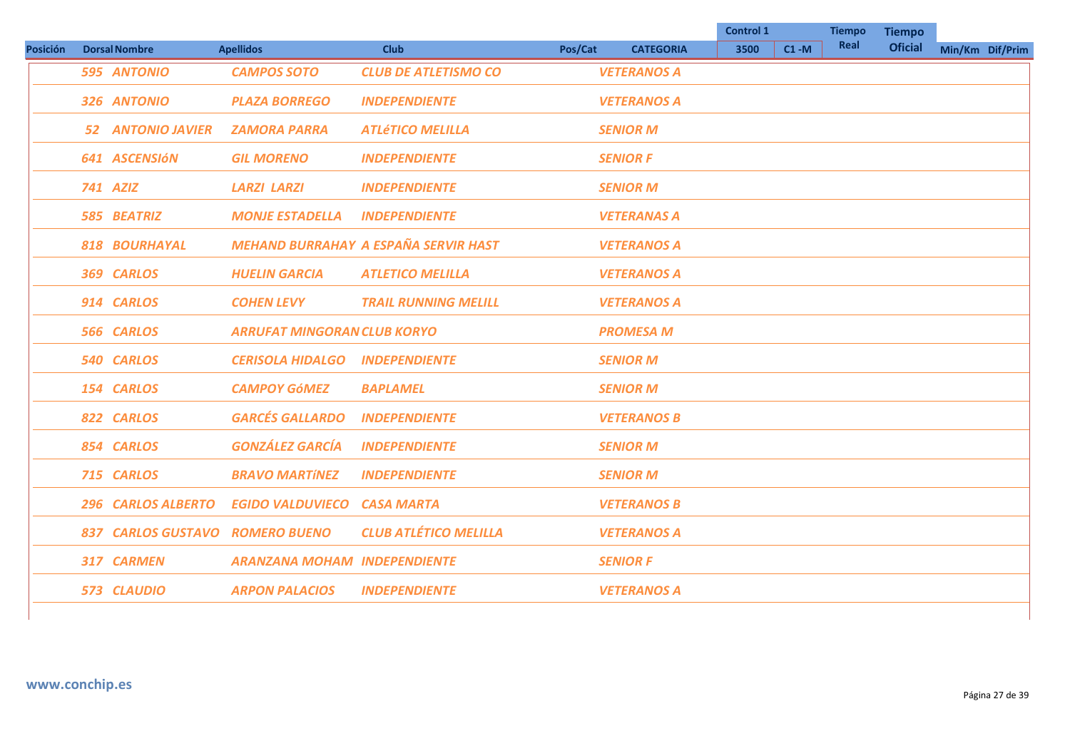|                 |                                 |                                     |                                             |                    |                                        | <b>Control 1</b> |          | <b>Tiempo</b> | <b>Tiempo</b>  |                 |  |
|-----------------|---------------------------------|-------------------------------------|---------------------------------------------|--------------------|----------------------------------------|------------------|----------|---------------|----------------|-----------------|--|
| <b>Posición</b> | <b>Dorsal Nombre</b>            | <b>Apellidos</b>                    | <b>Club</b>                                 | Pos/Cat            | <b>CATEGORIA</b><br><b>VETERANOS A</b> | 3500             | $C1 - M$ | Real          | <b>Oficial</b> | Min/Km Dif/Prim |  |
|                 | 595 ANTONIO                     | <b>CAMPOS SOTO</b>                  | <b>CLUB DE ATLETISMO CO</b>                 |                    |                                        |                  |          |               |                |                 |  |
|                 | 326 ANTONIO                     | <b>PLAZA BORREGO</b>                | <b>INDEPENDIENTE</b>                        | <b>VETERANOS A</b> |                                        |                  |          |               |                |                 |  |
|                 | <b>52 ANTONIO JAVIER</b>        | <b>ZAMORA PARRA</b>                 | <b>ATLÉTICO MELILLA</b>                     | <b>SENIOR M</b>    |                                        |                  |          |               |                |                 |  |
|                 | 641 ASCENSIÓN                   | <b>GIL MORENO</b>                   | <b>INDEPENDIENTE</b>                        | <b>SENIOR F</b>    |                                        |                  |          |               |                |                 |  |
|                 | 741 AZIZ                        | <b>LARZI LARZI</b>                  | <b>INDEPENDIENTE</b>                        | <b>SENIOR M</b>    |                                        |                  |          |               |                |                 |  |
|                 | <b>585 BEATRIZ</b>              | <b>MONJE ESTADELLA</b>              | <b>INDEPENDIENTE</b>                        | <b>VETERANAS A</b> |                                        |                  |          |               |                |                 |  |
|                 | <b>818 BOURHAYAL</b>            |                                     | <b>MEHAND BURRAHAY A ESPAÑA SERVIR HAST</b> | <b>VETERANOS A</b> |                                        |                  |          |               |                |                 |  |
|                 | 369 CARLOS                      | <b>HUELIN GARCIA</b>                | <b>ATLETICO MELILLA</b>                     | <b>VETERANOS A</b> |                                        |                  |          |               |                |                 |  |
|                 | 914 CARLOS                      | <b>COHEN LEVY</b>                   | <b>TRAIL RUNNING MELILL</b>                 | <b>VETERANOS A</b> |                                        |                  |          |               |                |                 |  |
|                 | 566 CARLOS                      | <b>ARRUFAT MINGORAN CLUB KORYO</b>  |                                             | <b>PROMESA M</b>   |                                        |                  |          |               |                |                 |  |
|                 | 540 CARLOS                      | <b>CERISOLA HIDALGO</b>             | <b>INDEPENDIENTE</b>                        | <b>SENIOR M</b>    |                                        |                  |          |               |                |                 |  |
|                 | 154 CARLOS                      | <b>CAMPOY GÓMEZ</b>                 | <b>BAPLAMEL</b>                             | <b>SENIOR M</b>    |                                        |                  |          |               |                |                 |  |
|                 | 822 CARLOS                      | <b>GARCÉS GALLARDO</b>              | <b>INDEPENDIENTE</b>                        | <b>VETERANOS B</b> |                                        |                  |          |               |                |                 |  |
|                 | 854 CARLOS                      | <b>GONZÁLEZ GARCÍA</b>              | <b>INDEPENDIENTE</b>                        | <b>SENIOR M</b>    |                                        |                  |          |               |                |                 |  |
|                 | 715 CARLOS                      | <b>BRAVO MARTÍNEZ</b>               | <b>INDEPENDIENTE</b>                        | <b>SENIOR M</b>    |                                        |                  |          |               |                |                 |  |
|                 | <b>296 CARLOS ALBERTO</b>       | <b>EGIDO VALDUVIECO</b>             | <b>CASA MARTA</b>                           | <b>VETERANOS B</b> |                                        |                  |          |               |                |                 |  |
|                 | 837 CARLOS GUSTAVO ROMERO BUENO |                                     | <b>CLUB ATLÉTICO MELILLA</b>                | <b>VETERANOS A</b> |                                        |                  |          |               |                |                 |  |
|                 | 317 CARMEN                      | <b>ARANZANA MOHAM INDEPENDIENTE</b> |                                             | <b>SENIOR F</b>    |                                        |                  |          |               |                |                 |  |
|                 | 573 CLAUDIO                     | <b>ARPON PALACIOS</b>               | <b>INDEPENDIENTE</b>                        | <b>VETERANOS A</b> |                                        |                  |          |               |                |                 |  |
|                 |                                 |                                     |                                             |                    |                                        |                  |          |               |                |                 |  |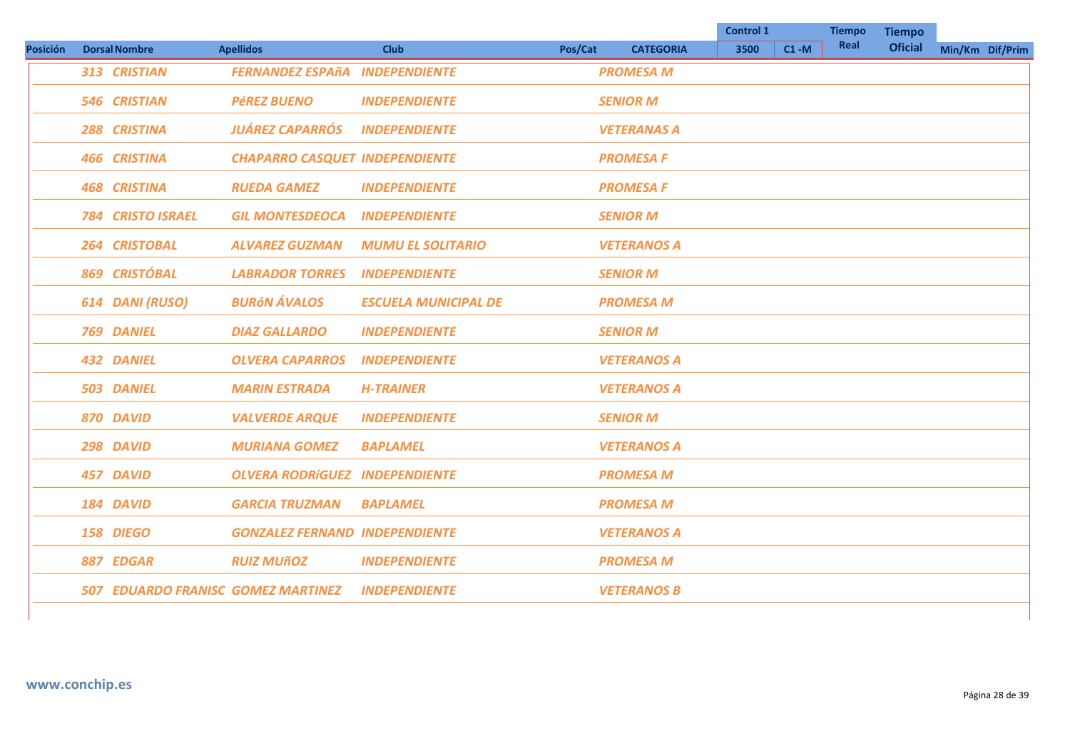| Real<br><b>Oficial</b><br><b>Posición</b><br><b>Dorsal Nombre</b><br><b>Apellidos</b><br><b>Club</b><br>Pos/Cat<br><b>CATEGORIA</b><br>$C1 - M$<br>3500<br>Min/Km Dif/Prim<br>313 CRISTIAN<br><b>FERNANDEZ ESPAñA INDEPENDIENTE</b><br><b>PROMESA M</b><br><b>546 CRISTIAN</b><br><b>PÉREZ BUENO</b><br><b>INDEPENDIENTE</b><br><b>SENIOR M</b><br><b>JUÁREZ CAPARRÓS</b><br>288 CRISTINA<br><b>INDEPENDIENTE</b><br><b>VETERANAS A</b><br><b>466 CRISTINA</b><br><b>CHAPARRO CASQUET INDEPENDIENTE</b><br><b>PROMESA F</b><br><b>468 CRISTINA</b><br><b>RUEDA GAMEZ</b><br><b>INDEPENDIENTE</b><br><b>PROMESA F</b><br><b>784 CRISTO ISRAEL</b><br><b>GIL MONTESDEOCA</b><br><b>INDEPENDIENTE</b><br><b>SENIOR M</b><br>264 CRISTOBAL<br><b>ALVAREZ GUZMAN</b><br><b>MUMU EL SOLITARIO</b><br><b>VETERANOS A</b><br>869 CRISTÓBAL<br><b>LABRADOR TORRES</b><br><b>INDEPENDIENTE</b><br><b>SENIOR M</b><br><b>BURÓN ÁVALOS</b><br>614 DANI (RUSO)<br><b>ESCUELA MUNICIPAL DE</b><br><b>PROMESA M</b><br>769 DANIEL<br><b>INDEPENDIENTE</b><br><b>SENIOR M</b><br><b>DIAZ GALLARDO</b><br><b>432 DANIEL</b><br><b>OLVERA CAPARROS</b><br><b>INDEPENDIENTE</b><br><b>VETERANOS A</b><br><b>503 DANIEL</b><br><b>MARIN ESTRADA</b><br><b>VETERANOS A</b><br><b>H-TRAINER</b><br><b>SENIOR M</b><br>870 DAVID<br><b>VALVERDE ARQUE</b><br><b>INDEPENDIENTE</b><br>298 DAVID<br><b>BAPLAMEL</b><br><b>MURIANA GOMEZ</b><br><b>VETERANOS A</b><br>457 DAVID<br><b>OLVERA RODRÍGUEZ INDEPENDIENTE</b><br><b>PROMESA M</b><br>184 DAVID<br><b>GARCIA TRUZMAN</b><br><b>BAPLAMEL</b><br><b>PROMESA M</b><br>158 DIEGO<br><b>VETERANOS A</b><br><b>GONZALEZ FERNAND INDEPENDIENTE</b><br>887 EDGAR<br><b>RUIZ MUÑOZ</b><br><b>INDEPENDIENTE</b><br><b>PROMESA M</b> |  |  |  | <b>Control 1</b> | <b>Tiempo</b> | <b>Tiempo</b> |  |
|-----------------------------------------------------------------------------------------------------------------------------------------------------------------------------------------------------------------------------------------------------------------------------------------------------------------------------------------------------------------------------------------------------------------------------------------------------------------------------------------------------------------------------------------------------------------------------------------------------------------------------------------------------------------------------------------------------------------------------------------------------------------------------------------------------------------------------------------------------------------------------------------------------------------------------------------------------------------------------------------------------------------------------------------------------------------------------------------------------------------------------------------------------------------------------------------------------------------------------------------------------------------------------------------------------------------------------------------------------------------------------------------------------------------------------------------------------------------------------------------------------------------------------------------------------------------------------------------------------------------------------------------------------------------------------------------------------------------------------------------------------------|--|--|--|------------------|---------------|---------------|--|
|                                                                                                                                                                                                                                                                                                                                                                                                                                                                                                                                                                                                                                                                                                                                                                                                                                                                                                                                                                                                                                                                                                                                                                                                                                                                                                                                                                                                                                                                                                                                                                                                                                                                                                                                                           |  |  |  |                  |               |               |  |
|                                                                                                                                                                                                                                                                                                                                                                                                                                                                                                                                                                                                                                                                                                                                                                                                                                                                                                                                                                                                                                                                                                                                                                                                                                                                                                                                                                                                                                                                                                                                                                                                                                                                                                                                                           |  |  |  |                  |               |               |  |
|                                                                                                                                                                                                                                                                                                                                                                                                                                                                                                                                                                                                                                                                                                                                                                                                                                                                                                                                                                                                                                                                                                                                                                                                                                                                                                                                                                                                                                                                                                                                                                                                                                                                                                                                                           |  |  |  |                  |               |               |  |
|                                                                                                                                                                                                                                                                                                                                                                                                                                                                                                                                                                                                                                                                                                                                                                                                                                                                                                                                                                                                                                                                                                                                                                                                                                                                                                                                                                                                                                                                                                                                                                                                                                                                                                                                                           |  |  |  |                  |               |               |  |
|                                                                                                                                                                                                                                                                                                                                                                                                                                                                                                                                                                                                                                                                                                                                                                                                                                                                                                                                                                                                                                                                                                                                                                                                                                                                                                                                                                                                                                                                                                                                                                                                                                                                                                                                                           |  |  |  |                  |               |               |  |
|                                                                                                                                                                                                                                                                                                                                                                                                                                                                                                                                                                                                                                                                                                                                                                                                                                                                                                                                                                                                                                                                                                                                                                                                                                                                                                                                                                                                                                                                                                                                                                                                                                                                                                                                                           |  |  |  |                  |               |               |  |
|                                                                                                                                                                                                                                                                                                                                                                                                                                                                                                                                                                                                                                                                                                                                                                                                                                                                                                                                                                                                                                                                                                                                                                                                                                                                                                                                                                                                                                                                                                                                                                                                                                                                                                                                                           |  |  |  |                  |               |               |  |
|                                                                                                                                                                                                                                                                                                                                                                                                                                                                                                                                                                                                                                                                                                                                                                                                                                                                                                                                                                                                                                                                                                                                                                                                                                                                                                                                                                                                                                                                                                                                                                                                                                                                                                                                                           |  |  |  |                  |               |               |  |
|                                                                                                                                                                                                                                                                                                                                                                                                                                                                                                                                                                                                                                                                                                                                                                                                                                                                                                                                                                                                                                                                                                                                                                                                                                                                                                                                                                                                                                                                                                                                                                                                                                                                                                                                                           |  |  |  |                  |               |               |  |
|                                                                                                                                                                                                                                                                                                                                                                                                                                                                                                                                                                                                                                                                                                                                                                                                                                                                                                                                                                                                                                                                                                                                                                                                                                                                                                                                                                                                                                                                                                                                                                                                                                                                                                                                                           |  |  |  |                  |               |               |  |
|                                                                                                                                                                                                                                                                                                                                                                                                                                                                                                                                                                                                                                                                                                                                                                                                                                                                                                                                                                                                                                                                                                                                                                                                                                                                                                                                                                                                                                                                                                                                                                                                                                                                                                                                                           |  |  |  |                  |               |               |  |
|                                                                                                                                                                                                                                                                                                                                                                                                                                                                                                                                                                                                                                                                                                                                                                                                                                                                                                                                                                                                                                                                                                                                                                                                                                                                                                                                                                                                                                                                                                                                                                                                                                                                                                                                                           |  |  |  |                  |               |               |  |
|                                                                                                                                                                                                                                                                                                                                                                                                                                                                                                                                                                                                                                                                                                                                                                                                                                                                                                                                                                                                                                                                                                                                                                                                                                                                                                                                                                                                                                                                                                                                                                                                                                                                                                                                                           |  |  |  |                  |               |               |  |
|                                                                                                                                                                                                                                                                                                                                                                                                                                                                                                                                                                                                                                                                                                                                                                                                                                                                                                                                                                                                                                                                                                                                                                                                                                                                                                                                                                                                                                                                                                                                                                                                                                                                                                                                                           |  |  |  |                  |               |               |  |
|                                                                                                                                                                                                                                                                                                                                                                                                                                                                                                                                                                                                                                                                                                                                                                                                                                                                                                                                                                                                                                                                                                                                                                                                                                                                                                                                                                                                                                                                                                                                                                                                                                                                                                                                                           |  |  |  |                  |               |               |  |
|                                                                                                                                                                                                                                                                                                                                                                                                                                                                                                                                                                                                                                                                                                                                                                                                                                                                                                                                                                                                                                                                                                                                                                                                                                                                                                                                                                                                                                                                                                                                                                                                                                                                                                                                                           |  |  |  |                  |               |               |  |
|                                                                                                                                                                                                                                                                                                                                                                                                                                                                                                                                                                                                                                                                                                                                                                                                                                                                                                                                                                                                                                                                                                                                                                                                                                                                                                                                                                                                                                                                                                                                                                                                                                                                                                                                                           |  |  |  |                  |               |               |  |
|                                                                                                                                                                                                                                                                                                                                                                                                                                                                                                                                                                                                                                                                                                                                                                                                                                                                                                                                                                                                                                                                                                                                                                                                                                                                                                                                                                                                                                                                                                                                                                                                                                                                                                                                                           |  |  |  |                  |               |               |  |
|                                                                                                                                                                                                                                                                                                                                                                                                                                                                                                                                                                                                                                                                                                                                                                                                                                                                                                                                                                                                                                                                                                                                                                                                                                                                                                                                                                                                                                                                                                                                                                                                                                                                                                                                                           |  |  |  |                  |               |               |  |
| <b>507 EDUARDO FRANISC GOMEZ MARTINEZ</b><br><b>INDEPENDIENTE</b><br><b>VETERANOS B</b>                                                                                                                                                                                                                                                                                                                                                                                                                                                                                                                                                                                                                                                                                                                                                                                                                                                                                                                                                                                                                                                                                                                                                                                                                                                                                                                                                                                                                                                                                                                                                                                                                                                                   |  |  |  |                  |               |               |  |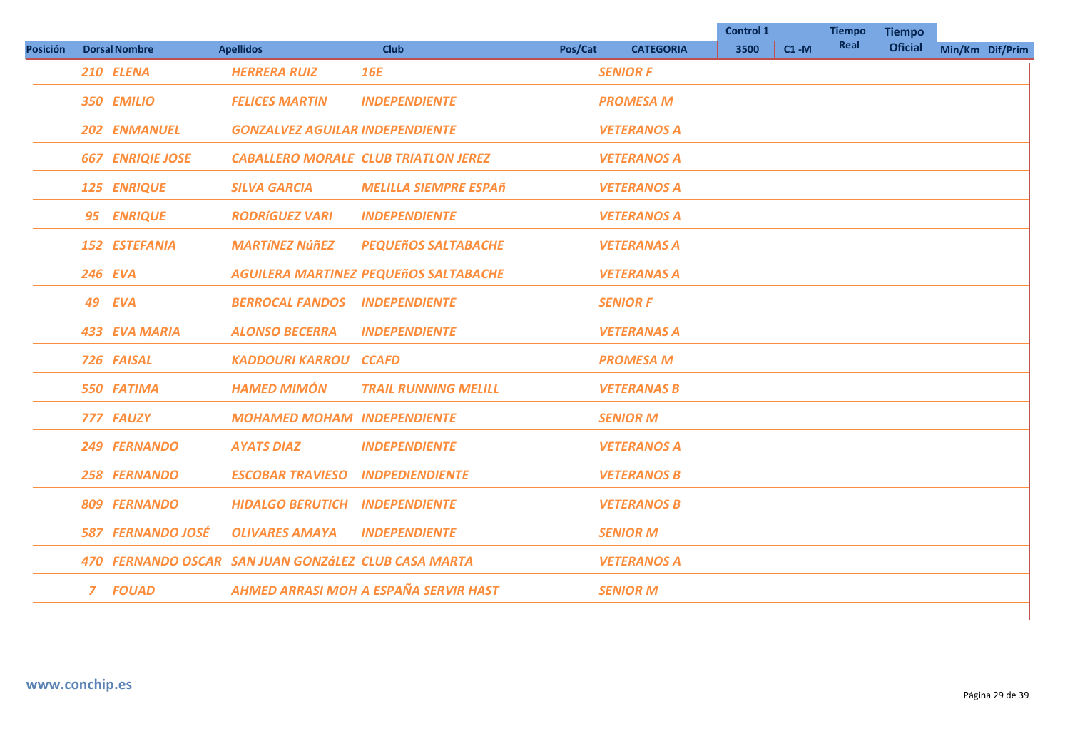|                 |                         |                                                      |                                              |         |                    | <b>Control 1</b> |          | <b>Tiempo</b> | <b>Tiempo</b>  |                 |
|-----------------|-------------------------|------------------------------------------------------|----------------------------------------------|---------|--------------------|------------------|----------|---------------|----------------|-----------------|
| <b>Posición</b> | <b>Dorsal Nombre</b>    | <b>Apellidos</b>                                     | <b>Club</b>                                  | Pos/Cat | <b>CATEGORIA</b>   | 3500             | $C1 - M$ | Real          | <b>Oficial</b> | Min/Km Dif/Prim |
|                 | 210 ELENA               | <b>HERRERA RUIZ</b>                                  | <b>16E</b>                                   |         | <b>SENIOR F</b>    |                  |          |               |                |                 |
|                 | 350 EMILIO              | <b>FELICES MARTIN</b>                                | <b>INDEPENDIENTE</b>                         |         | <b>PROMESA M</b>   |                  |          |               |                |                 |
|                 | <b>202 ENMANUEL</b>     | <b>GONZALVEZ AGUILAR INDEPENDIENTE</b>               |                                              |         | <b>VETERANOS A</b> |                  |          |               |                |                 |
|                 | <b>667 ENRIQIE JOSE</b> |                                                      | <b>CABALLERO MORALE CLUB TRIATLON JEREZ</b>  |         | <b>VETERANOS A</b> |                  |          |               |                |                 |
|                 | 125 ENRIQUE             | <b>SILVA GARCIA</b>                                  | <b>MELILLA SIEMPRE ESPAñ</b>                 |         | <b>VETERANOS A</b> |                  |          |               |                |                 |
|                 | 95 ENRIQUE              | <b>RODRÍGUEZ VARI</b>                                | <b>INDEPENDIENTE</b>                         |         | <b>VETERANOS A</b> |                  |          |               |                |                 |
|                 | 152 ESTEFANIA           | <b>MARTÍNEZ NÚÑEZ</b>                                | <b>PEQUEñOS SALTABACHE</b>                   |         | <b>VETERANAS A</b> |                  |          |               |                |                 |
|                 | <b>246 EVA</b>          |                                                      | <b>AGUILERA MARTINEZ PEQUEñOS SALTABACHE</b> |         | <b>VETERANAS A</b> |                  |          |               |                |                 |
|                 | 49 EVA                  | <b>BERROCAL FANDOS</b>                               | <b>INDEPENDIENTE</b>                         |         | <b>SENIOR F</b>    |                  |          |               |                |                 |
|                 | <b>433 EVA MARIA</b>    | <b>ALONSO BECERRA</b>                                | <b>INDEPENDIENTE</b>                         |         | <b>VETERANAS A</b> |                  |          |               |                |                 |
|                 | 726 FAISAL              | <b>KADDOURI KARROU CCAFD</b>                         |                                              |         | <b>PROMESA M</b>   |                  |          |               |                |                 |
|                 | 550 FATIMA              | <b>HAMED MIMÓN</b>                                   | <b>TRAIL RUNNING MELILL</b>                  |         | <b>VETERANAS B</b> |                  |          |               |                |                 |
|                 | 777 FAUZY               | <b>MOHAMED MOHAM INDEPENDIENTE</b>                   |                                              |         | <b>SENIOR M</b>    |                  |          |               |                |                 |
|                 | 249 FERNANDO            | <b>AYATS DIAZ</b>                                    | <b>INDEPENDIENTE</b>                         |         | <b>VETERANOS A</b> |                  |          |               |                |                 |
|                 | <b>258 FERNANDO</b>     | <b>ESCOBAR TRAVIESO</b>                              | <b>INDPEDIENDIENTE</b>                       |         | <b>VETERANOS B</b> |                  |          |               |                |                 |
|                 | 809 FERNANDO            | <b>HIDALGO BERUTICH</b>                              | <b>INDEPENDIENTE</b>                         |         | <b>VETERANOS B</b> |                  |          |               |                |                 |
|                 | 587 FERNANDO JOSÉ       | <b>OLIVARES AMAYA</b>                                | <b>INDEPENDIENTE</b>                         |         | <b>SENIOR M</b>    |                  |          |               |                |                 |
|                 |                         | 470 FERNANDO OSCAR SAN JUAN GONZÁLEZ CLUB CASA MARTA |                                              |         | <b>VETERANOS A</b> |                  |          |               |                |                 |
|                 | 7 FOUAD                 |                                                      | <b>AHMED ARRASI MOH A ESPAÑA SERVIR HAST</b> |         | <b>SENIOR M</b>    |                  |          |               |                |                 |
|                 |                         |                                                      |                                              |         |                    |                  |          |               |                |                 |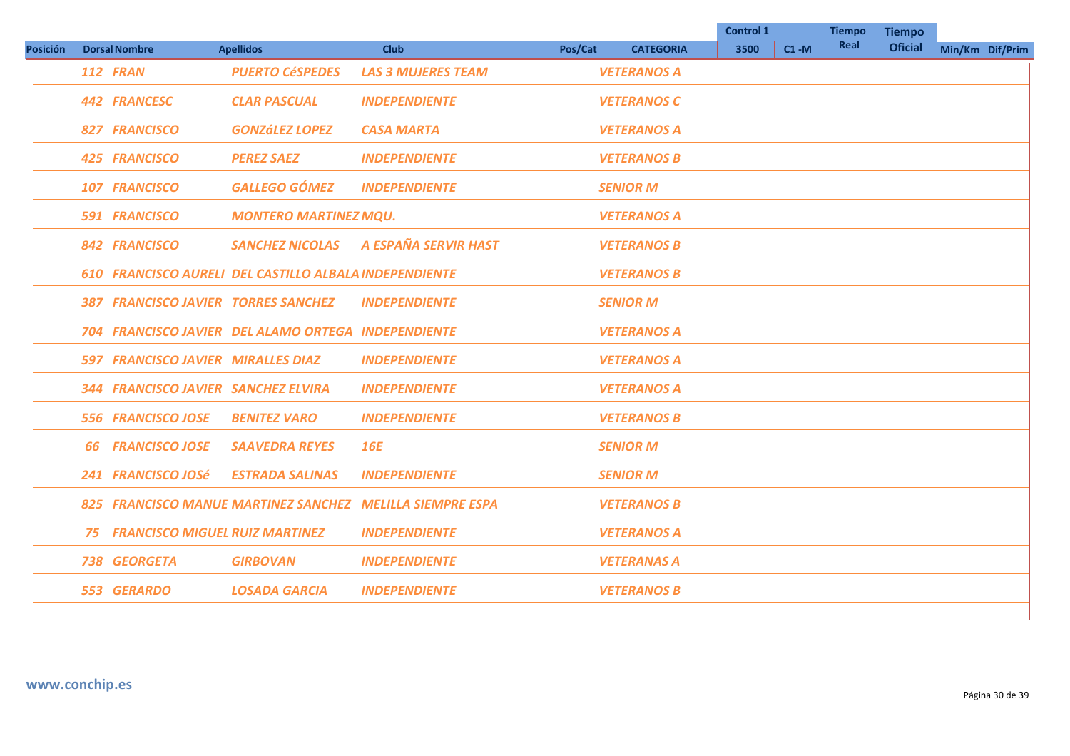|                 |                                          |                                                        |                                                           |                             |                    | <b>Control 1</b> |      | <b>Tiempo</b>  | <b>Tiempo</b>   |  |
|-----------------|------------------------------------------|--------------------------------------------------------|-----------------------------------------------------------|-----------------------------|--------------------|------------------|------|----------------|-----------------|--|
| <b>Posición</b> | <b>Dorsal Nombre</b>                     | <b>Apellidos</b>                                       | <b>Club</b>                                               | Pos/Cat<br><b>CATEGORIA</b> | 3500               | $C1 - M$         | Real | <b>Oficial</b> | Min/Km Dif/Prim |  |
|                 | <b>112 FRAN</b>                          | <b>PUERTO CÉSPEDES</b>                                 | <b>LAS 3 MUJERES TEAM</b>                                 |                             | <b>VETERANOS A</b> |                  |      |                |                 |  |
|                 | 442 FRANCESC                             | <b>CLAR PASCUAL</b>                                    | <b>INDEPENDIENTE</b>                                      |                             | <b>VETERANOS C</b> |                  |      |                |                 |  |
|                 | 827 FRANCISCO                            | <b>GONZÁLEZ LOPEZ</b>                                  | <b>CASA MARTA</b>                                         |                             | <b>VETERANOS A</b> |                  |      |                |                 |  |
|                 | <b>425 FRANCISCO</b>                     | <b>PEREZ SAEZ</b>                                      | <b>INDEPENDIENTE</b>                                      |                             | <b>VETERANOS B</b> |                  |      |                |                 |  |
|                 | 107 FRANCISCO                            | GALLEGO GÓMEZ                                          | <b>INDEPENDIENTE</b>                                      |                             | <b>SENIOR M</b>    |                  |      |                |                 |  |
|                 | 591 FRANCISCO                            | <b>MONTERO MARTINEZ MQU.</b>                           |                                                           |                             | <b>VETERANOS A</b> |                  |      |                |                 |  |
|                 | 842 FRANCISCO                            | <b>SANCHEZ NICOLAS</b>                                 | A ESPAÑA SERVIR HAST                                      |                             | <b>VETERANOS B</b> |                  |      |                |                 |  |
|                 |                                          | 610 FRANCISCO AURELI DEL CASTILLO ALBALA INDEPENDIENTE |                                                           |                             | <b>VETERANOS B</b> |                  |      |                |                 |  |
|                 |                                          | <b>387 FRANCISCO JAVIER TORRES SANCHEZ</b>             | <b>INDEPENDIENTE</b>                                      |                             | <b>SENIOR M</b>    |                  |      |                |                 |  |
|                 |                                          | 704 FRANCISCO JAVIER DEL ALAMO ORTEGA INDEPENDIENTE    |                                                           |                             | <b>VETERANOS A</b> |                  |      |                |                 |  |
|                 | 597 FRANCISCO JAVIER MIRALLES DIAZ       |                                                        | <b>INDEPENDIENTE</b>                                      |                             | <b>VETERANOS A</b> |                  |      |                |                 |  |
|                 | 344 FRANCISCO JAVIER SANCHEZ ELVIRA      |                                                        | <b>INDEPENDIENTE</b>                                      |                             | <b>VETERANOS A</b> |                  |      |                |                 |  |
|                 | <b>556 FRANCISCO JOSE</b>                | <b>BENITEZ VARO</b>                                    | <b>INDEPENDIENTE</b>                                      |                             | <b>VETERANOS B</b> |                  |      |                |                 |  |
|                 | <b>66 FRANCISCO JOSE</b>                 | <b>SAAVEDRA REYES</b>                                  | <b>16E</b>                                                |                             | <b>SENIOR M</b>    |                  |      |                |                 |  |
|                 | 241 FRANCISCO JOSé                       | <b>ESTRADA SALINAS</b>                                 | <b>INDEPENDIENTE</b>                                      |                             | <b>SENIOR M</b>    |                  |      |                |                 |  |
|                 |                                          |                                                        | 825 FRANCISCO MANUE MARTINEZ SANCHEZ MELILLA SIEMPRE ESPA |                             | <b>VETERANOS B</b> |                  |      |                |                 |  |
|                 | <b>75 FRANCISCO MIGUEL RUIZ MARTINEZ</b> |                                                        | <b>INDEPENDIENTE</b>                                      |                             | <b>VETERANOS A</b> |                  |      |                |                 |  |
|                 | 738 GEORGETA                             | <b>GIRBOVAN</b>                                        | <b>INDEPENDIENTE</b>                                      |                             | <b>VETERANAS A</b> |                  |      |                |                 |  |
|                 | 553 GERARDO                              | <b>LOSADA GARCIA</b>                                   | <b>INDEPENDIENTE</b>                                      |                             | <b>VETERANOS B</b> |                  |      |                |                 |  |
|                 |                                          |                                                        |                                                           |                             |                    |                  |      |                |                 |  |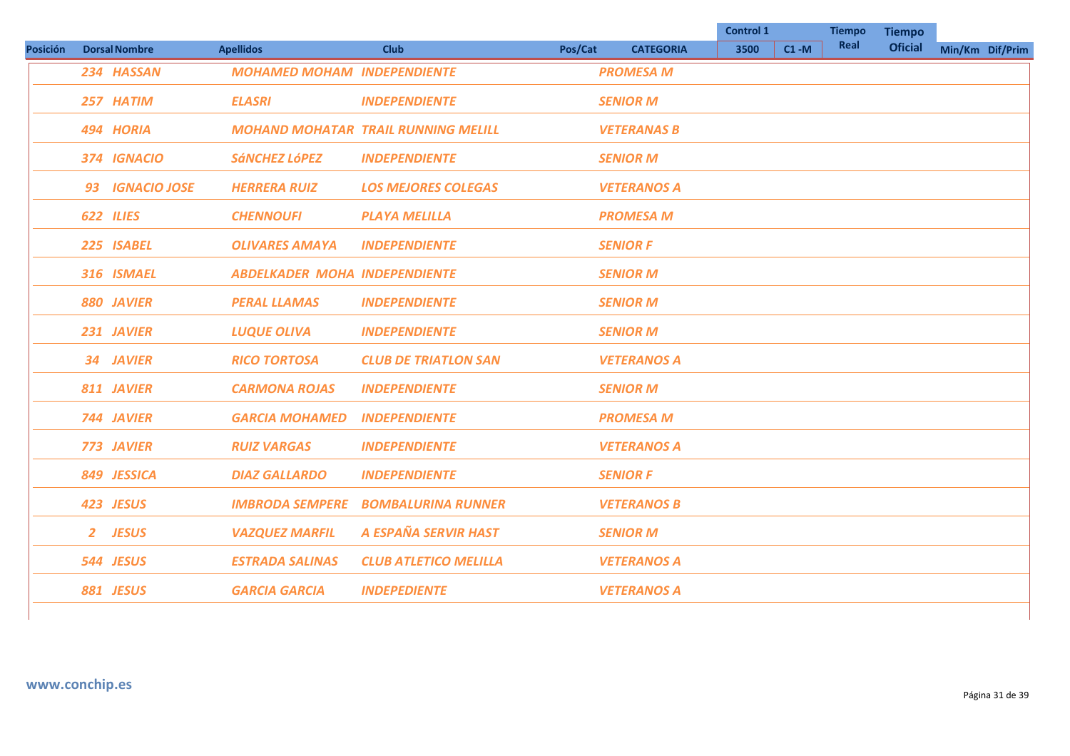|                 |                      |                                      |                                            |         |                    | <b>Control 1</b> |          | <b>Tiempo</b> | <b>Tiempo</b>  |                 |
|-----------------|----------------------|--------------------------------------|--------------------------------------------|---------|--------------------|------------------|----------|---------------|----------------|-----------------|
| <b>Posición</b> | <b>Dorsal Nombre</b> | <b>Apellidos</b>                     | <b>Club</b>                                | Pos/Cat | <b>CATEGORIA</b>   | 3500             | $C1 - M$ | Real          | <b>Oficial</b> | Min/Km Dif/Prim |
|                 | 234 HASSAN           | <b>MOHAMED MOHAM INDEPENDIENTE</b>   |                                            |         | <b>PROMESA M</b>   |                  |          |               |                |                 |
|                 | 257 HATIM            | <b>ELASRI</b>                        | <b>INDEPENDIENTE</b>                       |         | <b>SENIOR M</b>    |                  |          |               |                |                 |
|                 | 494 HORIA            |                                      | <b>MOHAND MOHATAR TRAIL RUNNING MELILL</b> |         | <b>VETERANAS B</b> |                  |          |               |                |                 |
|                 | 374 IGNACIO          | <b>SÁNCHEZ LÓPEZ</b>                 | <b>INDEPENDIENTE</b>                       |         | <b>SENIOR M</b>    |                  |          |               |                |                 |
|                 | 93 IGNACIO JOSE      | <b>HERRERA RUIZ</b>                  | <b>LOS MEJORES COLEGAS</b>                 |         | <b>VETERANOS A</b> |                  |          |               |                |                 |
|                 | 622 ILIES            | <b>CHENNOUFI</b>                     | <b>PLAYA MELILLA</b>                       |         | <b>PROMESA M</b>   |                  |          |               |                |                 |
|                 | 225 ISABEL           | <b>OLIVARES AMAYA</b>                | <b>INDEPENDIENTE</b>                       |         | <b>SENIOR F</b>    |                  |          |               |                |                 |
|                 | 316 ISMAEL           | <b>ABDELKADER MOHA INDEPENDIENTE</b> |                                            |         | <b>SENIOR M</b>    |                  |          |               |                |                 |
|                 | 880 JAVIER           | <b>PERAL LLAMAS</b>                  | <b>INDEPENDIENTE</b>                       |         | <b>SENIOR M</b>    |                  |          |               |                |                 |
|                 | 231 JAVIER           | <b>LUQUE OLIVA</b>                   | <b>INDEPENDIENTE</b>                       |         | <b>SENIOR M</b>    |                  |          |               |                |                 |
|                 | 34 JAVIER            | <b>RICO TORTOSA</b>                  | <b>CLUB DE TRIATLON SAN</b>                |         | <b>VETERANOS A</b> |                  |          |               |                |                 |
|                 | 811 JAVIER           | <b>CARMONA ROJAS</b>                 | <b>INDEPENDIENTE</b>                       |         | <b>SENIOR M</b>    |                  |          |               |                |                 |
|                 | 744 JAVIER           | <b>GARCIA MOHAMED</b>                | <b>INDEPENDIENTE</b>                       |         | <b>PROMESA M</b>   |                  |          |               |                |                 |
|                 | 773 JAVIER           | <b>RUIZ VARGAS</b>                   | <b>INDEPENDIENTE</b>                       |         | <b>VETERANOS A</b> |                  |          |               |                |                 |
|                 | 849 JESSICA          | <b>DIAZ GALLARDO</b>                 | <b>INDEPENDIENTE</b>                       |         | <b>SENIOR F</b>    |                  |          |               |                |                 |
|                 | 423 JESUS            | <b>IMBRODA SEMPERE</b>               | <b>BOMBALURINA RUNNER</b>                  |         | <b>VETERANOS B</b> |                  |          |               |                |                 |
|                 | 2 JESUS              | <b>VAZQUEZ MARFIL</b>                | A ESPAÑA SERVIR HAST                       |         | <b>SENIOR M</b>    |                  |          |               |                |                 |
|                 | 544 JESUS            | <b>ESTRADA SALINAS</b>               | <b>CLUB ATLETICO MELILLA</b>               |         | <b>VETERANOS A</b> |                  |          |               |                |                 |
|                 | 881 JESUS            | <b>GARCIA GARCIA</b>                 | <b>INDEPEDIENTE</b>                        |         | <b>VETERANOS A</b> |                  |          |               |                |                 |
|                 |                      |                                      |                                            |         |                    |                  |          |               |                |                 |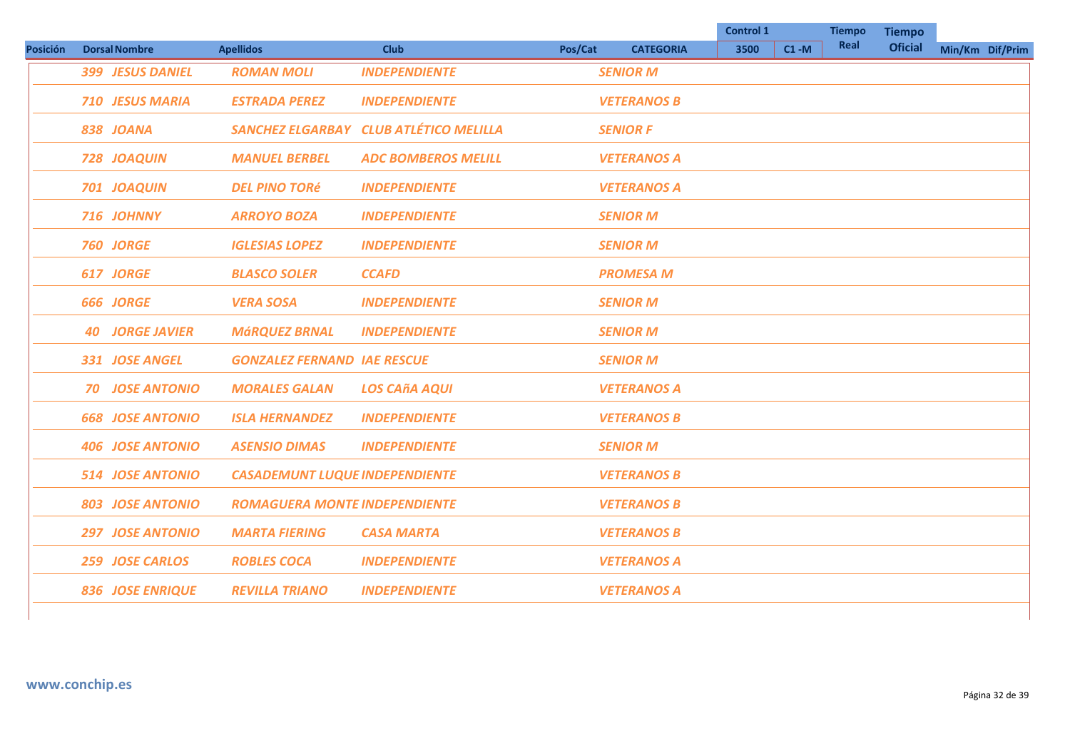|                 |                         |                                       |                                        |                             | <b>Control 1</b> |          | <b>Tiempo</b> | <b>Tiempo</b>  |                 |
|-----------------|-------------------------|---------------------------------------|----------------------------------------|-----------------------------|------------------|----------|---------------|----------------|-----------------|
| <b>Posición</b> | <b>Dorsal Nombre</b>    | <b>Apellidos</b>                      | <b>Club</b>                            | Pos/Cat<br><b>CATEGORIA</b> | 3500             | $C1 - M$ | Real          | <b>Oficial</b> | Min/Km Dif/Prim |
|                 | <b>399 JESUS DANIEL</b> | <b>ROMAN MOLI</b>                     | <b>INDEPENDIENTE</b>                   | <b>SENIOR M</b>             |                  |          |               |                |                 |
|                 | <b>710 JESUS MARIA</b>  | <b>ESTRADA PEREZ</b>                  | <b>INDEPENDIENTE</b>                   | <b>VETERANOS B</b>          |                  |          |               |                |                 |
|                 | 838 JOANA               |                                       | SANCHEZ ELGARBAY CLUB ATLÉTICO MELILLA | <b>SENIOR F</b>             |                  |          |               |                |                 |
|                 | 728 JOAQUIN             | <b>MANUEL BERBEL</b>                  | <b>ADC BOMBEROS MELILL</b>             | <b>VETERANOS A</b>          |                  |          |               |                |                 |
|                 | 701 JOAQUIN             | <b>DEL PINO TORÉ</b>                  | <b>INDEPENDIENTE</b>                   | <b>VETERANOS A</b>          |                  |          |               |                |                 |
|                 | 716 JOHNNY              | <b>ARROYO BOZA</b>                    | <b>INDEPENDIENTE</b>                   | <b>SENIOR M</b>             |                  |          |               |                |                 |
|                 | 760 JORGE               | <b>IGLESIAS LOPEZ</b>                 | <b>INDEPENDIENTE</b>                   | <b>SENIOR M</b>             |                  |          |               |                |                 |
|                 | 617 JORGE               | <b>BLASCO SOLER</b>                   | <b>CCAFD</b>                           | <b>PROMESA M</b>            |                  |          |               |                |                 |
|                 | <b>666 JORGE</b>        | <b>VERA SOSA</b>                      | <b>INDEPENDIENTE</b>                   | <b>SENIOR M</b>             |                  |          |               |                |                 |
|                 | <b>40 JORGE JAVIER</b>  | <b>MÁRQUEZ BRNAL</b>                  | <b>INDEPENDIENTE</b>                   | <b>SENIOR M</b>             |                  |          |               |                |                 |
|                 | 331 JOSE ANGEL          | <b>GONZALEZ FERNAND IAE RESCUE</b>    |                                        | <b>SENIOR M</b>             |                  |          |               |                |                 |
|                 | <b>70 JOSE ANTONIO</b>  | <b>MORALES GALAN</b>                  | <b>LOS CAñA AQUI</b>                   | <b>VETERANOS A</b>          |                  |          |               |                |                 |
|                 | <b>668 JOSE ANTONIO</b> | <b>ISLA HERNANDEZ</b>                 | <b>INDEPENDIENTE</b>                   | <b>VETERANOS B</b>          |                  |          |               |                |                 |
|                 | <b>406 JOSE ANTONIO</b> | <b>ASENSIO DIMAS</b>                  | <b>INDEPENDIENTE</b>                   | <b>SENIOR M</b>             |                  |          |               |                |                 |
|                 | <b>514 JOSE ANTONIO</b> | <b>CASADEMUNT LUQUE INDEPENDIENTE</b> |                                        | <b>VETERANOS B</b>          |                  |          |               |                |                 |
|                 | <b>803 JOSE ANTONIO</b> | <b>ROMAGUERA MONTE INDEPENDIENTE</b>  |                                        | <b>VETERANOS B</b>          |                  |          |               |                |                 |
|                 | <b>297 JOSE ANTONIO</b> | <b>MARTA FIERING</b>                  | <b>CASA MARTA</b>                      | <b>VETERANOS B</b>          |                  |          |               |                |                 |
|                 | 259 JOSE CARLOS         | <b>ROBLES COCA</b>                    | <b>INDEPENDIENTE</b>                   | <b>VETERANOS A</b>          |                  |          |               |                |                 |
|                 | <b>836 JOSE ENRIQUE</b> | <b>REVILLA TRIANO</b>                 | <b>INDEPENDIENTE</b>                   | <b>VETERANOS A</b>          |                  |          |               |                |                 |
|                 |                         |                                       |                                        |                             |                  |          |               |                |                 |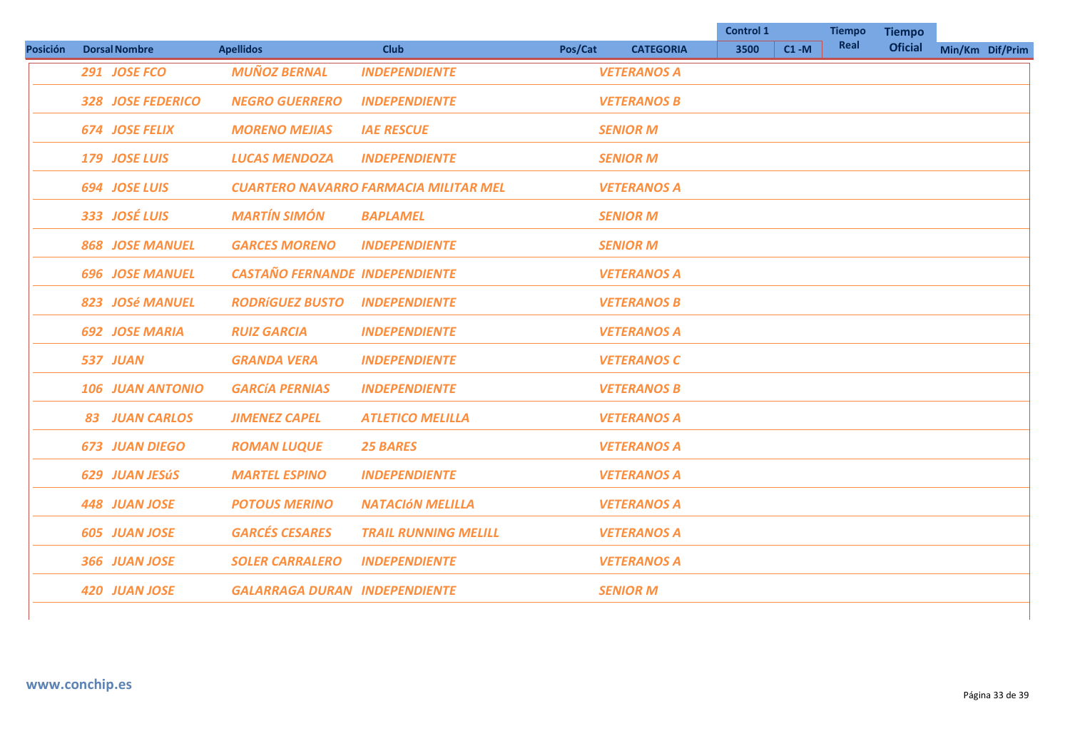|                 |                         |                                       |                                              |         |                    | <b>Control 1</b> |          | <b>Tiempo</b> | <b>Tiempo</b>  |                 |
|-----------------|-------------------------|---------------------------------------|----------------------------------------------|---------|--------------------|------------------|----------|---------------|----------------|-----------------|
| <b>Posición</b> | <b>Dorsal Nombre</b>    | <b>Apellidos</b>                      | <b>Club</b>                                  | Pos/Cat | <b>CATEGORIA</b>   | 3500             | $C1 - M$ | Real          | <b>Oficial</b> | Min/Km Dif/Prim |
|                 | 291 JOSE FCO            | <b>MUÑOZ BERNAL</b>                   | <b>INDEPENDIENTE</b>                         |         | <b>VETERANOS A</b> |                  |          |               |                |                 |
|                 | 328 JOSE FEDERICO       | <b>NEGRO GUERRERO</b>                 | <b>INDEPENDIENTE</b>                         |         | <b>VETERANOS B</b> |                  |          |               |                |                 |
|                 | <b>674 JOSE FELIX</b>   | <b>MORENO MEJIAS</b>                  | <b>IAE RESCUE</b>                            |         | <b>SENIOR M</b>    |                  |          |               |                |                 |
|                 | 179 JOSE LUIS           | <b>LUCAS MENDOZA</b>                  | <b>INDEPENDIENTE</b>                         |         | <b>SENIOR M</b>    |                  |          |               |                |                 |
|                 | 694 JOSE LUIS           |                                       | <b>CUARTERO NAVARRO FARMACIA MILITAR MEL</b> |         | <b>VETERANOS A</b> |                  |          |               |                |                 |
|                 | 333 JOSÉ LUIS           | <b>MARTÍN SIMÓN</b>                   | <b>BAPLAMEL</b>                              |         | <b>SENIOR M</b>    |                  |          |               |                |                 |
|                 | <b>868 JOSE MANUEL</b>  | <b>GARCES MORENO</b>                  | <b>INDEPENDIENTE</b>                         |         | <b>SENIOR M</b>    |                  |          |               |                |                 |
|                 | <b>696 JOSE MANUEL</b>  | <b>CASTAÑO FERNANDE INDEPENDIENTE</b> |                                              |         | <b>VETERANOS A</b> |                  |          |               |                |                 |
|                 | 823 JOSé MANUEL         | <b>RODRÍGUEZ BUSTO</b>                | <b>INDEPENDIENTE</b>                         |         | <b>VETERANOS B</b> |                  |          |               |                |                 |
|                 | <b>692 JOSE MARIA</b>   | <b>RUIZ GARCIA</b>                    | <b>INDEPENDIENTE</b>                         |         | <b>VETERANOS A</b> |                  |          |               |                |                 |
|                 | 537 JUAN                | <b>GRANDA VERA</b>                    | <b>INDEPENDIENTE</b>                         |         | <b>VETERANOS C</b> |                  |          |               |                |                 |
|                 | <b>106 JUAN ANTONIO</b> | <b>GARCÍA PERNIAS</b>                 | <b>INDEPENDIENTE</b>                         |         | <b>VETERANOS B</b> |                  |          |               |                |                 |
|                 | <b>83 JUAN CARLOS</b>   | <b>JIMENEZ CAPEL</b>                  | <b>ATLETICO MELILLA</b>                      |         | <b>VETERANOS A</b> |                  |          |               |                |                 |
|                 | <b>673 JUAN DIEGO</b>   | <b>ROMAN LUQUE</b>                    | <b>25 BARES</b>                              |         | <b>VETERANOS A</b> |                  |          |               |                |                 |
|                 | <b>629 JUAN JESÚS</b>   | <b>MARTEL ESPINO</b>                  | <b>INDEPENDIENTE</b>                         |         | <b>VETERANOS A</b> |                  |          |               |                |                 |
|                 | 448 JUAN JOSE           | <b>POTOUS MERINO</b>                  | <b>NATACIÓN MELILLA</b>                      |         | <b>VETERANOS A</b> |                  |          |               |                |                 |
|                 | <b>605 JUAN JOSE</b>    | <b>GARCÉS CESARES</b>                 | <b>TRAIL RUNNING MELILL</b>                  |         | <b>VETERANOS A</b> |                  |          |               |                |                 |
|                 | 366 JUAN JOSE           | <b>SOLER CARRALERO</b>                | <b>INDEPENDIENTE</b>                         |         | <b>VETERANOS A</b> |                  |          |               |                |                 |
|                 | <b>420 JUAN JOSE</b>    | <b>GALARRAGA DURAN INDEPENDIENTE</b>  |                                              |         | <b>SENIOR M</b>    |                  |          |               |                |                 |
|                 |                         |                                       |                                              |         |                    |                  |          |               |                |                 |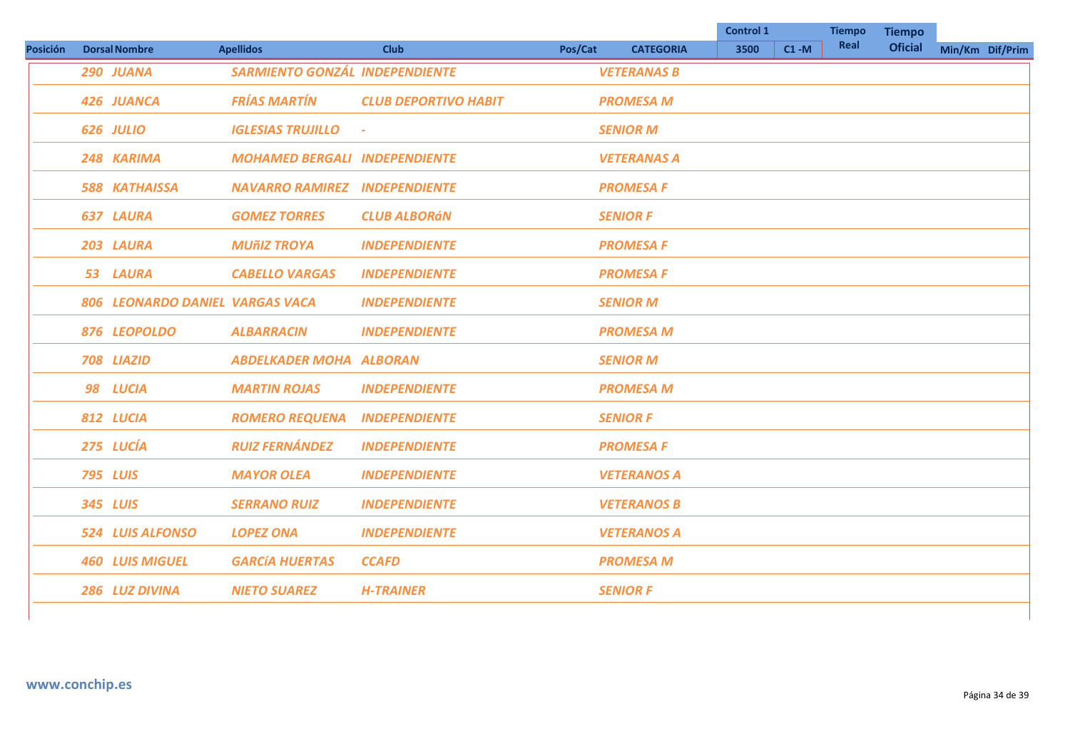|                 |                                 |                                      |                             |         |                    | <b>Control 1</b> |          | <b>Tiempo</b> | <b>Tiempo</b>  |                 |
|-----------------|---------------------------------|--------------------------------------|-----------------------------|---------|--------------------|------------------|----------|---------------|----------------|-----------------|
| <b>Posición</b> | <b>Dorsal Nombre</b>            | <b>Apellidos</b>                     | <b>Club</b>                 | Pos/Cat | <b>CATEGORIA</b>   | 3500             | $C1 - M$ | Real          | <b>Oficial</b> | Min/Km Dif/Prim |
|                 | 290 JUANA                       | SARMIENTO GONZÁL INDEPENDIENTE       |                             |         | <b>VETERANAS B</b> |                  |          |               |                |                 |
|                 | 426 JUANCA                      | <b>FRÍAS MARTÍN</b>                  | <b>CLUB DEPORTIVO HABIT</b> |         | <b>PROMESA M</b>   |                  |          |               |                |                 |
|                 | 626 JULIO                       | <b>IGLESIAS TRUJILLO</b>             |                             |         | <b>SENIOR M</b>    |                  |          |               |                |                 |
|                 | 248 KARIMA                      | <b>MOHAMED BERGALI INDEPENDIENTE</b> |                             |         | <b>VETERANAS A</b> |                  |          |               |                |                 |
|                 | <b>588 KATHAISSA</b>            | <b>NAVARRO RAMIREZ INDEPENDIENTE</b> |                             |         | <b>PROMESA F</b>   |                  |          |               |                |                 |
|                 | <b>637 LAURA</b>                | <b>GOMEZ TORRES</b>                  | <b>CLUB ALBORÁN</b>         |         | <b>SENIOR F</b>    |                  |          |               |                |                 |
|                 | 203 LAURA                       | <b>MUÑIZ TROYA</b>                   | <b>INDEPENDIENTE</b>        |         | <b>PROMESA F</b>   |                  |          |               |                |                 |
|                 | 53 LAURA                        | <b>CABELLO VARGAS</b>                | <b>INDEPENDIENTE</b>        |         | <b>PROMESA F</b>   |                  |          |               |                |                 |
|                 | 806 LEONARDO DANIEL VARGAS VACA |                                      | <b>INDEPENDIENTE</b>        |         | <b>SENIOR M</b>    |                  |          |               |                |                 |
|                 | 876 LEOPOLDO                    | <b>ALBARRACIN</b>                    | <b>INDEPENDIENTE</b>        |         | <b>PROMESA M</b>   |                  |          |               |                |                 |
|                 | 708 LIAZID                      | <b>ABDELKADER MOHA ALBORAN</b>       |                             |         | <b>SENIOR M</b>    |                  |          |               |                |                 |
|                 | 98 LUCIA                        | <b>MARTIN ROJAS</b>                  | <b>INDEPENDIENTE</b>        |         | <b>PROMESA M</b>   |                  |          |               |                |                 |
|                 | 812 LUCIA                       | <b>ROMERO REQUENA</b>                | <b>INDEPENDIENTE</b>        |         | <b>SENIOR F</b>    |                  |          |               |                |                 |
|                 | 275 LUCÍA                       | <b>RUIZ FERNÁNDEZ</b>                | <b>INDEPENDIENTE</b>        |         | <b>PROMESA F</b>   |                  |          |               |                |                 |
|                 | <b>795 LUIS</b>                 | <b>MAYOR OLEA</b>                    | <b>INDEPENDIENTE</b>        |         | <b>VETERANOS A</b> |                  |          |               |                |                 |
|                 | 345 LUIS                        | <b>SERRANO RUIZ</b>                  | <b>INDEPENDIENTE</b>        |         | <b>VETERANOS B</b> |                  |          |               |                |                 |
|                 | <b>524 LUIS ALFONSO</b>         | <b>LOPEZ ONA</b>                     | <b>INDEPENDIENTE</b>        |         | <b>VETERANOS A</b> |                  |          |               |                |                 |
|                 | <b>460 LUIS MIGUEL</b>          | <b>GARCÍA HUERTAS</b>                | <b>CCAFD</b>                |         | <b>PROMESA M</b>   |                  |          |               |                |                 |
|                 | 286 LUZ DIVINA                  | <b>NIETO SUAREZ</b>                  | <b>H-TRAINER</b>            |         | <b>SENIOR F</b>    |                  |          |               |                |                 |
|                 |                                 |                                      |                             |         |                    |                  |          |               |                |                 |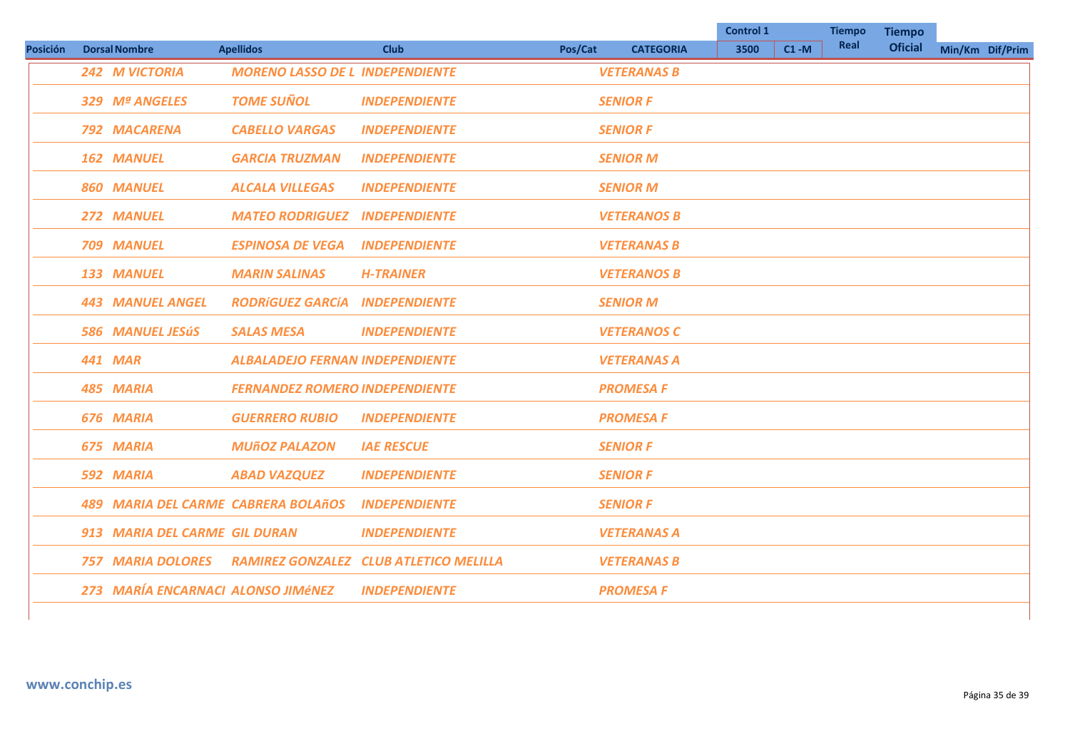|                 |         |                               |                                        |                                        |         |                    | <b>Control 1</b> |          | <b>Tiempo</b> | <b>Tiempo</b>  |                 |
|-----------------|---------|-------------------------------|----------------------------------------|----------------------------------------|---------|--------------------|------------------|----------|---------------|----------------|-----------------|
| <b>Posición</b> |         | <b>Dorsal Nombre</b>          | <b>Apellidos</b>                       | <b>Club</b>                            | Pos/Cat | <b>CATEGORIA</b>   | 3500             | $C1 - M$ | Real          | <b>Oficial</b> | Min/Km Dif/Prim |
|                 |         | <b>242 M VICTORIA</b>         | <b>MORENO LASSO DE L INDEPENDIENTE</b> |                                        |         | <b>VETERANAS B</b> |                  |          |               |                |                 |
|                 |         | 329 Mª ANGELES                | <b>TOME SUÑOL</b>                      | <b>INDEPENDIENTE</b>                   |         | <b>SENIOR F</b>    |                  |          |               |                |                 |
|                 |         | 792 MACARENA                  | <b>CABELLO VARGAS</b>                  | <b>INDEPENDIENTE</b>                   |         | <b>SENIOR F</b>    |                  |          |               |                |                 |
|                 |         | <b>162 MANUEL</b>             | <b>GARCIA TRUZMAN</b>                  | <b>INDEPENDIENTE</b>                   |         | <b>SENIOR M</b>    |                  |          |               |                |                 |
|                 |         | <b>860 MANUEL</b>             | <b>ALCALA VILLEGAS</b>                 | <b>INDEPENDIENTE</b>                   |         | <b>SENIOR M</b>    |                  |          |               |                |                 |
|                 |         | 272 MANUEL                    | <b>MATEO RODRIGUEZ</b>                 | <b>INDEPENDIENTE</b>                   |         | <b>VETERANOS B</b> |                  |          |               |                |                 |
|                 |         | 709 MANUEL                    | <b>ESPINOSA DE VEGA</b>                | <b>INDEPENDIENTE</b>                   |         | <b>VETERANAS B</b> |                  |          |               |                |                 |
|                 |         | 133 MANUEL                    | <b>MARIN SALINAS</b>                   | <b>H-TRAINER</b>                       |         | <b>VETERANOS B</b> |                  |          |               |                |                 |
|                 |         | <b>443 MANUEL ANGEL</b>       | <b>RODRÍGUEZ GARCÍA INDEPENDIENTE</b>  |                                        |         | <b>SENIOR M</b>    |                  |          |               |                |                 |
|                 |         | <b>586 MANUEL JESÚS</b>       | <b>SALAS MESA</b>                      | <b>INDEPENDIENTE</b>                   |         | <b>VETERANOS C</b> |                  |          |               |                |                 |
|                 | 441 MAR |                               | <b>ALBALADEJO FERNAN INDEPENDIENTE</b> |                                        |         | <b>VETERANAS A</b> |                  |          |               |                |                 |
|                 |         | 485 MARIA                     | <b>FERNANDEZ ROMERO INDEPENDIENTE</b>  |                                        |         | <b>PROMESA F</b>   |                  |          |               |                |                 |
|                 |         | 676 MARIA                     | <b>GUERRERO RUBIO</b>                  | <b>INDEPENDIENTE</b>                   |         | <b>PROMESA F</b>   |                  |          |               |                |                 |
|                 |         | <b>675 MARIA</b>              | <b>MUÑOZ PALAZON</b>                   | <b>IAE RESCUE</b>                      |         | <b>SENIOR F</b>    |                  |          |               |                |                 |
|                 |         | 592 MARIA                     | <b>ABAD VAZQUEZ</b>                    | <b>INDEPENDIENTE</b>                   |         | <b>SENIOR F</b>    |                  |          |               |                |                 |
|                 |         |                               | 489 MARIA DEL CARME CABRERA BOLAñOS    | <b>INDEPENDIENTE</b>                   |         | <b>SENIOR F</b>    |                  |          |               |                |                 |
|                 |         | 913 MARIA DEL CARME GIL DURAN |                                        | <b>INDEPENDIENTE</b>                   |         | <b>VETERANAS A</b> |                  |          |               |                |                 |
|                 |         | <b>757 MARIA DOLORES</b>      |                                        | RAMIREZ GONZALEZ CLUB ATLETICO MELILLA |         | <b>VETERANAS B</b> |                  |          |               |                |                 |
|                 |         |                               | 273 MARÍA ENCARNACI ALONSO JIMÉNEZ     | <b>INDEPENDIENTE</b>                   |         | <b>PROMESA F</b>   |                  |          |               |                |                 |
|                 |         |                               |                                        |                                        |         |                    |                  |          |               |                |                 |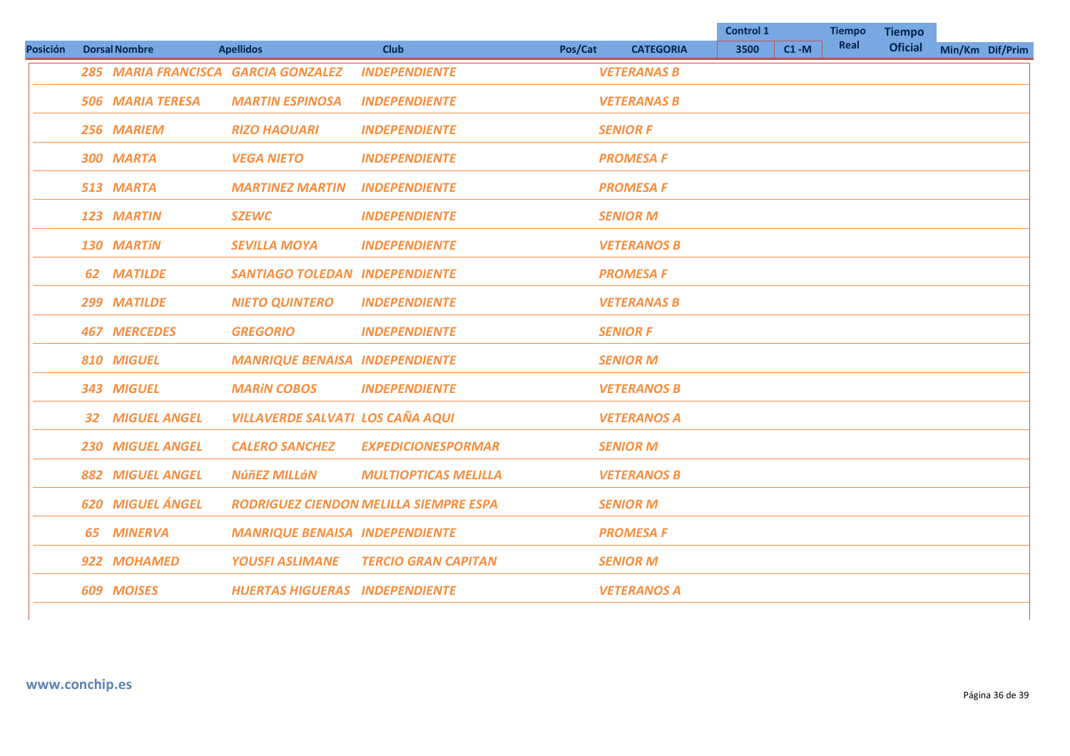|                 |                                     |                                         |                                               |         |                    | <b>Control 1</b> |          | <b>Tiempo</b> | <b>Tiempo</b>  |                 |  |
|-----------------|-------------------------------------|-----------------------------------------|-----------------------------------------------|---------|--------------------|------------------|----------|---------------|----------------|-----------------|--|
| <b>Posición</b> | <b>Dorsal Nombre</b>                | <b>Apellidos</b>                        | <b>Club</b>                                   | Pos/Cat | <b>CATEGORIA</b>   | 3500             | $C1 - M$ | Real          | <b>Oficial</b> | Min/Km Dif/Prim |  |
|                 | 285 MARIA FRANCISCA GARCIA GONZALEZ |                                         | <b>INDEPENDIENTE</b>                          |         | <b>VETERANAS B</b> |                  |          |               |                |                 |  |
|                 | <b>506 MARIA TERESA</b>             | <b>MARTIN ESPINOSA</b>                  | <b>INDEPENDIENTE</b>                          |         | <b>VETERANAS B</b> |                  |          |               |                |                 |  |
|                 | 256 MARIEM                          | <b>RIZO HAOUARI</b>                     | <b>INDEPENDIENTE</b>                          |         | <b>SENIOR F</b>    |                  |          |               |                |                 |  |
|                 | 300 MARTA                           | <b>VEGA NIETO</b>                       | <b>INDEPENDIENTE</b>                          |         | <b>PROMESA F</b>   |                  |          |               |                |                 |  |
|                 | 513 MARTA                           | <b>MARTINEZ MARTIN</b>                  | <b>INDEPENDIENTE</b>                          |         | <b>PROMESA F</b>   |                  |          |               |                |                 |  |
|                 | 123 MARTIN                          | <b>SZEWC</b>                            | <b>INDEPENDIENTE</b>                          |         | <b>SENIOR M</b>    |                  |          |               |                |                 |  |
|                 | 130 MARTÍN                          | <b>SEVILLA MOYA</b>                     | <b>INDEPENDIENTE</b>                          |         | <b>VETERANOS B</b> |                  |          |               |                |                 |  |
|                 | <b>62 MATILDE</b>                   | <b>SANTIAGO TOLEDAN INDEPENDIENTE</b>   |                                               |         | <b>PROMESA F</b>   |                  |          |               |                |                 |  |
|                 | 299 MATILDE                         | <b>NIETO QUINTERO</b>                   | <b>INDEPENDIENTE</b>                          |         | <b>VETERANAS B</b> |                  |          |               |                |                 |  |
|                 | <b>467 MERCEDES</b>                 | <b>GREGORIO</b>                         | <b>INDEPENDIENTE</b>                          |         | <b>SENIOR F</b>    |                  |          |               |                |                 |  |
|                 | 810 MIGUEL                          | <b>MANRIQUE BENAISA INDEPENDIENTE</b>   |                                               |         | <b>SENIOR M</b>    |                  |          |               |                |                 |  |
|                 | 343 MIGUEL                          | <b>MARÍN COBOS</b>                      | <b>INDEPENDIENTE</b>                          |         | <b>VETERANOS B</b> |                  |          |               |                |                 |  |
|                 | <b>MIGUEL ANGEL</b><br>32           | <b>VILLAVERDE SALVATI LOS CAÑA AQUI</b> |                                               |         | <b>VETERANOS A</b> |                  |          |               |                |                 |  |
|                 | <b>230 MIGUEL ANGEL</b>             | <b>CALERO SANCHEZ</b>                   | <b>EXPEDICIONESPORMAR</b>                     |         | <b>SENIOR M</b>    |                  |          |               |                |                 |  |
|                 | <b>882 MIGUEL ANGEL</b>             | <b>NúñEZ MILLáN</b>                     | <b>MULTIOPTICAS MELILLA</b>                   |         | <b>VETERANOS B</b> |                  |          |               |                |                 |  |
|                 | 620 MIGUEL ÁNGEL                    |                                         | <b>RODRIGUEZ CIENDON MELILLA SIEMPRE ESPA</b> |         | <b>SENIOR M</b>    |                  |          |               |                |                 |  |
|                 | <b>65 MINERVA</b>                   | <b>MANRIQUE BENAISA INDEPENDIENTE</b>   |                                               |         | <b>PROMESA F</b>   |                  |          |               |                |                 |  |
|                 | 922 MOHAMED                         | <b>YOUSFI ASLIMANE</b>                  | <b>TERCIO GRAN CAPITAN</b>                    |         | <b>SENIOR M</b>    |                  |          |               |                |                 |  |
|                 | <b>609 MOISES</b>                   | <b>HUERTAS HIGUERAS INDEPENDIENTE</b>   |                                               |         | <b>VETERANOS A</b> |                  |          |               |                |                 |  |
|                 |                                     |                                         |                                               |         |                    |                  |          |               |                |                 |  |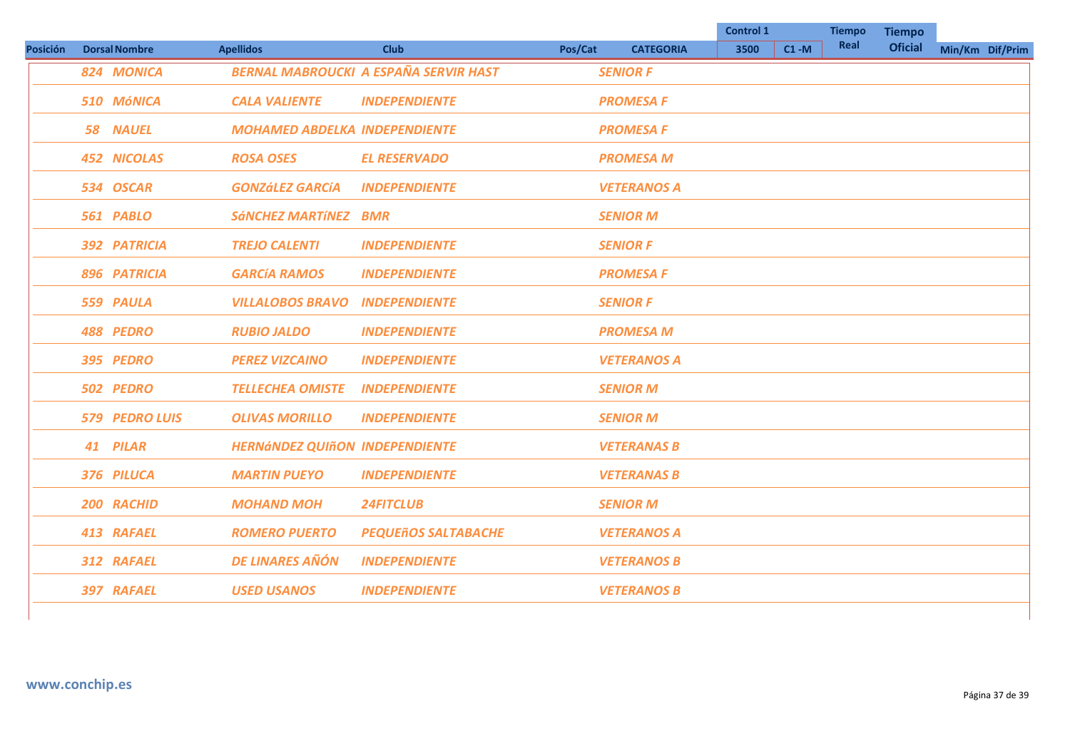|                 |                      |                                       |                                              |         |                    | <b>Control 1</b> |          | <b>Tiempo</b> | <b>Tiempo</b>  |                 |
|-----------------|----------------------|---------------------------------------|----------------------------------------------|---------|--------------------|------------------|----------|---------------|----------------|-----------------|
| <b>Posición</b> | <b>Dorsal Nombre</b> | <b>Apellidos</b>                      | <b>Club</b>                                  | Pos/Cat | <b>CATEGORIA</b>   | 3500             | $C1 - M$ | Real          | <b>Oficial</b> | Min/Km Dif/Prim |
|                 | 824 MONICA           |                                       | <b>BERNAL MABROUCKI A ESPAÑA SERVIR HAST</b> |         | <b>SENIOR F</b>    |                  |          |               |                |                 |
|                 | 510 MÓNICA           | <b>CALA VALIENTE</b>                  | <b>INDEPENDIENTE</b>                         |         | <b>PROMESA F</b>   |                  |          |               |                |                 |
|                 | 58 NAUEL             | <b>MOHAMED ABDELKA INDEPENDIENTE</b>  |                                              |         | <b>PROMESA F</b>   |                  |          |               |                |                 |
|                 | <b>452 NICOLAS</b>   | <b>ROSA OSES</b>                      | <b>EL RESERVADO</b>                          |         | <b>PROMESA M</b>   |                  |          |               |                |                 |
|                 | 534 OSCAR            | <b>GONZÁLEZ GARCÍA</b>                | <b>INDEPENDIENTE</b>                         |         | <b>VETERANOS A</b> |                  |          |               |                |                 |
|                 | 561 PABLO            | <b>SÁNCHEZ MARTÍNEZ</b>               | <b>BMR</b>                                   |         | <b>SENIOR M</b>    |                  |          |               |                |                 |
|                 | 392 PATRICIA         | <b>TREJO CALENTI</b>                  | <b>INDEPENDIENTE</b>                         |         | <b>SENIOR F</b>    |                  |          |               |                |                 |
|                 | 896 PATRICIA         | <b>GARCÍA RAMOS</b>                   | <b>INDEPENDIENTE</b>                         |         | <b>PROMESA F</b>   |                  |          |               |                |                 |
|                 | 559 PAULA            | <b>VILLALOBOS BRAVO</b>               | <b>INDEPENDIENTE</b>                         |         | <b>SENIOR F</b>    |                  |          |               |                |                 |
|                 | 488 PEDRO            | <b>RUBIO JALDO</b>                    | <b>INDEPENDIENTE</b>                         |         | <b>PROMESA M</b>   |                  |          |               |                |                 |
|                 | 395 PEDRO            | <b>PEREZ VIZCAINO</b>                 | <b>INDEPENDIENTE</b>                         |         | <b>VETERANOS A</b> |                  |          |               |                |                 |
|                 | 502 PEDRO            | <b>TELLECHEA OMISTE</b>               | <b>INDEPENDIENTE</b>                         |         | <b>SENIOR M</b>    |                  |          |               |                |                 |
|                 | 579 PEDRO LUIS       | <b>OLIVAS MORILLO</b>                 | <b>INDEPENDIENTE</b>                         |         | <b>SENIOR M</b>    |                  |          |               |                |                 |
|                 | 41 PILAR             | <b>HERNÁNDEZ QUIÑON INDEPENDIENTE</b> |                                              |         | <b>VETERANAS B</b> |                  |          |               |                |                 |
|                 | 376 PILUCA           | <b>MARTIN PUEYO</b>                   | <b>INDEPENDIENTE</b>                         |         | <b>VETERANAS B</b> |                  |          |               |                |                 |
|                 | 200 RACHID           | <b>MOHAND MOH</b>                     | 24FITCLUB                                    |         | <b>SENIOR M</b>    |                  |          |               |                |                 |
|                 | 413 RAFAEL           | <b>ROMERO PUERTO</b>                  | <b>PEQUEñOS SALTABACHE</b>                   |         | <b>VETERANOS A</b> |                  |          |               |                |                 |
|                 | 312 RAFAEL           | <b>DE LINARES AÑÓN</b>                | <b>INDEPENDIENTE</b>                         |         | <b>VETERANOS B</b> |                  |          |               |                |                 |
|                 | 397 RAFAEL           | <b>USED USANOS</b>                    | <b>INDEPENDIENTE</b>                         |         | <b>VETERANOS B</b> |                  |          |               |                |                 |
|                 |                      |                                       |                                              |         |                    |                  |          |               |                |                 |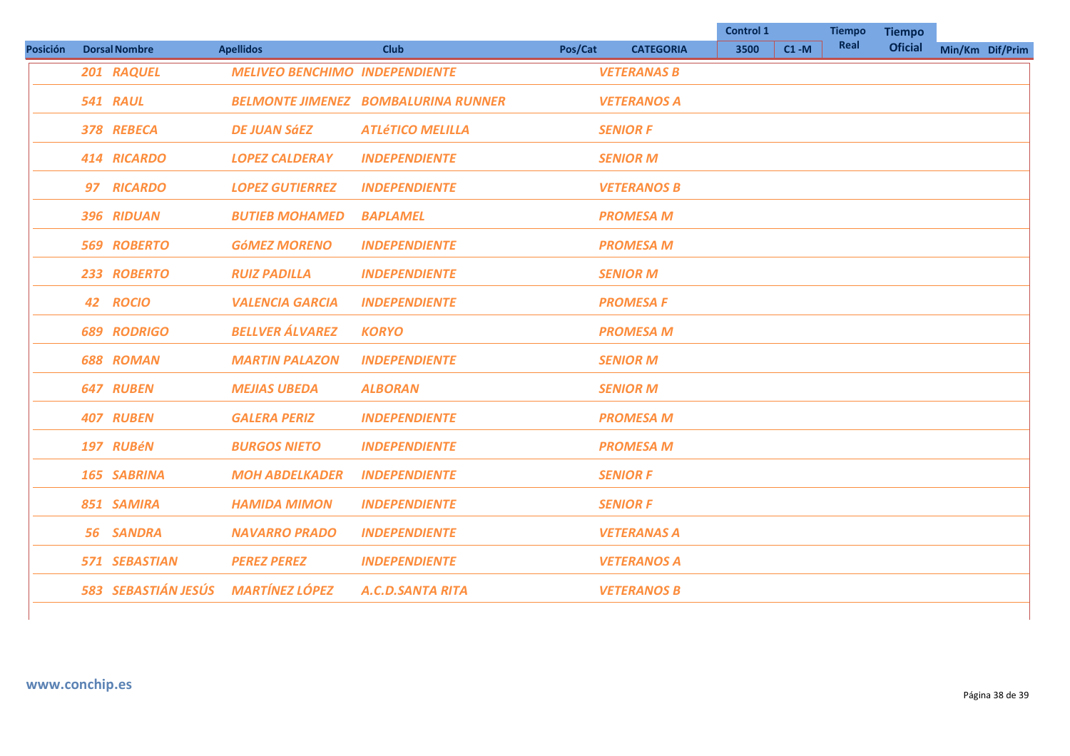|                 |                      |                                       |                                            |                             | <b>Control 1</b> |          | <b>Tiempo</b> | <b>Tiempo</b>  |                 |
|-----------------|----------------------|---------------------------------------|--------------------------------------------|-----------------------------|------------------|----------|---------------|----------------|-----------------|
| <b>Posición</b> | <b>Dorsal Nombre</b> | <b>Apellidos</b>                      | <b>Club</b>                                | Pos/Cat<br><b>CATEGORIA</b> | 3500             | $C1 - M$ | Real          | <b>Oficial</b> | Min/Km Dif/Prim |
|                 | 201 RAQUEL           | <b>MELIVEO BENCHIMO INDEPENDIENTE</b> |                                            | <b>VETERANAS B</b>          |                  |          |               |                |                 |
|                 | 541 RAUL             |                                       | <b>BELMONTE JIMENEZ BOMBALURINA RUNNER</b> | <b>VETERANOS A</b>          |                  |          |               |                |                 |
|                 | 378 REBECA           | <b>DE JUAN SÁEZ</b>                   | <b>ATLÉTICO MELILLA</b>                    | <b>SENIOR F</b>             |                  |          |               |                |                 |
|                 | 414 RICARDO          | <b>LOPEZ CALDERAY</b>                 | <b>INDEPENDIENTE</b>                       | <b>SENIOR M</b>             |                  |          |               |                |                 |
|                 | 97 RICARDO           | <b>LOPEZ GUTIERREZ</b>                | <b>INDEPENDIENTE</b>                       | <b>VETERANOS B</b>          |                  |          |               |                |                 |
|                 | 396 RIDUAN           | <b>BUTIEB MOHAMED</b>                 | <b>BAPLAMEL</b>                            | <b>PROMESA M</b>            |                  |          |               |                |                 |
|                 | <b>569 ROBERTO</b>   | <b>GÓMEZ MORENO</b>                   | <b>INDEPENDIENTE</b>                       | <b>PROMESA M</b>            |                  |          |               |                |                 |
|                 | 233 ROBERTO          | <b>RUIZ PADILLA</b>                   | <b>INDEPENDIENTE</b>                       | <b>SENIOR M</b>             |                  |          |               |                |                 |
|                 | 42 ROCIO             | <b>VALENCIA GARCIA</b>                | <b>INDEPENDIENTE</b>                       | <b>PROMESA F</b>            |                  |          |               |                |                 |
|                 | <b>689 RODRIGO</b>   | <b>BELLVER ÁLVAREZ</b>                | <b>KORYO</b>                               | <b>PROMESA M</b>            |                  |          |               |                |                 |
|                 | <b>688 ROMAN</b>     | <b>MARTIN PALAZON</b>                 | <b>INDEPENDIENTE</b>                       | <b>SENIOR M</b>             |                  |          |               |                |                 |
|                 | <b>647 RUBEN</b>     | <b>MEJIAS UBEDA</b>                   | <b>ALBORAN</b>                             | <b>SENIOR M</b>             |                  |          |               |                |                 |
|                 | <b>407 RUBEN</b>     | <b>GALERA PERIZ</b>                   | <b>INDEPENDIENTE</b>                       | <b>PROMESA M</b>            |                  |          |               |                |                 |
|                 | 197 RUBÉN            | <b>BURGOS NIETO</b>                   | <b>INDEPENDIENTE</b>                       | <b>PROMESA M</b>            |                  |          |               |                |                 |
|                 | 165 SABRINA          | <b>MOH ABDELKADER</b>                 | <b>INDEPENDIENTE</b>                       | <b>SENIOR F</b>             |                  |          |               |                |                 |
|                 | 851 SAMIRA           | <b>HAMIDA MIMON</b>                   | <b>INDEPENDIENTE</b>                       | <b>SENIOR F</b>             |                  |          |               |                |                 |
|                 | 56 SANDRA            | <b>NAVARRO PRADO</b>                  | <b>INDEPENDIENTE</b>                       | <b>VETERANAS A</b>          |                  |          |               |                |                 |
|                 | 571 SEBASTIAN        | <b>PEREZ PEREZ</b>                    | <b>INDEPENDIENTE</b>                       | <b>VETERANOS A</b>          |                  |          |               |                |                 |
|                 | 583 SEBASTIÁN JESÚS  | <b>MARTÍNEZ LÓPEZ</b>                 | <b>A.C.D.SANTA RITA</b>                    | <b>VETERANOS B</b>          |                  |          |               |                |                 |
|                 |                      |                                       |                                            |                             |                  |          |               |                |                 |